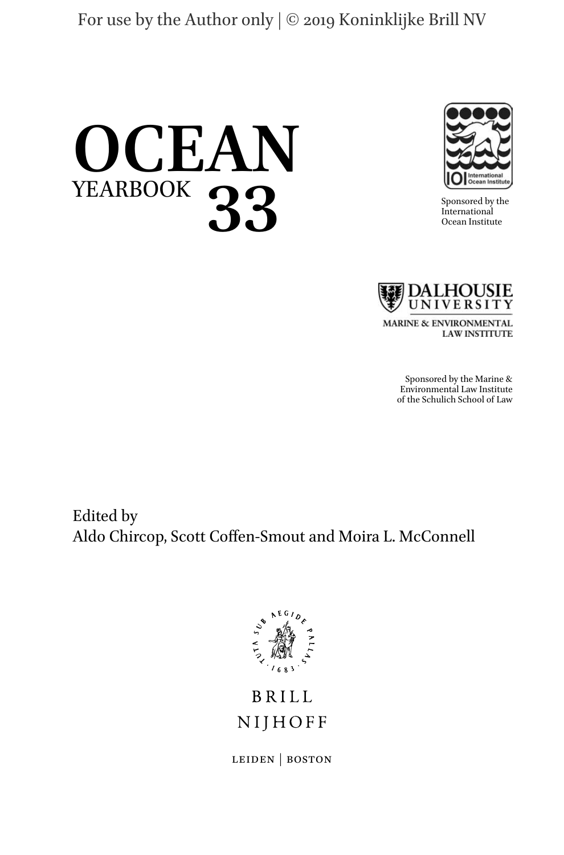



Sponsored by the International Ocean Institute



MARINE & ENVIRONMENTAL **LAW INSTITUTE** 

> Sponsored by the Marine & Environmental Law Institute of the Schulich School of Law

Edited by Aldo Chircop, Scott Coffen-Smout and Moira L. McConnell



**BRILL** NIJHOFF

leiden | boston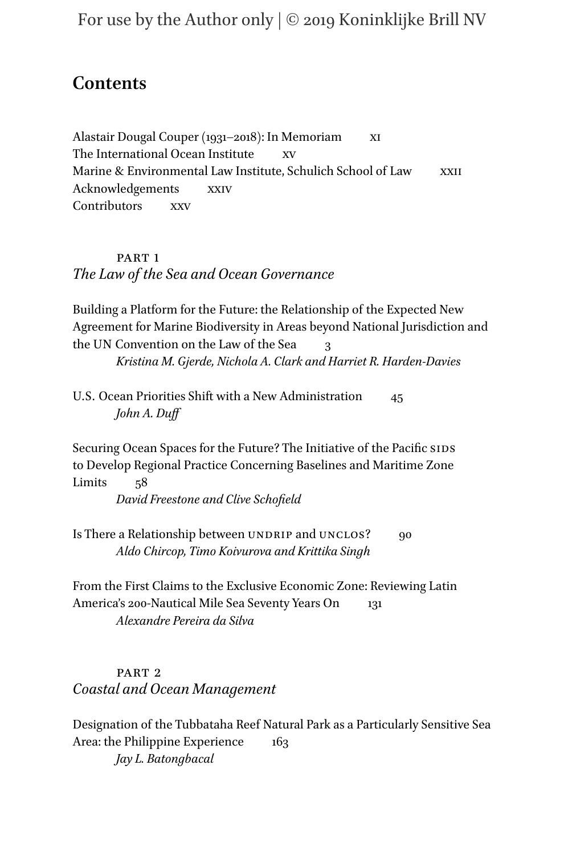# **Contents**

Alastair Dougal Couper (1931–2018): In Memoriam xi The International Ocean Institute Marine & Environmental Law Institute, Schulich School of Law XXII Acknowledgements xxiv Contributors xxv

# PART<sub>1</sub> *The Law of the Sea and Ocean Governance*

Building a Platform for the Future: the Relationship of the Expected New Agreement for Marine Biodiversity in Areas beyond National Jurisdiction and the UN Convention on the Law of the Sea 3 *Kristina M. Gjerde, Nichola A. Clark and Harriet R. Harden-Davies*

U.S. Ocean Priorities Shift with a New Administration 45 *John A. Duff*

Securing Ocean Spaces for the Future? The Initiative of the Pacific SIDS to Develop Regional Practice Concerning Baselines and Maritime Zone Limits 58

*David Freestone and Clive Schofield*

Is There a Relationship between UNDRIP and UNCLOS? 90 *Aldo Chircop, Timo Koivurova and Krittika Singh*

From the First Claims to the Exclusive Economic Zone: Reviewing Latin America's 200-Nautical Mile Sea Seventy Years On 131 *Alexandre Pereira da Silva*

# PART<sub>2</sub> *Coastal and Ocean Management*

Designation of the Tubbataha Reef Natural Park as a Particularly Sensitive Sea Area: the Philippine Experience 163 *Jay L. Batongbacal*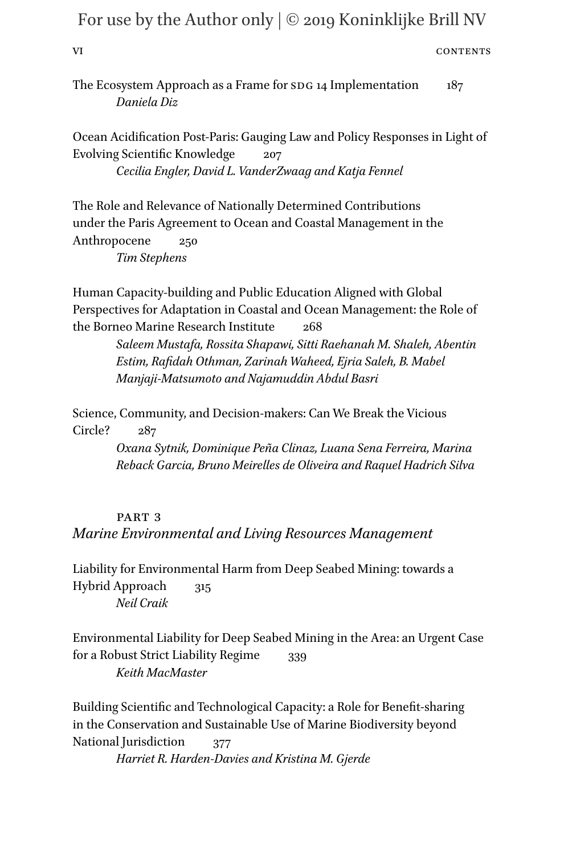| VI | CONTENTS |
|----|----------|
|    |          |

The Ecosystem Approach as a Frame for SDG 14 Implementation 187 *Daniela Diz*

Ocean Acidification Post-Paris: Gauging Law and Policy Responses in Light of Evolving Scientific Knowledge 207 *Cecilia Engler, David L. VanderZwaag and Katja Fennel*

The Role and Relevance of Nationally Determined Contributions under the Paris Agreement to Ocean and Coastal Management in the Anthropocene 250 *Tim Stephens*

Human Capacity-building and Public Education Aligned with Global Perspectives for Adaptation in Coastal and Ocean Management: the Role of the Borneo Marine Research Institute 268

> *Saleem Mustafa, Rossita Shapawi, Sitti Raehanah M. Shaleh, Abentin Estim, Rafidah Othman, Zarinah Waheed, Ejria Saleh, B. Mabel Manjaji-Matsumoto and Najamuddin Abdul Basri*

Science, Community, and Decision-makers: Can We Break the Vicious Circle? 287

> *Oxana Sytnik, Dominique Peña Clinaz, Luana Sena Ferreira, Marina Reback Garcia, Bruno Meirelles de Oliveira and Raquel Hadrich Silva*

# PART<sub>3</sub> *Marine Environmental and Living Resources Management*

Liability for Environmental Harm from Deep Seabed Mining: towards a Hybrid Approach 315 *Neil Craik*

Environmental Liability for Deep Seabed Mining in the Area: an Urgent Case for a Robust Strict Liability Regime 339 *Keith MacMaster*

Building Scientific and Technological Capacity: a Role for Benefit-sharing in the Conservation and Sustainable Use of Marine Biodiversity beyond National Jurisdiction 377 *Harriet R. Harden-Davies and Kristina M. Gjerde*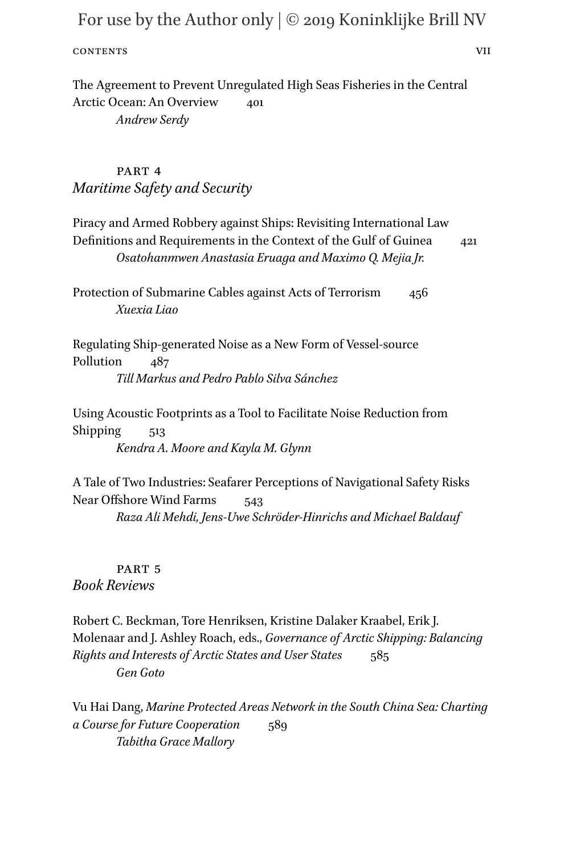### CONTENTS VII

The Agreement to Prevent Unregulated High Seas Fisheries in the Central Arctic Ocean: An Overview 401 *Andrew Serdy*

# PART<sub>4</sub> *Maritime Safety and Security*

Piracy and Armed Robbery against Ships: Revisiting International Law Definitions and Requirements in the Context of the Gulf of Guinea 421 *Osatohanmwen Anastasia Eruaga and Maximo Q. Mejia Jr.*

Protection of Submarine Cables against Acts of Terrorism 456 *Xuexia Liao*

Regulating Ship-generated Noise as a New Form of Vessel-source Pollution 487 *Till Markus and Pedro Pablo Silva Sánchez*

Using Acoustic Footprints as a Tool to Facilitate Noise Reduction from Shipping 513 *Kendra A. Moore and Kayla M. Glynn*

A Tale of Two Industries: Seafarer Perceptions of Navigational Safety Risks Near Offshore Wind Farms 543 *Raza Ali Mehdi, Jens-Uwe Schröder-Hinrichs and Michael Baldauf*

PART<sub>5</sub> *Book Reviews*

Robert C. Beckman, Tore Henriksen, Kristine Dalaker Kraabel, Erik J. Molenaar and J. Ashley Roach, eds., *Governance of Arctic Shipping: Balancing Rights and Interests of Arctic States and User States* 585 *Gen Goto*

Vu Hai Dang, *Marine Protected Areas Network in the South China Sea: Charting a Course for Future Cooperation* 589 *Tabitha Grace Mallory*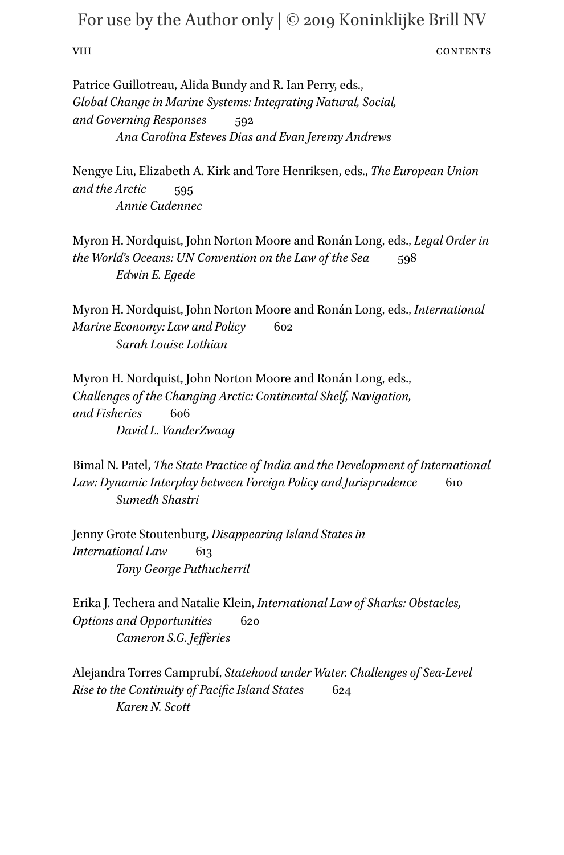### viii CONTENTS

Patrice Guillotreau, Alida Bundy and R. Ian Perry, eds., *Global Change in Marine Systems: Integrating Natural, Social, and Governing Responses* 592 *Ana Carolina Esteves Dias and Evan Jeremy Andrews*

Nengye Liu, Elizabeth A. Kirk and Tore Henriksen, eds., *The European Union and the Arctic* 595 *Annie Cudennec*

Myron H. Nordquist, John Norton Moore and Ronán Long, eds., *Legal Order in the World's Oceans: UN Convention on the Law of the Sea* 598 *Edwin E. Egede*

Myron H. Nordquist, John Norton Moore and Ronán Long, eds., *International Marine Economy: Law and Policy* 602 *Sarah Louise Lothian*

Myron H. Nordquist, John Norton Moore and Ronán Long, eds., *Challenges of the Changing Arctic: Continental Shelf, Navigation, and Fisheries* 606 *David L. VanderZwaag*

Bimal N. Patel, *The State Practice of India and the Development of International*  Law: Dynamic Interplay between Foreign Policy and Jurisprudence 610 *Sumedh Shastri*

Jenny Grote Stoutenburg, *Disappearing Island States in International Law* 613 *Tony George Puthucherril*

Erika J. Techera and Natalie Klein, *International Law of Sharks: Obstacles, Options and Opportunities* 620 *Cameron S.G. Jefferies*

Alejandra Torres Camprubí, *Statehood under Water. Challenges of Sea-Level Rise to the Continuity of Pacific Island States* 624 *Karen N. Scott*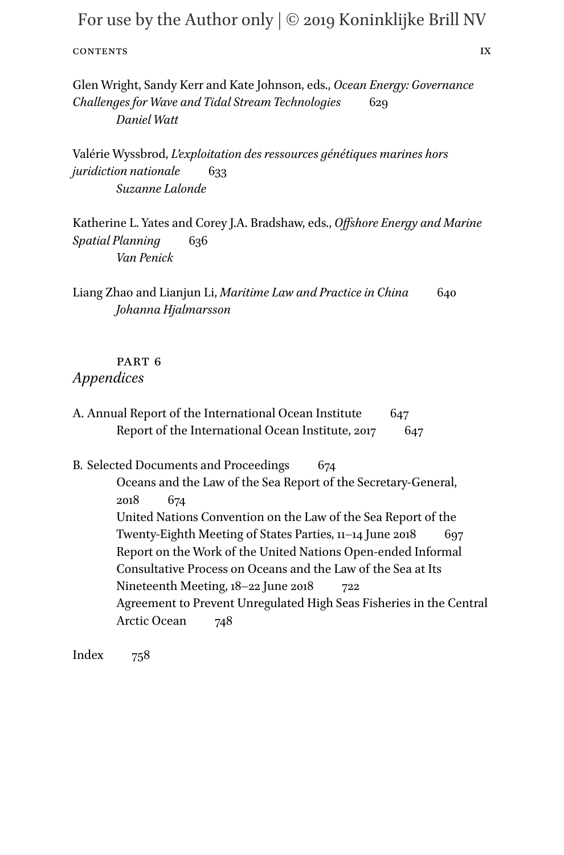CONTENTS IX

Glen Wright, Sandy Kerr and Kate Johnson, eds., *Ocean Energy: Governance Challenges for Wave and Tidal Stream Technologies* 629 *Daniel Watt*

Valérie Wyssbrod, *L'exploitation des ressources génétiques marines hors juridiction nationale* 633 *Suzanne Lalonde*

Katherine L. Yates and Corey J.A. Bradshaw, eds., *Offshore Energy and Marine Spatial Planning* 636 *Van Penick*

Liang Zhao and Lianjun Li, *Maritime Law and Practice in China* 640 *Johanna Hjalmarsson*

# PART<sub>6</sub>

# *Appendices*

A. Annual Report of the International Ocean Institute 647 Report of the International Ocean Institute, 2017 647

B. Selected Documents and Proceedings 674

Oceans and the Law of the Sea Report of the Secretary-General, 2018 674 United Nations Convention on the Law of the Sea Report of the Twenty-Eighth Meeting of States Parties, 11-14 June 2018 697 Report on the Work of the United Nations Open-ended Informal Consultative Process on Oceans and the Law of the Sea at Its Nineteenth Meeting, 18–22 June 2018 722 Agreement to Prevent Unregulated High Seas Fisheries in the Central Arctic Ocean 748

Index 758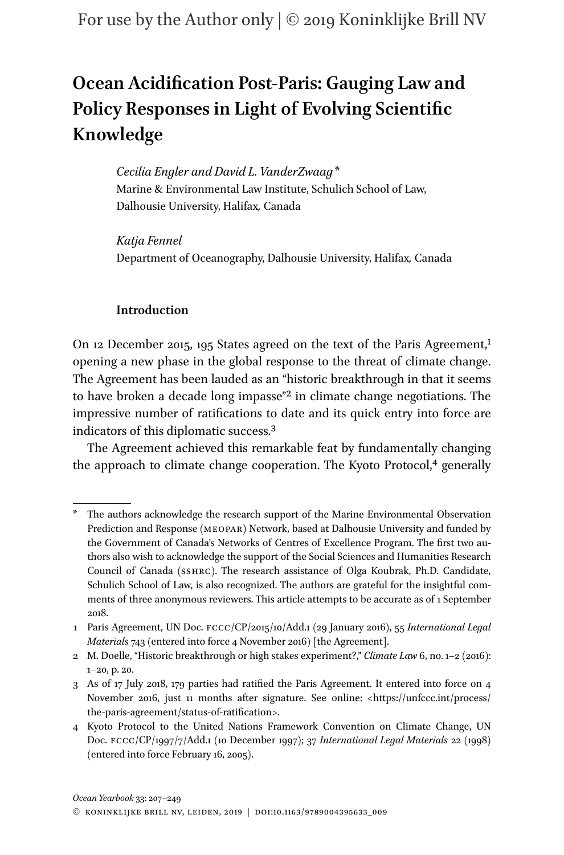# **Ocean Acidification Post-Paris: Gauging Law and Policy Responses in Light of Evolving Scientific Knowledge**

*Cecilia Engler and David L. VanderZwaag[\\*](#page-6-0)* Marine & Environmental Law Institute, Schulich School of Law, Dalhousie University, Halifax*,* Canada

*Katja Fennel* Department of Oceanography, Dalhousie University, Halifax*,* Canada

# **Introduction**

On [1](#page-6-1)2 December 2015, 195 States agreed on the text of the Paris Agreement,<sup>1</sup> opening a new phase in the global response to the threat of climate change. The Agreement has been lauded as an "historic breakthrough in that it seems to have broken a decade long impasse["2](#page-6-2) in climate change negotiations. The impressive number of ratifications to date and its quick entry into force are indicators of this diplomatic success[.3](#page-6-3)

The Agreement achieved this remarkable feat by fundamentally changing the approach to climate change cooperation. The Kyoto Protocol,<sup>4</sup> generally

<span id="page-6-0"></span>The authors acknowledge the research support of the Marine Environmental Observation Prediction and Response (meopar) Network, based at Dalhousie University and funded by the Government of Canada's Networks of Centres of Excellence Program. The first two authors also wish to acknowledge the support of the Social Sciences and Humanities Research Council of Canada (sshrc). The research assistance of Olga Koubrak, Ph.D. Candidate, Schulich School of Law, is also recognized. The authors are grateful for the insightful comments of three anonymous reviewers. This article attempts to be accurate as of 1 September 2018.

<span id="page-6-1"></span><sup>1</sup> Paris Agreement, UN Doc. fccc/CP/2015/10/Add.1 (29 January 2016), 55 *International Legal Materials* 743 (entered into force 4 November 2016) [the Agreement].

<span id="page-6-2"></span><sup>2</sup> M. Doelle, "Historic breakthrough or high stakes experiment?," *Climate Law* 6, no. 1–2 (2016): 1–20, p. 20.

<span id="page-6-3"></span><sup>3</sup> As of 17 July 2018, 179 parties had ratified the Paris Agreement. It entered into force on 4 November 2016, just 11 months after signature. See online: <[https://unfccc.int/process/](https://unfccc.int/process/the-paris-agreement/status-of-ratification) [the-paris-agreement/status-of-ratification>](https://unfccc.int/process/the-paris-agreement/status-of-ratification).

<span id="page-6-4"></span><sup>4</sup> Kyoto Protocol to the United Nations Framework Convention on Climate Change, UN Doc. fccc/CP/1997/7/Add.1 (10 December 1997); 37 *International Legal Materials* 22 (1998) (entered into force February 16, 2005).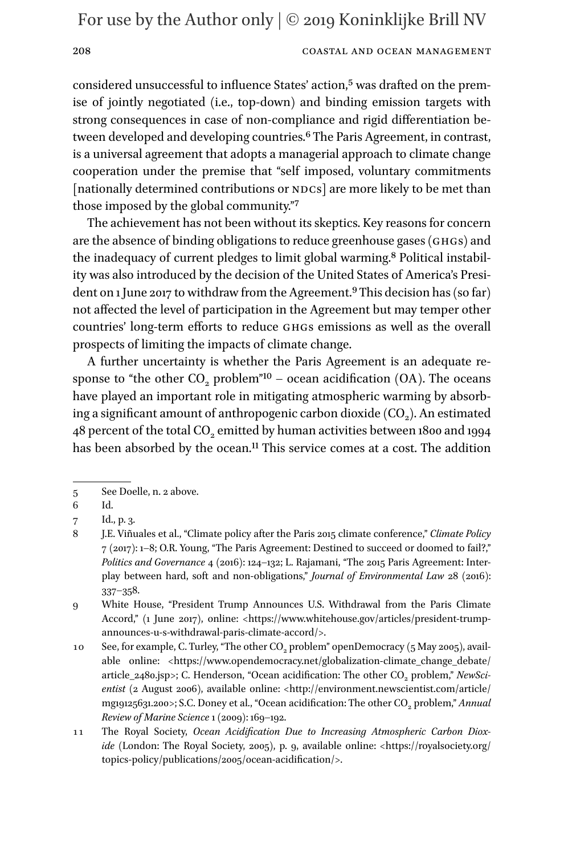### 208 COASTAL AND OCEAN MANAGEMENT

considered unsuccessful to influence States' action,<sup>5</sup> was drafted on the premise of jointly negotiated (i.e., top-down) and binding emission targets with strong consequences in case of non-compliance and rigid differentiation between developed and developing countries[.6](#page-7-1) The Paris Agreement, in contrast, is a universal agreement that adopts a managerial approach to climate change cooperation under the premise that "self imposed, voluntary commitments [nationally determined contributions or NDCs] are more likely to be met than those imposed by the global community."[7](#page-7-2)

The achievement has not been without its skeptics. Key reasons for concern are the absence of binding obligations to reduce greenhouse gases (ghgs) and the inadequacy of current pledges to limit global warming.[8](#page-7-3) Political instability was also introduced by the decision of the United States of America's President on 1 June 2017 to withdraw from the Agreement.<sup>9</sup> This decision has (so far) not affected the level of participation in the Agreement but may temper other countries' long-term efforts to reduce ghgs emissions as well as the overall prospects of limiting the impacts of climate change.

A further uncertainty is whether the Paris Agreement is an adequate response to "the other  $CO<sub>2</sub>$  problem"<sup>10</sup> – ocean acidification (OA). The oceans have played an important role in mitigating atmospheric warming by absorbing a significant amount of anthropogenic carbon dioxide  $(CO<sub>2</sub>)$ . An estimated 48 percent of the total CO<sub>2</sub> emitted by human activities between 1800 and 1994 has been absorbed by the ocean.<sup>11</sup> This service comes at a cost. The addition

<span id="page-7-0"></span><sup>5</sup> See Doelle, n. 2 above.

<span id="page-7-1"></span><sup>6</sup> Id.

<span id="page-7-2"></span><sup>7</sup> Id., p. 3.

<span id="page-7-3"></span><sup>8</sup> J.E. Viñuales et al., "Climate policy after the Paris 2015 climate conference," *Climate Policy* 7 (2017): 1–8; O.R. Young, "The Paris Agreement: Destined to succeed or doomed to fail?," *Politics and Governance* 4 (2016): 124–132; L. Rajamani, "The 2015 Paris Agreement: Interplay between hard, soft and non-obligations," *Journal of Environmental Law* 28 (2016): 337–358.

<span id="page-7-4"></span><sup>9</sup> White House, "President Trump Announces U.S. Withdrawal from the Paris Climate Accord," (1 June 2017), online: <[https://www.whitehouse.gov/articles/president-trump](https://www.whitehouse.gov/articles/president-trump-announces-u-s-withdrawal-paris-climate-accord/)[announces-u-s-withdrawal-paris-climate-accord/>](https://www.whitehouse.gov/articles/president-trump-announces-u-s-withdrawal-paris-climate-accord/).

<span id="page-7-5"></span><sup>10</sup> See, for example, C. Turley, "The other CO<sub>2</sub> problem" openDemocracy (5 May 2005), avail-able online: [<https://www.opendemocracy.net/globalization-climate\\_change\\_debate/](https://www.opendemocracy.net/globalization-climate_change_debate/article_2480.jsp) [article\\_2480.jsp>](https://www.opendemocracy.net/globalization-climate_change_debate/article_2480.jsp); C. Henderson, "Ocean acidification: The other CO<sub>2</sub> problem," *NewSci*entist (2 August 2006), available online: <[http://environment.newscientist.com/article/](http://environment.newscientist.com/article/mg19125631.200) [mg19125631.200>](http://environment.newscientist.com/article/mg19125631.200); S.C. Doney et al., "Ocean acidification: The other CO<sub>2</sub> problem," *Annual Review of Marine Science* 1 (2009): 169–192.

<span id="page-7-6"></span><sup>11</sup> The Royal Society, *Ocean Acidification Due to Increasing Atmospheric Carbon Dioxide* (London: The Royal Society, 2005), p. 9, available online: <[https://royalsociety.org/](https://royalsociety.org/topics-policy/publications/2005/ocean-acidification/) [topics-policy/publications/2005/ocean-acidification/>](https://royalsociety.org/topics-policy/publications/2005/ocean-acidification/).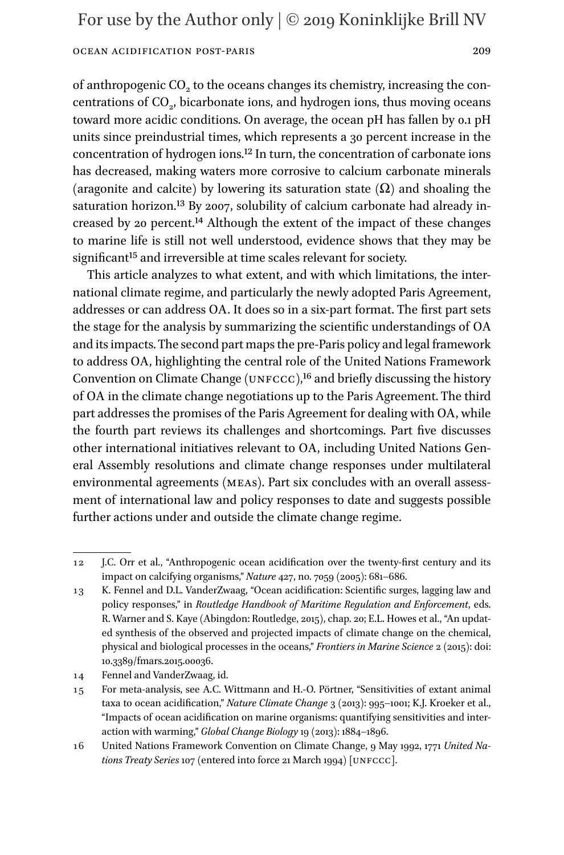of anthropogenic CO<sub>2</sub> to the oceans changes its chemistry, increasing the concentrations of CO<sub>2</sub>, bicarbonate ions, and hydrogen ions, thus moving oceans toward more acidic conditions. On average, the ocean pH has fallen by 0.1 pH units since preindustrial times, which represents a 30 percent increase in the concentration of hydrogen ions[.12](#page-8-0) In turn, the concentration of carbonate ions has decreased, making waters more corrosive to calcium carbonate minerals (aragonite and calcite) by lowering its saturation state  $(\Omega)$  and shoaling the saturation horizon.<sup>[13](#page-8-1)</sup> By 2007, solubility of calcium carbonate had already increased by 20 percent.[14](#page-8-2) Although the extent of the impact of these changes to marine life is still not well understood, evidence shows that they may be significant<sup>[15](#page-8-3)</sup> and irreversible at time scales relevant for society.

This article analyzes to what extent, and with which limitations, the international climate regime, and particularly the newly adopted Paris Agreement, addresses or can address OA. It does so in a six-part format. The first part sets the stage for the analysis by summarizing the scientific understandings of OA and its impacts. The second part maps the pre-Paris policy and legal framework to address OA, highlighting the central role of the United Nations Framework Convention on Climate Change (UNFCCC),<sup>16</sup> and briefly discussing the history of OA in the climate change negotiations up to the Paris Agreement. The third part addresses the promises of the Paris Agreement for dealing with OA, while the fourth part reviews its challenges and shortcomings. Part five discusses other international initiatives relevant to OA, including United Nations General Assembly resolutions and climate change responses under multilateral environmental agreements (meas). Part six concludes with an overall assessment of international law and policy responses to date and suggests possible further actions under and outside the climate change regime.

<span id="page-8-0"></span><sup>12</sup> J.C. Orr et al., "Anthropogenic ocean acidification over the twenty-first century and its impact on calcifying organisms," *Nature* 427, no. 7059 (2005): 681–686.

<span id="page-8-1"></span><sup>13</sup> K. Fennel and D.L. VanderZwaag, "Ocean acidification: Scientific surges, lagging law and policy responses," in *Routledge Handbook of Maritime Regulation and Enforcement*, eds. R. Warner and S. Kaye (Abingdon: Routledge, 2015), chap. 20; E.L. Howes et al., "An updated synthesis of the observed and projected impacts of climate change on the chemical, physical and biological processes in the oceans," *Frontiers in Marine Science* 2 (2015): doi: 10.3389/fmars.2015.00036.

<span id="page-8-2"></span><sup>14</sup> Fennel and VanderZwaag, id.

<span id="page-8-3"></span><sup>15</sup> For meta-analysis, see A.C. Wittmann and H.-O. Pörtner, "Sensitivities of extant animal taxa to ocean acidification," *Nature Climate Change* 3 (2013): 995–1001; K.J. Kroeker et al., "Impacts of ocean acidification on marine organisms: quantifying sensitivities and interaction with warming," *Global Change Biology* 19 (2013): 1884–1896.

<span id="page-8-4"></span><sup>16</sup> United Nations Framework Convention on Climate Change, 9 May 1992, 1771 *United Nations Treaty Series* 107 (entered into force 21 March 1994) [unfccc].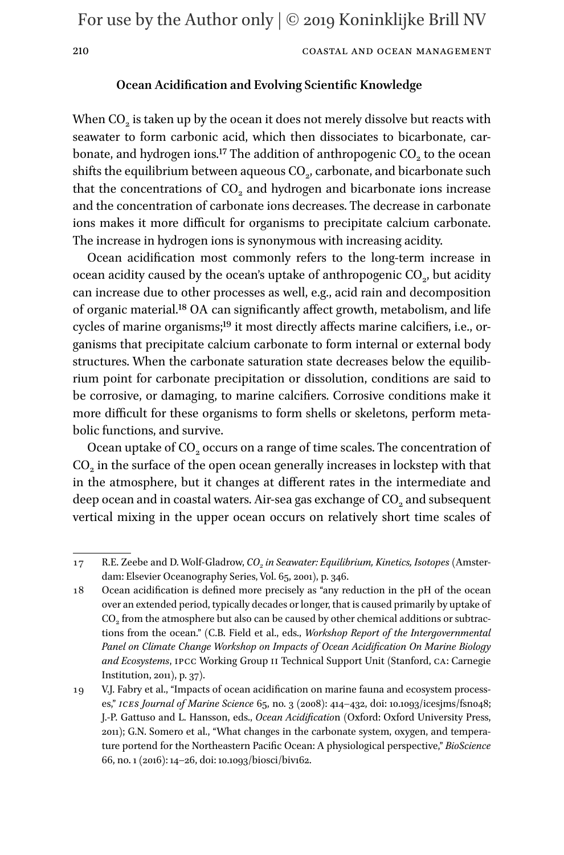### **Ocean Acidification and Evolving Scientific Knowledge**

When  $CO<sub>2</sub>$  is taken up by the ocean it does not merely dissolve but reacts with seawater to form carbonic acid, which then dissociates to bicarbonate, carbonate, and hydrogen ions.<sup>17</sup> The addition of anthropogenic  $CO<sub>2</sub>$  to the ocean shifts the equilibrium between aqueous  $CO<sub>2</sub>$ , carbonate, and bicarbonate such that the concentrations of CO<sub>2</sub> and hydrogen and bicarbonate ions increase and the concentration of carbonate ions decreases. The decrease in carbonate ions makes it more difficult for organisms to precipitate calcium carbonate. The increase in hydrogen ions is synonymous with increasing acidity.

Ocean acidification most commonly refers to the long-term increase in ocean acidity caused by the ocean's uptake of anthropogenic  $CO<sub>2</sub>$ , but acidity can increase due to other processes as well, e.g., acid rain and decomposition of organic material[.18](#page-9-1) OA can significantly affect growth, metabolism, and life cycles of marine organisms;<sup>[19](#page-9-2)</sup> it most directly affects marine calcifiers, i.e., organisms that precipitate calcium carbonate to form internal or external body structures. When the carbonate saturation state decreases below the equilibrium point for carbonate precipitation or dissolution, conditions are said to be corrosive, or damaging, to marine calcifiers. Corrosive conditions make it more difficult for these organisms to form shells or skeletons, perform metabolic functions, and survive.

Ocean uptake of CO<sub>2</sub> occurs on a range of time scales. The concentration of CO<sub>2</sub> in the surface of the open ocean generally increases in lockstep with that in the atmosphere, but it changes at different rates in the intermediate and deep ocean and in coastal waters. Air-sea gas exchange of CO<sub>2</sub> and subsequent vertical mixing in the upper ocean occurs on relatively short time scales of

<span id="page-9-0"></span><sup>17</sup> R.E. Zeebe and D. Wolf-Gladrow, *CO<sub>2</sub> in Seawater: Equilibrium, Kinetics, Isotopes* (Amsterdam: Elsevier Oceanography Series, Vol. 65, 2001), p. 346.

<span id="page-9-1"></span><sup>18</sup> Ocean acidification is defined more precisely as "any reduction in the pH of the ocean over an extended period, typically decades or longer, that is caused primarily by uptake of  $CO<sub>2</sub>$  from the atmosphere but also can be caused by other chemical additions or subtractions from the ocean." (C.B. Field et al., eds., *Workshop Report of the Intergovernmental Panel on Climate Change Workshop on Impacts of Ocean Acidification On Marine Biology and Ecosystems*, ipcc Working Group ii Technical Support Unit (Stanford, ca: Carnegie Institution, 2011), p. 37).

<span id="page-9-2"></span><sup>19</sup> V.J. Fabry et al., "Impacts of ocean acidification on marine fauna and ecosystem processes," *ices Journal of Marine Science* 65, no. 3 (2008): 414–432, doi: 10.1093/icesjms/fsn048; J.-P. Gattuso and L. Hansson, eds., *Ocean Acidificatio*n (Oxford: Oxford University Press, 2011); G.N. Somero et al., "What changes in the carbonate system, oxygen, and temperature portend for the Northeastern Pacific Ocean: A physiological perspective," *BioScience* 66, no. 1 (2016): 14–26, doi: 10.1093/biosci/biv162.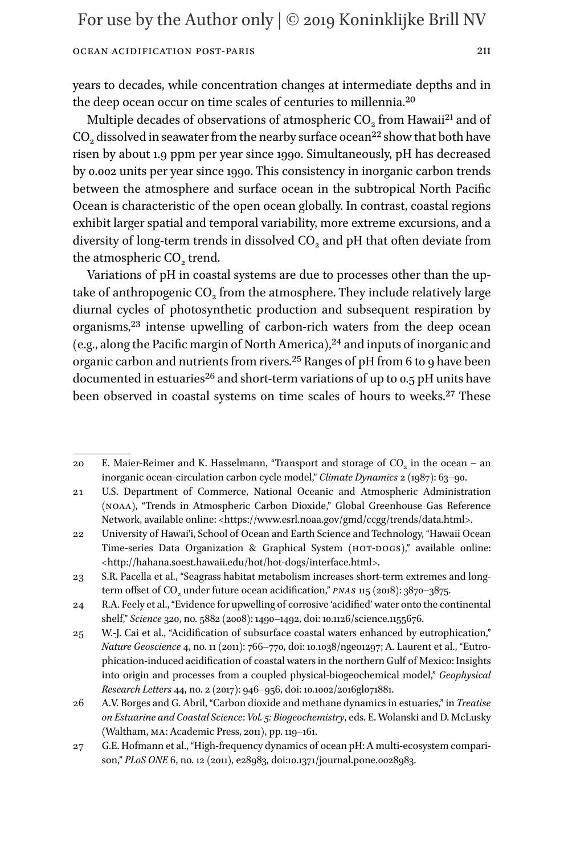years to decades, while concentration changes at intermediate depths and in the deep ocean occur on time scales of centuries to millennia.[20](#page-10-0)

Multiple decades of observations of atmospheric CO<sub>2</sub> from Hawaii<sup>[21](#page-10-1)</sup> and of  $CO<sub>2</sub>$  dissolved in seawater from the nearby surface ocean<sup>[22](#page-10-2)</sup> show that both have risen by about 1.9 ppm per year since 1990. Simultaneously, pH has decreased by 0.002 units per year since 1990. This consistency in inorganic carbon trends between the atmosphere and surface ocean in the subtropical North Pacific Ocean is characteristic of the open ocean globally. In contrast, coastal regions exhibit larger spatial and temporal variability, more extreme excursions, and a diversity of long-term trends in dissolved  $CO<sub>2</sub>$  and pH that often deviate from the atmospheric CO<sub>2</sub> trend.

Variations of pH in coastal systems are due to processes other than the uptake of anthropogenic  $CO<sub>2</sub>$  from the atmosphere. They include relatively large diurnal cycles of photosynthetic production and subsequent respiration by organisms,<sup>23</sup> intense upwelling of carbon-rich waters from the deep ocean (e.g., along the Pacific margin of North America),  $24$  and inputs of inorganic and organic carbon and nutrients from rivers.<sup>25</sup> Ranges of pH from 6 to 9 have been documented in estuaries<sup>26</sup> and short-term variations of up to  $0.5$  pH units have been observed in coastal systems on time scales of hours to weeks.<sup>27</sup> These

<span id="page-10-0"></span><sup>20</sup> E. Maier-Reimer and K. Hasselmann, "Transport and storage of  $CO<sub>2</sub>$  in the ocean – an inorganic ocean-circulation carbon cycle model," *Climate Dynamics* 2 (1987): 63–90.

<span id="page-10-1"></span><sup>21</sup> U.S. Department of Commerce, National Oceanic and Atmospheric Administration (noaa), "Trends in Atmospheric Carbon Dioxide," Global Greenhouse Gas Reference Network, available online: <<https://www.esrl.noaa.gov/gmd/ccgg/trends/data.html>>.

<span id="page-10-2"></span><sup>22</sup> University of Hawai'i, School of Ocean and Earth Science and Technology, "Hawaii Ocean Time-series Data Organization & Graphical System (HOT-DOGS)," available online: <[http://hahana.soest.hawaii.edu/hot/hot-dogs/interface.html>](http://hahana.soest.hawaii.edu/hot/hot-dogs/interface.html).

<span id="page-10-3"></span><sup>23</sup> S.R. Pacella et al., "Seagrass habitat metabolism increases short-term extremes and longterm offset of CO<sub>2</sub> under future ocean acidification," *PNAS* 115 (2018): 3870-3875.

<span id="page-10-4"></span><sup>24</sup> R.A. Feely et al., "Evidence for upwelling of corrosive 'acidified' water onto the continental shelf," *Science* 320, no. 5882 (2008): 1490–1492, doi: 10.1126/science.1155676.

<span id="page-10-5"></span><sup>25</sup> W.-J. Cai et al., "Acidification of subsurface coastal waters enhanced by eutrophication," *Nature Geoscience* 4, no. 11 (2011): 766–770, doi: 10.1038/ngeo1297; A. Laurent et al., "Eutrophication-induced acidification of coastal waters in the northern Gulf of Mexico: Insights into origin and processes from a coupled physical-biogeochemical model," *Geophysical Research Letters* 44, no. 2 (2017): 946–956, doi: 10.1002/2016gl071881.

<span id="page-10-6"></span><sup>26</sup> A.V. Borges and G. Abril, "Carbon dioxide and methane dynamics in estuaries," in *Treatise on Estuarine and Coastal Science*: *Vol. 5: Biogeochemistry*, eds. E. Wolanski and D. McLusky (Waltham, ma: Academic Press, 2011), pp. 119–161.

<span id="page-10-7"></span><sup>27</sup> G.E. Hofmann et al., "High-frequency dynamics of ocean pH: A multi-ecosystem comparison," *PLoS ONE* 6, no. 12 (2011), e28983, doi:10.1371/journal.pone.0028983.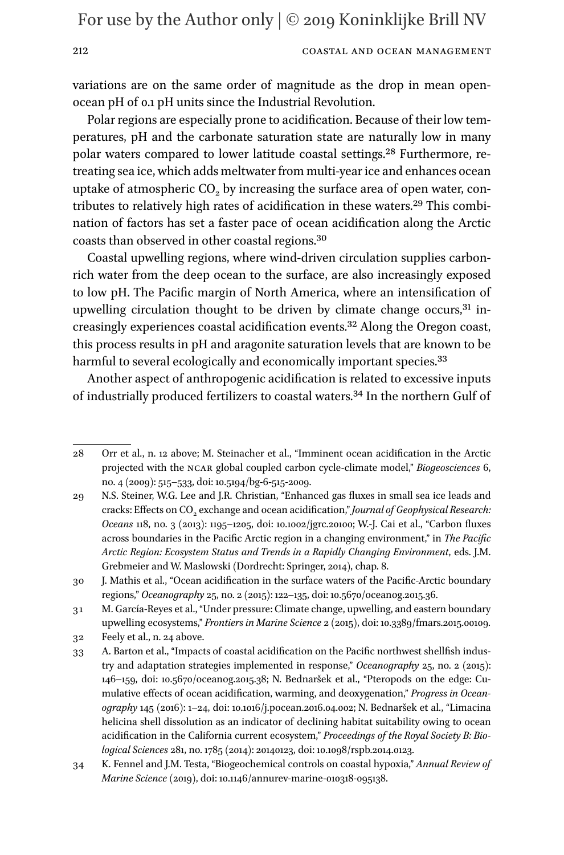#### 212 COASTAL AND OCEAN MANAGEMENT

variations are on the same order of magnitude as the drop in mean openocean pH of 0.1 pH units since the Industrial Revolution.

Polar regions are especially prone to acidification. Because of their low temperatures, pH and the carbonate saturation state are naturally low in many polar waters compared to lower latitude coastal settings.[28](#page-11-0) Furthermore, retreating sea ice, which adds meltwater from multi-year ice and enhances ocean uptake of atmospheric CO<sub>2</sub> by increasing the surface area of open water, contributes to relatively high rates of acidification in these waters.[29](#page-11-1) This combination of factors has set a faster pace of ocean acidification along the Arctic coasts than observed in other coastal regions.[30](#page-11-2)

Coastal upwelling regions, where wind-driven circulation supplies carbonrich water from the deep ocean to the surface, are also increasingly exposed to low pH. The Pacific margin of North America, where an intensification of upwelling circulation thought to be driven by climate change occurs,<sup>[31](#page-11-3)</sup> increasingly experiences coastal acidification events.[32](#page-11-4) Along the Oregon coast, this process results in pH and aragonite saturation levels that are known to be harmful to several ecologically and economically important species.<sup>[33](#page-11-5)</sup>

Another aspect of anthropogenic acidification is related to excessive inputs of industrially produced fertilizers to coastal waters[.34](#page-11-6) In the northern Gulf of

<span id="page-11-0"></span><sup>28</sup> Orr et al., n. 12 above; M. Steinacher et al., "Imminent ocean acidification in the Arctic projected with the ncar global coupled carbon cycle-climate model," *Biogeosciences* 6, no. 4 (2009): 515–533, doi: 10.5194/bg-6-515-2009.

<span id="page-11-1"></span><sup>29</sup> N.S. Steiner, W.G. Lee and J.R. Christian, "Enhanced gas fluxes in small sea ice leads and cracks: Effects on CO<sub>2</sub> exchange and ocean acidification," *Journal of Geophysical Research: Oceans* 118, no. 3 (2013): 1195–1205, doi: 10.1002/jgrc.20100; W.-J. Cai et al., "Carbon fluxes across boundaries in the Pacific Arctic region in a changing environment," in *The Pacific Arctic Region: Ecosystem Status and Trends in a Rapidly Changing Environment*, eds. J.M. Grebmeier and W. Maslowski (Dordrecht: Springer, 2014), chap. 8.

<span id="page-11-2"></span><sup>30</sup> J. Mathis et al., "Ocean acidification in the surface waters of the Pacific-Arctic boundary regions," *Oceanography* 25, no. 2 (2015): 122–135, doi: 10.5670/oceanog.2015.36.

<span id="page-11-3"></span><sup>31</sup> M. García-Reyes et al., "Under pressure: Climate change, upwelling, and eastern boundary upwelling ecosystems," *Frontiers in Marine Science* 2 (2015), doi: 10.3389/fmars.2015.00109.

<span id="page-11-4"></span><sup>32</sup> Feely et al., n. 24 above.

<span id="page-11-5"></span><sup>33</sup> A. Barton et al., "Impacts of coastal acidification on the Pacific northwest shellfish industry and adaptation strategies implemented in response," *Oceanography* 25, no. 2 (2015): 146–159, doi: 10.5670/oceanog.2015.38; N. Bednaršek et al., "Pteropods on the edge: Cumulative effects of ocean acidification, warming, and deoxygenation," *Progress in Oceanography* 145 (2016): 1–24, doi: 10.1016/j.pocean.2016.04.002; N. Bednaršek et al., "Limacina helicina shell dissolution as an indicator of declining habitat suitability owing to ocean acidification in the California current ecosystem," *Proceedings of the Royal Society B: Biological Sciences* 281, no. 1785 (2014): 20140123, doi: 10.1098/rspb.2014.0123.

<span id="page-11-6"></span><sup>34</sup> K. Fennel and J.M. Testa, "Biogeochemical controls on coastal hypoxia," *Annual Review of Marine Science* (2019), doi: 10.1146/annurev-marine-010318-095138.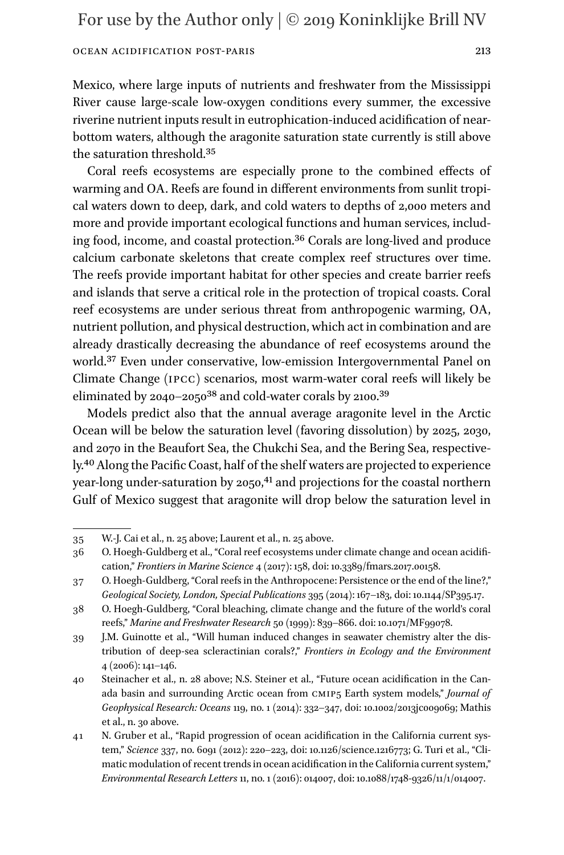Mexico, where large inputs of nutrients and freshwater from the Mississippi River cause large-scale low-oxygen conditions every summer, the excessive riverine nutrient inputs result in eutrophication-induced acidification of nearbottom waters, although the aragonite saturation state currently is still above the saturation threshold[.35](#page-12-0)

Coral reefs ecosystems are especially prone to the combined effects of warming and OA. Reefs are found in different environments from sunlit tropical waters down to deep, dark, and cold waters to depths of 2,000 meters and more and provide important ecological functions and human services, including food, income, and coastal protection.[36](#page-12-1) Corals are long-lived and produce calcium carbonate skeletons that create complex reef structures over time. The reefs provide important habitat for other species and create barrier reefs and islands that serve a critical role in the protection of tropical coasts. Coral reef ecosystems are under serious threat from anthropogenic warming, OA, nutrient pollution, and physical destruction, which act in combination and are already drastically decreasing the abundance of reef ecosystems around the world[.37](#page-12-2) Even under conservative, low-emission Intergovernmental Panel on Climate Change (ipcc) scenarios, most warm-water coral reefs will likely be eliminated by  $2040-2050^{38}$  and cold-water corals by  $2100.^{39}$  $2100.^{39}$  $2100.^{39}$ 

Models predict also that the annual average aragonite level in the Arctic Ocean will be below the saturation level (favoring dissolution) by 2025, 2030, and 2070 in the Beaufort Sea, the Chukchi Sea, and the Bering Sea, respectively[.40](#page-12-5) Along the Pacific Coast, half of the shelf waters are projected to experience year-long under-saturation by 2050,<sup>[41](#page-12-6)</sup> and projections for the coastal northern Gulf of Mexico suggest that aragonite will drop below the saturation level in

<span id="page-12-0"></span><sup>35</sup> W.-J. Cai et al., n. 25 above; Laurent et al., n. 25 above.

<span id="page-12-1"></span><sup>36</sup> O. Hoegh-Guldberg et al., "Coral reef ecosystems under climate change and ocean acidification," *Frontiers in Marine Science* 4 (2017): 158, doi: 10.3389/fmars.2017.00158.

<span id="page-12-2"></span><sup>37</sup> O. Hoegh-Guldberg, "Coral reefs in the Anthropocene: Persistence or the end of the line?," *Geological Society, London, Special Publications* 395 (2014): 167–183, doi: 10.1144/SP395.17.

<span id="page-12-3"></span><sup>38</sup> O. Hoegh-Guldberg, "Coral bleaching, climate change and the future of the world's coral reefs," *Marine and Freshwater Research* 50 (1999): 839–866. doi: 10.1071/MF99078.

<span id="page-12-4"></span><sup>39</sup> J.M. Guinotte et al., "Will human induced changes in seawater chemistry alter the distribution of deep-sea scleractinian corals?," *Frontiers in Ecology and the Environment* 4 (2006): 141–146.

<span id="page-12-5"></span><sup>40</sup> Steinacher et al., n. 28 above; N.S. Steiner et al., "Future ocean acidification in the Canada basin and surrounding Arctic ocean from cmip5 Earth system models," *Journal of Geophysical Research: Oceans* 119, no. 1 (2014): 332–347, doi: 10.1002/2013jc009069; Mathis et al., n. 30 above.

<span id="page-12-6"></span><sup>41</sup> N. Gruber et al., "Rapid progression of ocean acidification in the California current system," *Science* 337, no. 6091 (2012): 220–223, doi: 10.1126/science.1216773; G. Turi et al., "Climatic modulation of recent trends in ocean acidification in the California current system," *Environmental Research Letters* 11, no. 1 (2016): 014007, doi: 10.1088/1748-9326/11/1/014007.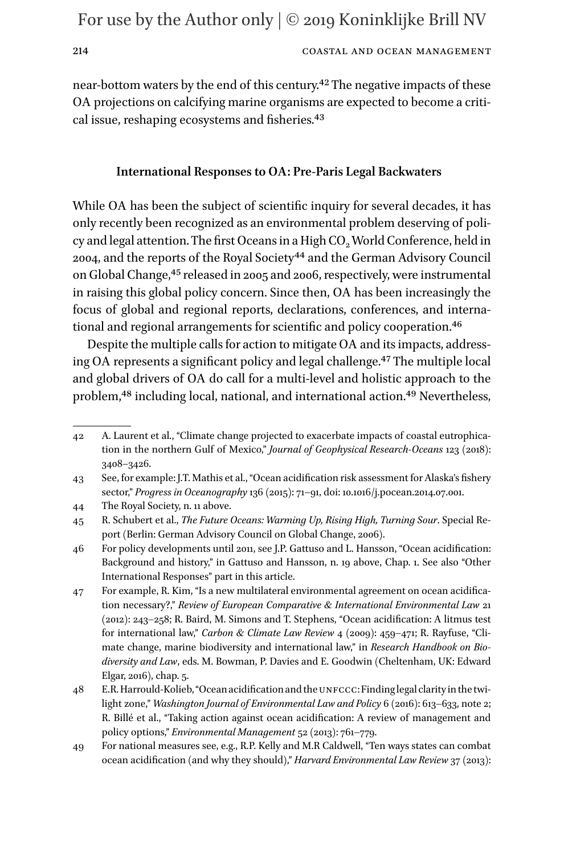214 COASTAL AND OCEAN MANAGEMENT

near-bottom waters by the end of this century.[42](#page-13-0) The negative impacts of these OA projections on calcifying marine organisms are expected to become a critical issue, reshaping ecosystems and fisheries[.43](#page-13-1)

### **International Responses to OA: Pre-Paris Legal Backwaters**

While OA has been the subject of scientific inquiry for several decades, it has only recently been recognized as an environmental problem deserving of policy and legal attention. The first Oceans in a High CO<sub>2</sub> World Conference, held in 2004, and the reports of the Royal Society<sup>44</sup> and the German Advisory Council on Global Change[,45](#page-13-3) released in 2005 and 2006, respectively, were instrumental in raising this global policy concern. Since then, OA has been increasingly the focus of global and regional reports, declarations, conferences, and international and regional arrangements for scientific and policy cooperation[.46](#page-13-4)

Despite the multiple calls for action to mitigate OA and its impacts, addressing OA represents a significant policy and legal challenge[.47](#page-13-5) The multiple local and global drivers of OA do call for a multi-level and holistic approach to the problem,<sup>48</sup> including local, national, and international action.<sup>49</sup> Nevertheless,

<span id="page-13-0"></span><sup>42</sup> A. Laurent et al., "Climate change projected to exacerbate impacts of coastal eutrophication in the northern Gulf of Mexico," *Journal of Geophysical Research-Oceans* 123 (2018): 3408–3426.

<span id="page-13-1"></span><sup>43</sup> See, for example: J.T. Mathis et al., "Ocean acidification risk assessment for Alaska's fishery sector," *Progress in Oceanography* 136 (2015): 71–91, doi: 10.1016/j.pocean.2014.07.001.

<span id="page-13-2"></span><sup>44</sup> The Royal Society, n. 11 above.

<span id="page-13-3"></span><sup>45</sup> R. Schubert et al., *The Future Oceans: Warming Up, Rising High, Turning Sour*. Special Report (Berlin: German Advisory Council on Global Change, 2006).

<span id="page-13-4"></span><sup>46</sup> For policy developments until 2011, see J.P. Gattuso and L. Hansson, "Ocean acidification: Background and history," in Gattuso and Hansson, n. 19 above, Chap. 1. See also "Other International Responses" part in this article.

<span id="page-13-5"></span><sup>47</sup> For example, R. Kim, "Is a new multilateral environmental agreement on ocean acidification necessary?," *Review of European Comparative & International Environmental Law* 21 (2012): 243–258; R. Baird, M. Simons and T. Stephens, "Ocean acidification: A litmus test for international law," *Carbon & Climate Law Review* 4 (2009): 459–471; R. Rayfuse, "Climate change, marine biodiversity and international law," in *Research Handbook on Biodiversity and Law*, eds. M. Bowman, P. Davies and E. Goodwin (Cheltenham, UK: Edward Elgar, 2016), chap. 5.

<span id="page-13-6"></span><sup>48</sup> E.R. Harrould-Kolieb, "Ocean acidification and the unfccc: Finding legal clarity in the twilight zone," *Washington Journal of Environmental Law and Policy* 6 (2016): 613–633, note 2; R. Billé et al., "Taking action against ocean acidification: A review of management and policy options," *Environmental Management* 52 (2013): 761–779.

<span id="page-13-7"></span><sup>49</sup> For national measures see, e.g., R.P. Kelly and M.R Caldwell, "Ten ways states can combat ocean acidification (and why they should)," *Harvard Environmental Law Review* 37 (2013):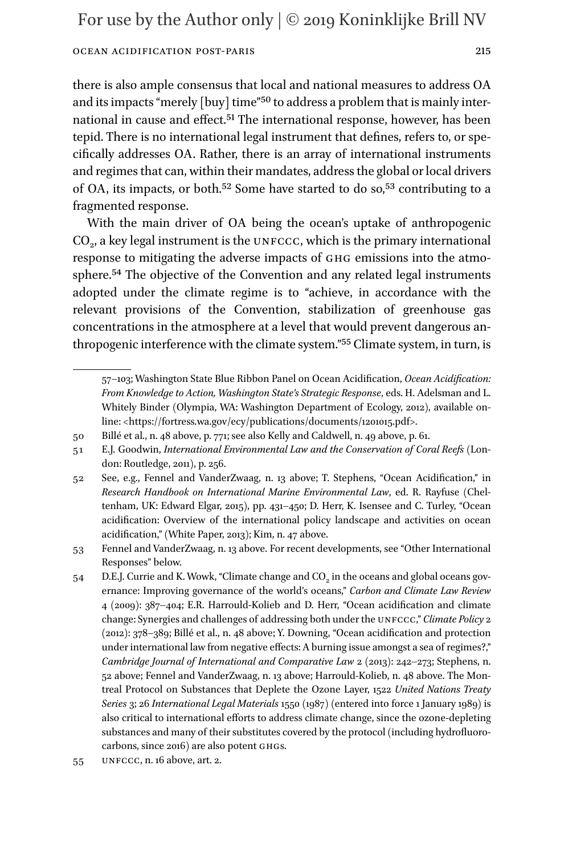there is also ample consensus that local and national measures to address OA and its impacts "merely [buy] time"<sup>50</sup> to address a problem that is mainly international in cause and effect.<sup>51</sup> The international response, however, has been tepid. There is no international legal instrument that defines, refers to, or specifically addresses OA. Rather, there is an array of international instruments and regimes that can, within their mandates, address the global or local drivers of OA, its impacts, or both.[52](#page-14-2) Some have started to do so[,53](#page-14-3) contributing to a fragmented response.

With the main driver of OA being the ocean's uptake of anthropogenic  $CO<sub>2</sub>$ , a key legal instrument is the UNFCCC, which is the primary international response to mitigating the adverse impacts of ghg emissions into the atmosphere[.54](#page-14-4) The objective of the Convention and any related legal instruments adopted under the climate regime is to "achieve, in accordance with the relevant provisions of the Convention, stabilization of greenhouse gas concentrations in the atmosphere at a level that would prevent dangerous anthropogenic interference with the climate system.["55](#page-14-5) Climate system, in turn, is

<sup>57–103;</sup> Washington State Blue Ribbon Panel on Ocean Acidification, *Ocean Acidification: From Knowledge to Action, Washington State's Strategic Response*, eds. H. Adelsman and L. Whitely Binder (Olympia, WA: Washington Department of Ecology, 2012), available online: [<https://fortress.wa.gov/ecy/publications/documents/1201015.pdf](https://fortress.wa.gov/ecy/publications/documents/1201015.pdf)>.

<span id="page-14-0"></span><sup>50</sup> Billé et al., n. 48 above, p. 771; see also Kelly and Caldwell, n. 49 above, p. 61.

<span id="page-14-1"></span><sup>51</sup> E.J. Goodwin, *International Environmental Law and the Conservation of Coral Reefs* (London: Routledge, 2011), p. 256.

<span id="page-14-2"></span><sup>52</sup> See, e.g., Fennel and VanderZwaag, n. 13 above; T. Stephens, "Ocean Acidification," in *Research Handbook on International Marine Environmental Law*, ed. R. Rayfuse (Cheltenham, UK: Edward Elgar, 2015), pp. 431–450; D. Herr, K. Isensee and C. Turley, "Ocean acidification: Overview of the international policy landscape and activities on ocean acidification," (White Paper, 2013); Kim, n. 47 above.

<span id="page-14-3"></span><sup>53</sup> Fennel and VanderZwaag, n. 13 above. For recent developments, see "Other International Responses" below.

<span id="page-14-4"></span><sup>54</sup> D.E.J. Currie and K. Wowk, "Climate change and  $CO<sub>2</sub>$  in the oceans and global oceans governance: Improving governance of the world's oceans," *Carbon and Climate Law Review* 4 (2009): 387–404; E.R. Harrould-Kolieb and D. Herr, "Ocean acidification and climate change: Synergies and challenges of addressing both under the unfccc," *Climate Policy* 2 (2012): 378–389; Billé et al., n. 48 above; Y. Downing, "Ocean acidification and protection under international law from negative effects: A burning issue amongst a sea of regimes?," *Cambridge Journal of International and Comparative Law* 2 (2013): 242–273; Stephens, n. 52 above; Fennel and VanderZwaag, n. 13 above; Harrould-Kolieb, n. 48 above. The Montreal Protocol on Substances that Deplete the Ozone Layer, 1522 *United Nations Treaty Series* 3; 26 *International Legal Materials* 1550 (1987) (entered into force 1 January 1989) is also critical to international efforts to address climate change, since the ozone-depleting substances and many of their substitutes covered by the protocol (including hydrofluorocarbons, since 2016) are also potent ghgs.

<span id="page-14-5"></span><sup>55</sup> unfccc, n. 16 above, art. 2.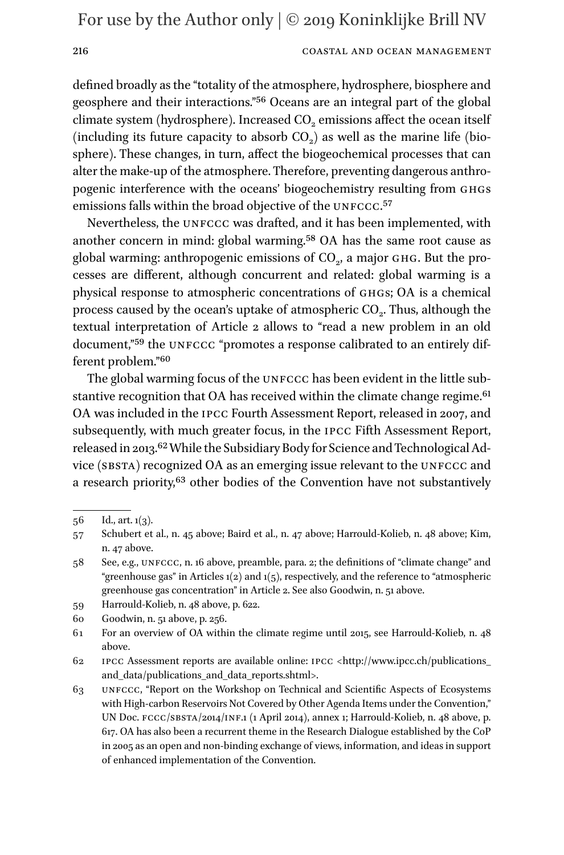### 216 COASTAL AND OCEAN MANAGEMENT

defined broadly as the "totality of the atmosphere, hydrosphere, biosphere and geosphere and their interactions."[56](#page-15-0) Oceans are an integral part of the global climate system (hydrosphere). Increased CO<sub>2</sub> emissions affect the ocean itself (including its future capacity to absorb  $CO<sub>2</sub>$ ) as well as the marine life (biosphere). These changes, in turn, affect the biogeochemical processes that can alter the make-up of the atmosphere. Therefore, preventing dangerous anthropogenic interference with the oceans' biogeochemistry resulting from ghgs emissions falls within the broad objective of the UNFCCC.<sup>57</sup>

Nevertheless, the UNFCCC was drafted, and it has been implemented, with another concern in mind: global warming[.58](#page-15-2) OA has the same root cause as global warming: anthropogenic emissions of  $CO<sub>2</sub>$ , a major GHG. But the processes are different, although concurrent and related: global warming is a physical response to atmospheric concentrations of GHGs; OA is a chemical process caused by the ocean's uptake of atmospheric  $CO<sub>2</sub>$ . Thus, although the textual interpretation of Article 2 allows to "read a new problem in an old document,"<sup>59</sup> the UNFCCC "promotes a response calibrated to an entirely different problem."[60](#page-15-4)

The global warming focus of the UNFCCC has been evident in the little sub-stantive recognition that OA has received within the climate change regime.<sup>[61](#page-15-5)</sup> OA was included in the ipcc Fourth Assessment Report, released in 2007, and subsequently, with much greater focus, in the ipcc Fifth Assessment Report, released in 2013.<sup>62</sup> While the Subsidiary Body for Science and Technological Advice (SBSTA) recognized OA as an emerging issue relevant to the UNFCCC and a research priority,<sup>63</sup> other bodies of the Convention have not substantively

<span id="page-15-0"></span> $56$  Id., art.  $1(3)$ .

<span id="page-15-1"></span><sup>57</sup> Schubert et al., n. 45 above; Baird et al., n. 47 above; Harrould-Kolieb, n. 48 above; Kim, n. 47 above.

<span id="page-15-2"></span><sup>58</sup> See, e.g., unfccc, n. 16 above, preamble, para. 2; the definitions of "climate change" and "greenhouse gas" in Articles  $1(2)$  and  $1(5)$ , respectively, and the reference to "atmospheric greenhouse gas concentration" in Article 2. See also Goodwin, n. 51 above.

<span id="page-15-3"></span><sup>59</sup> Harrould-Kolieb, n. 48 above, p. 622.

<span id="page-15-4"></span><sup>60</sup> Goodwin, n. 51 above, p. 256.

<span id="page-15-5"></span><sup>61</sup> For an overview of OA within the climate regime until 2015, see Harrould-Kolieb, n. 48 above.

<span id="page-15-6"></span><sup>62</sup> ipcc Assessment reports are available online: ipcc [<http://www.ipcc.ch/publications\\_](http://www.ipcc.ch/publications_and_data/publications_and_data_reports.shtml) [and\\_data/publications\\_and\\_data\\_reports.shtml](http://www.ipcc.ch/publications_and_data/publications_and_data_reports.shtml)>.

<span id="page-15-7"></span><sup>63</sup> unfccc, "Report on the Workshop on Technical and Scientific Aspects of Ecosystems with High-carbon Reservoirs Not Covered by Other Agenda Items under the Convention," UN Doc.  $\text{FCCC}/\text{SBSTA}/\text{2014}/\text{INF.1}$  (1 April 2014), annex 1; Harrould-Kolieb, n. 48 above, p. 617. OA has also been a recurrent theme in the Research Dialogue established by the CoP in 2005 as an open and non-binding exchange of views, information, and ideas in support of enhanced implementation of the Convention.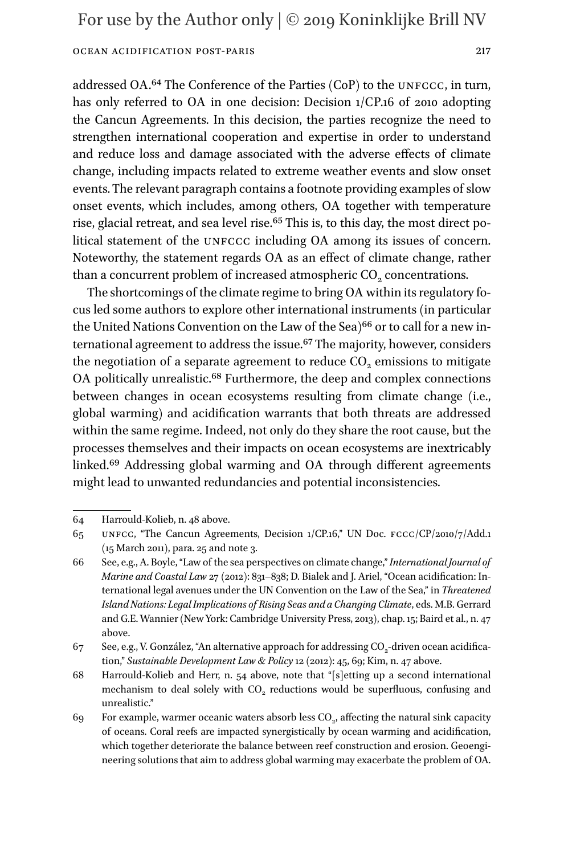addressed OA.<sup>64</sup> The Conference of the Parties (CoP) to the UNFCCC, in turn, has only referred to OA in one decision: Decision 1/CP.16 of 2010 adopting the Cancun Agreements. In this decision, the parties recognize the need to strengthen international cooperation and expertise in order to understand and reduce loss and damage associated with the adverse effects of climate change, including impacts related to extreme weather events and slow onset events. The relevant paragraph contains a footnote providing examples of slow onset events, which includes, among others, OA together with temperature rise, glacial retreat, and sea level rise.<sup>[65](#page-16-1)</sup> This is, to this day, the most direct political statement of the UNFCCC including OA among its issues of concern. Noteworthy, the statement regards OA as an effect of climate change, rather than a concurrent problem of increased atmospheric CO<sub>2</sub> concentrations.

The shortcomings of the climate regime to bring OA within its regulatory focus led some authors to explore other international instruments (in particular the United Nations Convention on the Law of the Sea)<sup>66</sup> or to call for a new international agreement to address the issue.<sup>67</sup> The majority, however, considers the negotiation of a separate agreement to reduce  $CO<sub>2</sub>$  emissions to mitigate OA politically unrealistic.<sup>68</sup> Furthermore, the deep and complex connections between changes in ocean ecosystems resulting from climate change (i.e., global warming) and acidification warrants that both threats are addressed within the same regime. Indeed, not only do they share the root cause, but the processes themselves and their impacts on ocean ecosystems are inextricably linked[.69](#page-16-5) Addressing global warming and OA through different agreements might lead to unwanted redundancies and potential inconsistencies.

<span id="page-16-0"></span><sup>64</sup> Harrould-Kolieb, n. 48 above.

<span id="page-16-1"></span><sup>65</sup> unfcc, "The Cancun Agreements, Decision 1/CP.16," UN Doc. fccc/CP/2010/7/Add.1 (15 March 2011), para. 25 and note 3.

<span id="page-16-2"></span><sup>66</sup> See, e.g., A. Boyle, "Law of the sea perspectives on climate change," *International Journal of Marine and Coastal Law* 27 (2012): 831–838; D. Bialek and J. Ariel, "Ocean acidification: International legal avenues under the UN Convention on the Law of the Sea," in *Threatened Island Nations: Legal Implications of Rising Seas and a Changing Climate*, eds. M.B. Gerrard and G.E. Wannier (New York: Cambridge University Press, 2013), chap. 15; Baird et al., n. 47 above.

<span id="page-16-3"></span><sup>67</sup> See, e.g., V. González, "An alternative approach for addressing  $CO<sub>2</sub>$ -driven ocean acidification," *Sustainable Development Law & Policy* 12 (2012): 45, 69; Kim, n. 47 above.

<span id="page-16-4"></span><sup>68</sup> Harrould-Kolieb and Herr, n. 54 above, note that "[s]etting up a second international mechanism to deal solely with CO<sub>2</sub> reductions would be superfluous, confusing and unrealistic."

<span id="page-16-5"></span><sup>69</sup> For example, warmer oceanic waters absorb less  $CO<sub>2</sub>$ , affecting the natural sink capacity of oceans. Coral reefs are impacted synergistically by ocean warming and acidification, which together deteriorate the balance between reef construction and erosion. Geoengineering solutions that aim to address global warming may exacerbate the problem of OA.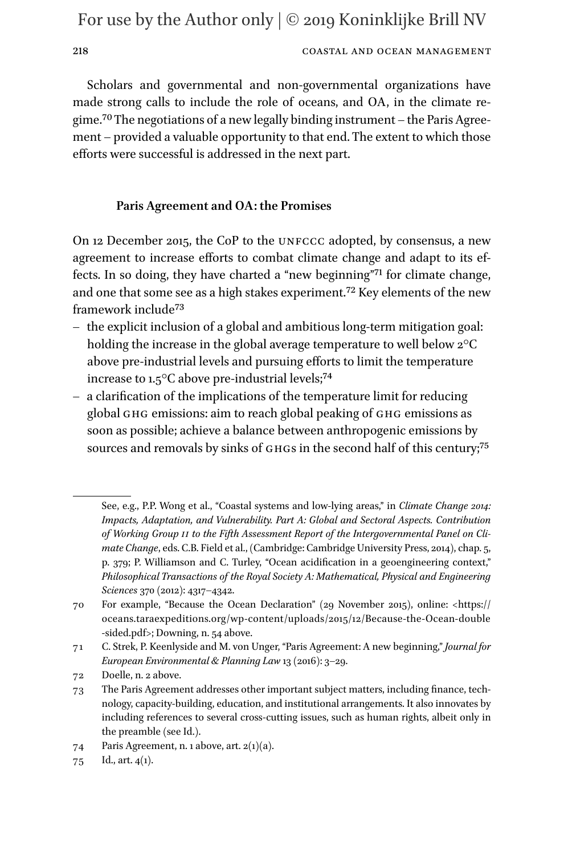### 218 COASTAL AND OCEAN MANAGEMENT

Scholars and governmental and non-governmental organizations have made strong calls to include the role of oceans, and OA, in the climate regime.[70](#page-17-0) The negotiations of a new legally binding instrument – the Paris Agreement – provided a valuable opportunity to that end. The extent to which those efforts were successful is addressed in the next part.

### **Paris Agreement and OA: the Promises**

On 12 December 2015, the CoP to the unfccc adopted, by consensus, a new agreement to increase efforts to combat climate change and adapt to its effects. In so doing, they have charted a "new beginning"[71](#page-17-1) for climate change, and one that some see as a high stakes experiment.<sup>[72](#page-17-2)</sup> Key elements of the new framework includ[e73](#page-17-3)

- the explicit inclusion of a global and ambitious long-term mitigation goal: holding the increase in the global average temperature to well below 2°C above pre-industrial levels and pursuing efforts to limit the temperature increase to 1.5°C above pre-industrial levels;[74](#page-17-4)
- a clarification of the implications of the temperature limit for reducing global GHG emissions: aim to reach global peaking of GHG emissions as soon as possible; achieve a balance between anthropogenic emissions by sources and removals by sinks of GHGs in the second half of this century;<sup>[75](#page-17-5)</sup>

See, e.g., P.P. Wong et al., "Coastal systems and low-lying areas," in *Climate Change 2014: Impacts, Adaptation, and Vulnerability. Part A: Global and Sectoral Aspects. Contribution of Working Group ii to the Fifth Assessment Report of the Intergovernmental Panel on Climate Change*, eds. C.B. Field et al., (Cambridge: Cambridge University Press, 2014), chap. 5, p. 379; P. Williamson and C. Turley, "Ocean acidification in a geoengineering context," *Philosophical Transactions of the Royal Society A: Mathematical, Physical and Engineering Sciences* 370 (2012): 4317–4342.

<span id="page-17-0"></span><sup>70</sup> For example, "Because the Ocean Declaration" (29 November 2015), online: [<https://](https://oceans.taraexpeditions.org/wp-content/uploads/2015/12/Because-the-Ocean-double-sided.pdf) [oceans.taraexpeditions.org/wp-content/uploads/2015/12/Because-the-Ocean-double](https://oceans.taraexpeditions.org/wp-content/uploads/2015/12/Because-the-Ocean-double-sided.pdf) [-sided.pdf>](https://oceans.taraexpeditions.org/wp-content/uploads/2015/12/Because-the-Ocean-double-sided.pdf); Downing, n. 54 above.

<span id="page-17-1"></span><sup>71</sup> C. Strek, P. Keenlyside and M. von Unger, "Paris Agreement: A new beginning," *Journal for European Environmental & Planning Law* 13 (2016): 3–29.

<span id="page-17-2"></span><sup>72</sup> Doelle, n. 2 above.

<span id="page-17-3"></span><sup>73</sup> The Paris Agreement addresses other important subject matters, including finance, technology, capacity-building, education, and institutional arrangements. It also innovates by including references to several cross-cutting issues, such as human rights, albeit only in the preamble (see Id.).

<span id="page-17-4"></span><sup>74</sup> Paris Agreement, n. 1 above, art.  $2(1)(a)$ .

<span id="page-17-5"></span><sup>75</sup> Id., art.  $4(1)$ .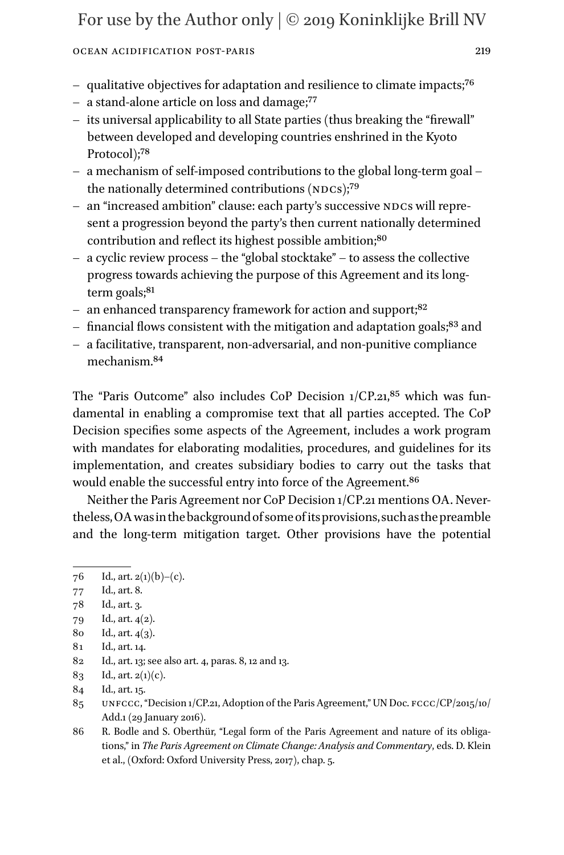### Ocean Acidification Post-Paris 219

- qualitative objectives for adaptation and resilience to climate impacts[;76](#page-18-0)
- a stand-alone article on loss and damage[;77](#page-18-1)
- its universal applicability to all State parties (thus breaking the "firewall" between developed and developing countries enshrined in the Kyoto Protocol);<sup>78</sup>
- a mechanism of self-imposed contributions to the global long-term goal the nationally determined contributions  $(NDCs)$ ;<sup>79</sup>
- an "increased ambition" clause: each party's successive NDCs will represent a progression beyond the party's then current nationally determined contribution and reflect its highest possible ambition;<sup>[80](#page-18-4)</sup>
- a cyclic review process the "global stocktake" to assess the collective progress towards achieving the purpose of this Agreement and its long-term goals;<sup>[81](#page-18-5)</sup>
- an enhanced transparency framework for action and support;<sup>82</sup>
- financial flows consistent with the mitigation and adaptation goals; $83$  and
- a facilitative, transparent, non-adversarial, and non-punitive compliance mechanism[.84](#page-18-8)

The "Paris Outcome" also includes CoP Decision  $1/CP.21$ <sup>85</sup> which was fundamental in enabling a compromise text that all parties accepted. The CoP Decision specifies some aspects of the Agreement, includes a work program with mandates for elaborating modalities, procedures, and guidelines for its implementation, and creates subsidiary bodies to carry out the tasks that would enable the successful entry into force of the Agreement.<sup>[86](#page-18-10)</sup>

Neither the Paris Agreement nor CoP Decision 1/CP.21 mentions OA. Nevertheless, OA was in the background of some of its provisions, such as the preamble and the long-term mitigation target. Other provisions have the potential

<span id="page-18-0"></span><sup>76</sup> Id., art.  $2(1)(b)-(c)$ .

<span id="page-18-1"></span><sup>77</sup> Id., art. 8.

<span id="page-18-2"></span><sup>78</sup> Id., art. 3.

<span id="page-18-3"></span><sup>79</sup> Id., art. 4(2).

<span id="page-18-4"></span><sup>80</sup> Id., art. 4(3).

<span id="page-18-5"></span><sup>81</sup> Id., art. 14.

<span id="page-18-6"></span><sup>82</sup> Id., art. 13; see also art. 4, paras. 8, 12 and 13.

<span id="page-18-7"></span><sup>83</sup> Id., art. 2(1)(c).

<span id="page-18-8"></span><sup>84</sup> Id., art. 15.

<span id="page-18-9"></span><sup>85</sup> UNFCCC, "Decision 1/CP.21, Adoption of the Paris Agreement," UN Doc. FCCC/CP/2015/10/ Add.1 (29 January 2016).

<span id="page-18-10"></span><sup>86</sup> R. Bodle and S. Oberthür, "Legal form of the Paris Agreement and nature of its obligations," in *The Paris Agreement on Climate Change: Analysis and Commentary*, eds. D. Klein et al., (Oxford: Oxford University Press, 2017), chap. 5.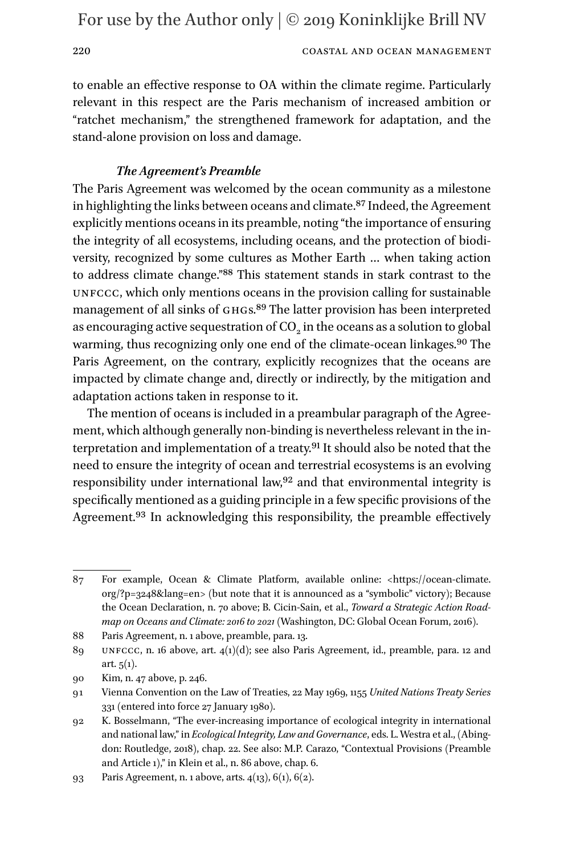220 COASTAL AND OCEAN MANAGEMENT

to enable an effective response to OA within the climate regime. Particularly relevant in this respect are the Paris mechanism of increased ambition or "ratchet mechanism," the strengthened framework for adaptation, and the stand-alone provision on loss and damage.

### *The Agreement's Preamble*

The Paris Agreement was welcomed by the ocean community as a milestone in highlighting the links between oceans and climate[.87](#page-19-0) Indeed, the Agreement explicitly mentions oceans in its preamble, noting "the importance of ensuring the integrity of all ecosystems, including oceans, and the protection of biodiversity, recognized by some cultures as Mother Earth … when taking action to address climate change."[88](#page-19-1) This statement stands in stark contrast to the unfccc, which only mentions oceans in the provision calling for sustainable management of all sinks of GHGs.<sup>89</sup> The latter provision has been interpreted as encouraging active sequestration of  $CO<sub>2</sub>$  in the oceans as a solution to global warming, thus recognizing only one end of the climate-ocean linkages.<sup>[90](#page-19-3)</sup> The Paris Agreement, on the contrary, explicitly recognizes that the oceans are impacted by climate change and, directly or indirectly, by the mitigation and adaptation actions taken in response to it.

The mention of oceans is included in a preambular paragraph of the Agreement, which although generally non-binding is nevertheless relevant in the interpretation and implementation of a treaty.[91](#page-19-4) It should also be noted that the need to ensure the integrity of ocean and terrestrial ecosystems is an evolving responsibility under international law[,92](#page-19-5) and that environmental integrity is specifically mentioned as a guiding principle in a few specific provisions of the Agreement.<sup>93</sup> In acknowledging this responsibility, the preamble effectively

<span id="page-19-0"></span><sup>87</sup> For example, Ocean & Climate Platform, available online: [<https://ocean-climate.](https://ocean-climate.org/?p=3248&lang=en) [org/?p=3248&lang=en>](https://ocean-climate.org/?p=3248&lang=en) (but note that it is announced as a "symbolic" victory); Because the Ocean Declaration, n. 70 above; B. Cicin-Sain, et al., *Toward a Strategic Action Roadmap on Oceans and Climate: 2016 to 2021* (Washington, DC: Global Ocean Forum, 2016).

<span id="page-19-1"></span><sup>88</sup> Paris Agreement, n. 1 above, preamble, para. 13.

<span id="page-19-2"></span><sup>89</sup> unfccc, n. 16 above, art. 4(1)(d); see also Paris Agreement, id., preamble, para. 12 and art.  $5(1)$ .

<span id="page-19-3"></span><sup>90</sup> Kim, n. 47 above, p. 246.

<span id="page-19-4"></span><sup>91</sup> Vienna Convention on the Law of Treaties, 22 May 1969, 1155 *United Nations Treaty Series* 331 (entered into force 27 January 1980).

<span id="page-19-5"></span><sup>92</sup> K. Bosselmann, "The ever-increasing importance of ecological integrity in international and national law," in *Ecological Integrity, Law and Governance*, eds. L. Westra et al., (Abingdon: Routledge, 2018), chap. 22. See also: M.P. Carazo, "Contextual Provisions (Preamble and Article 1)," in Klein et al., n. 86 above, chap. 6.

<span id="page-19-6"></span><sup>93</sup> Paris Agreement, n. 1 above, arts. 4(13), 6(1), 6(2).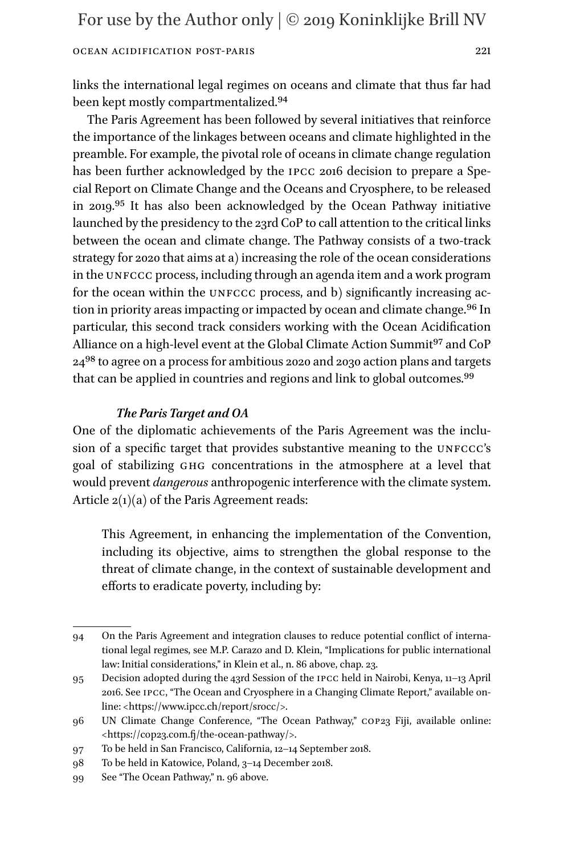links the international legal regimes on oceans and climate that thus far had been kept mostly compartmentalized[.94](#page-20-0)

The Paris Agreement has been followed by several initiatives that reinforce the importance of the linkages between oceans and climate highlighted in the preamble. For example, the pivotal role of oceans in climate change regulation has been further acknowledged by the ipcc 2016 decision to prepare a Special Report on Climate Change and the Oceans and Cryosphere, to be released in 2019.[95](#page-20-1) It has also been acknowledged by the Ocean Pathway initiative launched by the presidency to the 23rd CoP to call attention to the critical links between the ocean and climate change. The Pathway consists of a two-track strategy for 2020 that aims at a) increasing the role of the ocean considerations in the UNFCCC process, including through an agenda item and a work program for the ocean within the UNFCCC process, and b) significantly increasing action in priority areas impacting or impacted by ocean and climate change.<sup>96</sup> In particular, this second track considers working with the Ocean Acidification Alliance on a high-level event at the Global Climate Action Summit<sup>[97](#page-20-3)</sup> and CoP 2[498](#page-20-4) to agree on a process for ambitious 2020 and 2030 action plans and targets that can be applied in countries and regions and link to global outcomes.<sup>[99](#page-20-5)</sup>

# *The Paris Target and OA*

One of the diplomatic achievements of the Paris Agreement was the inclusion of a specific target that provides substantive meaning to the UNFCCC's goal of stabilizing ghg concentrations in the atmosphere at a level that would prevent *dangerous* anthropogenic interference with the climate system. Article 2(1)(a) of the Paris Agreement reads:

This Agreement, in enhancing the implementation of the Convention, including its objective, aims to strengthen the global response to the threat of climate change, in the context of sustainable development and efforts to eradicate poverty, including by:

<span id="page-20-0"></span><sup>94</sup> On the Paris Agreement and integration clauses to reduce potential conflict of international legal regimes, see M.P. Carazo and D. Klein, "Implications for public international law: Initial considerations," in Klein et al., n. 86 above, chap. 23.

<span id="page-20-1"></span><sup>95</sup> Decision adopted during the 43rd Session of the ipcc held in Nairobi, Kenya, 11–13 April 2016. See ipcc, "The Ocean and Cryosphere in a Changing Climate Report," available online: [<https://www.ipcc.ch/report/srocc/](https://www.ipcc.ch/report/srocc/)>.

<span id="page-20-2"></span><sup>96</sup> UN Climate Change Conference, "The Ocean Pathway," cop23 Fiji, available online: <<https://cop23.com.fj/the-ocean-pathway/>>.

<span id="page-20-3"></span><sup>97</sup> To be held in San Francisco, California, 12–14 September 2018.

<span id="page-20-4"></span><sup>98</sup> To be held in Katowice, Poland, 3–14 December 2018.

<span id="page-20-5"></span><sup>99</sup> See "The Ocean Pathway," n. 96 above.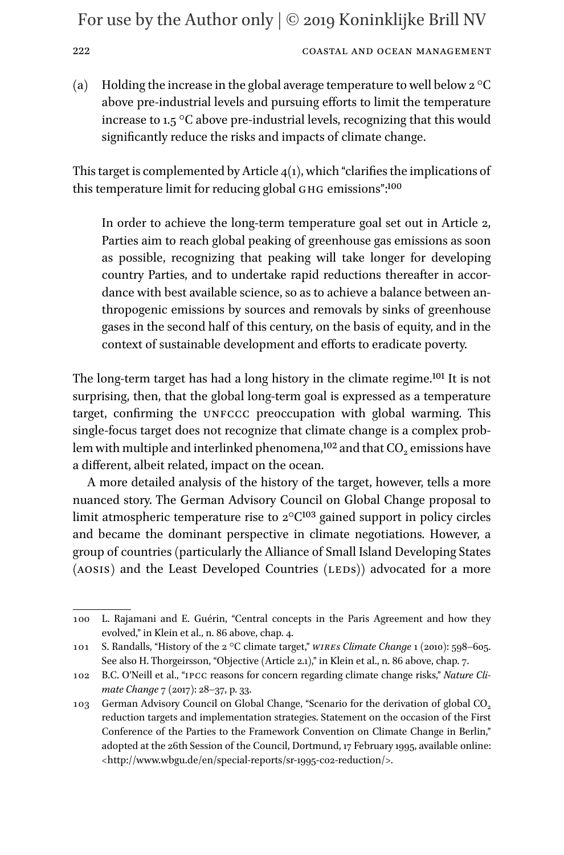222 COASTAL AND OCEAN MANAGEMENT

(a) Holding the increase in the global average temperature to well below  $2^{\circ}C$ above pre-industrial levels and pursuing efforts to limit the temperature increase to 1.5 °C above pre-industrial levels, recognizing that this would significantly reduce the risks and impacts of climate change.

This target is complemented by Article  $4(1)$ , which "clarifies the implications of this temperature limit for reducing global GHG emissions":<sup>100</sup>

In order to achieve the long-term temperature goal set out in Article 2, Parties aim to reach global peaking of greenhouse gas emissions as soon as possible, recognizing that peaking will take longer for developing country Parties, and to undertake rapid reductions thereafter in accordance with best available science, so as to achieve a balance between anthropogenic emissions by sources and removals by sinks of greenhouse gases in the second half of this century, on the basis of equity, and in the context of sustainable development and efforts to eradicate poverty.

The long-term target has had a long history in the climate regime[.101](#page-21-1) It is not surprising, then, that the global long-term goal is expressed as a temperature target, confirming the UNFCCC preoccupation with global warming. This single-focus target does not recognize that climate change is a complex problem with multiple and interlinked phenomena,<sup>102</sup> and that  $CO<sub>2</sub>$  emissions have a different, albeit related, impact on the ocean.

A more detailed analysis of the history of the target, however, tells a more nuanced story. The German Advisory Council on Global Change proposal to limit atmospheric temperature rise to 2°C[103](#page-21-3) gained support in policy circles and became the dominant perspective in climate negotiations. However, a group of countries (particularly the Alliance of Small Island Developing States (AOSIS) and the Least Developed Countries (LEDS)) advocated for a more

<span id="page-21-0"></span><sup>100</sup> L. Rajamani and E. Guérin, "Central concepts in the Paris Agreement and how they evolved," in Klein et al., n. 86 above, chap. 4.

<span id="page-21-1"></span><sup>101</sup> S. Randalls, "History of the 2 °C climate target," *wires Climate Change* 1 (2010): 598–605. See also H. Thorgeirsson, "Objective (Article 2.1)," in Klein et al., n. 86 above, chap. 7.

<span id="page-21-2"></span><sup>102</sup> B.C. O'Neill et al., "ipcc reasons for concern regarding climate change risks," *Nature Climate Change* 7 (2017): 28–37, p. 33.

<span id="page-21-3"></span><sup>103</sup> German Advisory Council on Global Change, "Scenario for the derivation of global CO<sub>2</sub> reduction targets and implementation strategies. Statement on the occasion of the First Conference of the Parties to the Framework Convention on Climate Change in Berlin," adopted at the 26th Session of the Council, Dortmund, 17 February 1995, available online: <<http://www.wbgu.de/en/special-reports/sr-1995-co2-reduction/>>.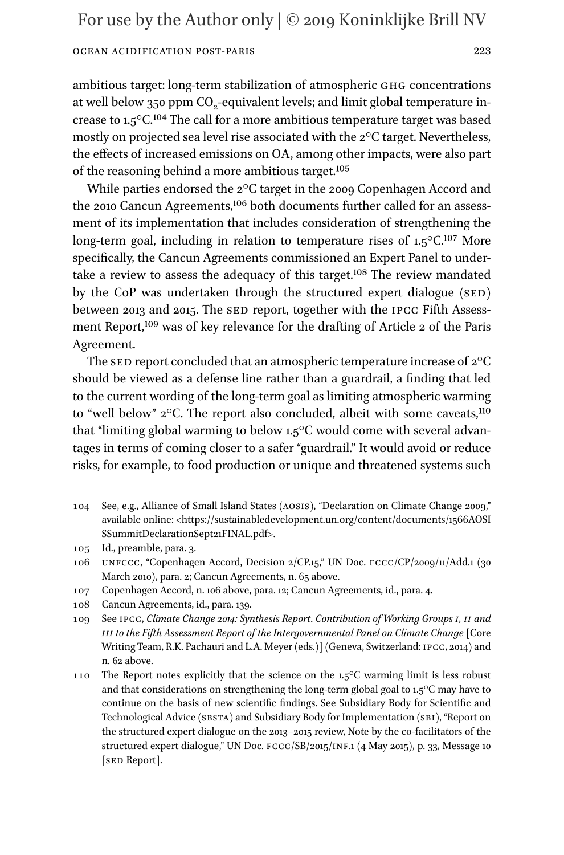ambitious target: long-term stabilization of atmospheric ghg concentrations at well below 350 ppm  $CO_2$ -equivalent levels; and limit global temperature increase to 1.5°C[.104](#page-22-0) The call for a more ambitious temperature target was based mostly on projected sea level rise associated with the 2°C target. Nevertheless, the effects of increased emissions on OA, among other impacts, were also part of the reasoning behind a more ambitious target.[105](#page-22-1)

While parties endorsed the 2°C target in the 2009 Copenhagen Accord and the 2010 Cancun Agreements,[106](#page-22-2) both documents further called for an assessment of its implementation that includes consideration of strengthening the long-term goal, including in relation to temperature rises of  $1.5^{\circ}$ C.<sup>[107](#page-22-3)</sup> More specifically, the Cancun Agreements commissioned an Expert Panel to undertake a review to assess the adequacy of this target[.108](#page-22-4) The review mandated by the CoP was undertaken through the structured expert dialogue  $(sED)$ between 2013 and 2015. The SED report, together with the IPCC Fifth Assessment Report,[109](#page-22-5) was of key relevance for the drafting of Article 2 of the Paris Agreement.

The sED report concluded that an atmospheric temperature increase of  $2^{\circ}C$ should be viewed as a defense line rather than a guardrail, a finding that led to the current wording of the long-term goal as limiting atmospheric warming to "well below"  $2^{\circ}$ C. The report also concluded, albeit with some caveats,<sup>110</sup> that "limiting global warming to below 1.5°C would come with several advantages in terms of coming closer to a safer "guardrail." It would avoid or reduce risks, for example, to food production or unique and threatened systems such

<span id="page-22-0"></span><sup>104</sup> See, e.g., Alliance of Small Island States (aosis), "Declaration on Climate Change 2009," available online: <[https://sustainabledevelopment.un.org/content/documents/1566AOSI](https://sustainabledevelopment.un.org/content/documents/1566AOSISSummitDeclarationSept21FINAL.pdf) [SSummitDeclarationSept21FINAL.pdf>](https://sustainabledevelopment.un.org/content/documents/1566AOSISSummitDeclarationSept21FINAL.pdf).

<span id="page-22-1"></span><sup>105</sup> Id., preamble, para. 3.

<span id="page-22-2"></span><sup>106</sup> unfccc, "Copenhagen Accord, Decision 2/CP.15," UN Doc. fccc/CP/2009/11/Add.1 (30 March 2010), para. 2; Cancun Agreements, n. 65 above.

<span id="page-22-3"></span><sup>107</sup> Copenhagen Accord, n. 106 above, para. 12; Cancun Agreements, id., para. 4.

<span id="page-22-4"></span><sup>108</sup> Cancun Agreements, id., para. 139.

<span id="page-22-5"></span><sup>109</sup> See ipcc, *Climate Change 2014: Synthesis Report*. *Contribution of Working Groups i, ii and iii to the Fifth Assessment Report of the Intergovernmental Panel on Climate Change* [Core Writing Team, R.K. Pachauri and L.A. Meyer (eds.)] (Geneva, Switzerland: ipcc, 2014) and n. 62 above.

<span id="page-22-6"></span><sup>110</sup> The Report notes explicitly that the science on the  $1.5^{\circ}$ C warming limit is less robust and that considerations on strengthening the long-term global goal to  $1.5^{\circ}$ C may have to continue on the basis of new scientific findings. See Subsidiary Body for Scientific and Technological Advice (SBSTA) and Subsidiary Body for Implementation (SBI), "Report on the structured expert dialogue on the 2013–2015 review, Note by the co-facilitators of the structured expert dialogue," UN Doc.  $FCC/SB/2015/1NF.1$  (4 May 2015), p. 33, Message 10 [SED Report].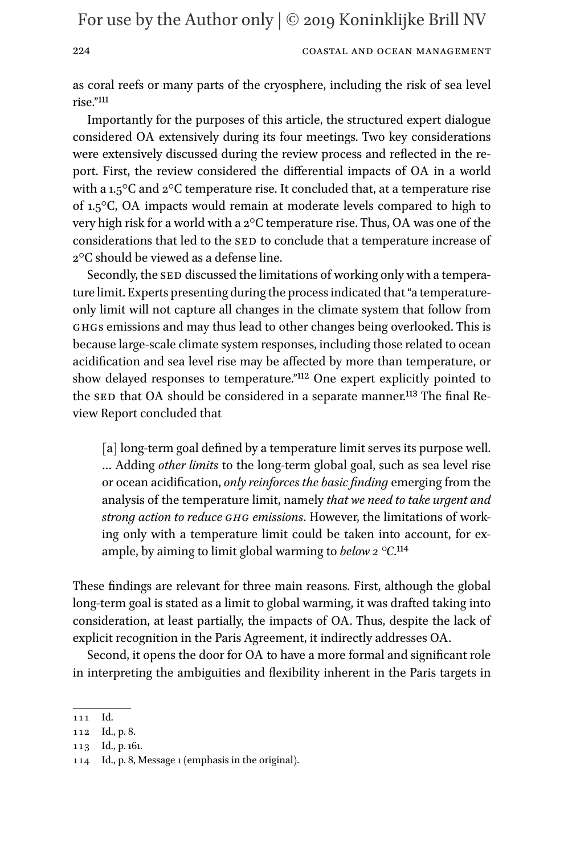### 224 COASTAL AND OCEAN MANAGEMENT

as coral reefs or many parts of the cryosphere, including the risk of sea level rise."[111](#page-23-0)

Importantly for the purposes of this article, the structured expert dialogue considered OA extensively during its four meetings. Two key considerations were extensively discussed during the review process and reflected in the report. First, the review considered the differential impacts of OA in a world with a  $1.5^{\circ}$ C and  $2^{\circ}$ C temperature rise. It concluded that, at a temperature rise of 1.5°C, OA impacts would remain at moderate levels compared to high to very high risk for a world with a 2°C temperature rise. Thus, OA was one of the considerations that led to the SED to conclude that a temperature increase of 2°C should be viewed as a defense line.

Secondly, the SED discussed the limitations of working only with a temperature limit. Experts presenting during the process indicated that "a temperatureonly limit will not capture all changes in the climate system that follow from ghgs emissions and may thus lead to other changes being overlooked. This is because large-scale climate system responses, including those related to ocean acidification and sea level rise may be affected by more than temperature, or show delayed responses to temperature."[112](#page-23-1) One expert explicitly pointed to the SED that OA should be considered in a separate manner.<sup>113</sup> The final Review Report concluded that

[a] long-term goal defined by a temperature limit serves its purpose well. … Adding *other limits* to the long-term global goal, such as sea level rise or ocean acidification, *only reinforces the basic finding* emerging from the analysis of the temperature limit, namely *that we need to take urgent and strong action to reduce ghg emissions*. However, the limitations of working only with a temperature limit could be taken into account, for example, by aiming to limit global warming to *below 2 °C*[.114](#page-23-3)

These findings are relevant for three main reasons. First, although the global long-term goal is stated as a limit to global warming, it was drafted taking into consideration, at least partially, the impacts of OA. Thus, despite the lack of explicit recognition in the Paris Agreement, it indirectly addresses OA.

Second, it opens the door for OA to have a more formal and significant role in interpreting the ambiguities and flexibility inherent in the Paris targets in

<span id="page-23-0"></span><sup>111</sup> Id.

<span id="page-23-1"></span><sup>112</sup> Id., p. 8.

<span id="page-23-2"></span><sup>113</sup> Id., p. 161.

<span id="page-23-3"></span><sup>114</sup> Id., p. 8, Message 1 (emphasis in the original).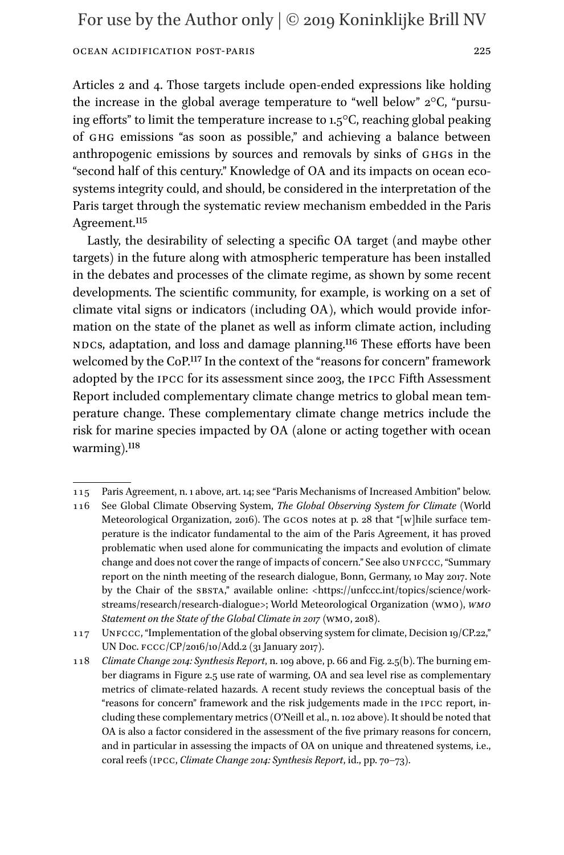Articles 2 and 4. Those targets include open-ended expressions like holding the increase in the global average temperature to "well below" 2°C, "pursuing efforts" to limit the temperature increase to 1.5°C, reaching global peaking of ghg emissions "as soon as possible," and achieving a balance between anthropogenic emissions by sources and removals by sinks of ghgs in the "second half of this century." Knowledge of OA and its impacts on ocean ecosystems integrity could, and should, be considered in the interpretation of the Paris target through the systematic review mechanism embedded in the Paris Agreement.[115](#page-24-0)

Lastly, the desirability of selecting a specific OA target (and maybe other targets) in the future along with atmospheric temperature has been installed in the debates and processes of the climate regime, as shown by some recent developments. The scientific community, for example, is working on a set of climate vital signs or indicators (including OA), which would provide information on the state of the planet as well as inform climate action, including NDCs, adaptation, and loss and damage planning.<sup>116</sup> These efforts have been welcomed by the CoP[.117](#page-24-2) In the context of the "reasons for concern" framework adopted by the ipcc for its assessment since 2003, the ipcc Fifth Assessment Report included complementary climate change metrics to global mean temperature change. These complementary climate change metrics include the risk for marine species impacted by OA (alone or acting together with ocean warming).<sup>[118](#page-24-3)</sup>

<span id="page-24-0"></span><sup>115</sup> Paris Agreement, n. 1 above, art. 14; see "Paris Mechanisms of Increased Ambition" below.

<span id="page-24-1"></span><sup>116</sup> See Global Climate Observing System, *The Global Observing System for Climate* (World Meteorological Organization, 2016). The gcos notes at p. 28 that "[w]hile surface temperature is the indicator fundamental to the aim of the Paris Agreement, it has proved problematic when used alone for communicating the impacts and evolution of climate change and does not cover the range of impacts of concern." See also UNFCCC, "Summary report on the ninth meeting of the research dialogue, Bonn, Germany, 10 May 2017. Note by the Chair of the SBSTA," available online: <[https://unfccc.int/topics/science/work](https://unfccc.int/topics/science/workstreams/research/research-dialogue)[streams/research/research-dialogue>](https://unfccc.int/topics/science/workstreams/research/research-dialogue); World Meteorological Organization (wmo), *wmo Statement on the State of the Global Climate in 2017* (wmo, 2018).

<span id="page-24-2"></span><sup>117</sup> UNFCCC, "Implementation of the global observing system for climate, Decision 19/CP.22," UN Doc. fccc/CP/2016/10/Add.2 (31 January 2017).

<span id="page-24-3"></span><sup>118</sup> *Climate Change 2014: Synthesis Report*, n. 109 above, p. 66 and Fig. 2.5(b). The burning ember diagrams in Figure 2.5 use rate of warming, OA and sea level rise as complementary metrics of climate-related hazards. A recent study reviews the conceptual basis of the "reasons for concern" framework and the risk judgements made in the ipcc report, including these complementary metrics (O'Neill et al., n. 102 above). It should be noted that OA is also a factor considered in the assessment of the five primary reasons for concern, and in particular in assessing the impacts of OA on unique and threatened systems, i.e., coral reefs (ipcc, *Climate Change 2014: Synthesis Report*, id., pp. 70–73).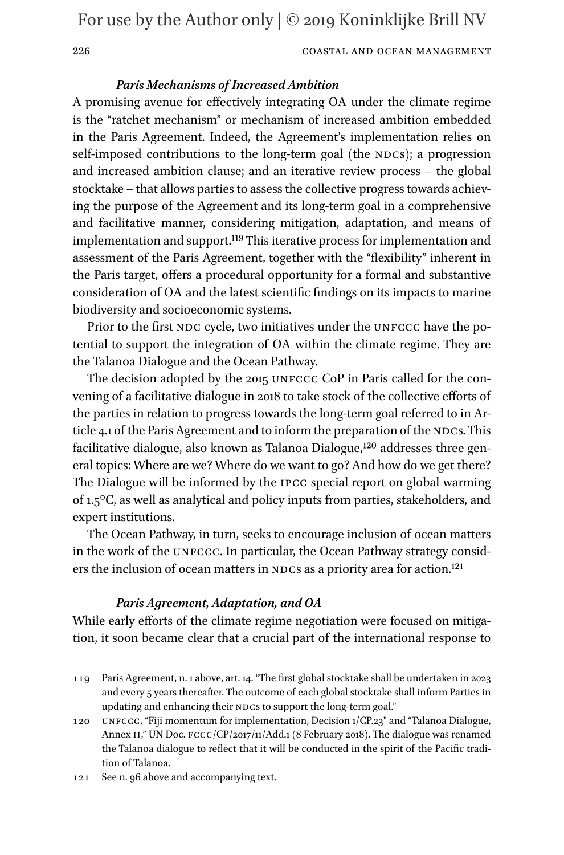#### 226 COASTAL AND OCEAN MANAGEMENT

### *Paris Mechanisms of Increased Ambition*

A promising avenue for effectively integrating OA under the climate regime is the "ratchet mechanism" or mechanism of increased ambition embedded in the Paris Agreement. Indeed, the Agreement's implementation relies on self-imposed contributions to the long-term goal (the NDCs); a progression and increased ambition clause; and an iterative review process – the global stocktake – that allows parties to assess the collective progress towards achieving the purpose of the Agreement and its long-term goal in a comprehensive and facilitative manner, considering mitigation, adaptation, and means of implementation and support[.119](#page-25-0) This iterative process for implementation and assessment of the Paris Agreement, together with the "flexibility" inherent in the Paris target, offers a procedural opportunity for a formal and substantive consideration of OA and the latest scientific findings on its impacts to marine biodiversity and socioeconomic systems.

Prior to the first NDC cycle, two initiatives under the UNFCCC have the potential to support the integration of OA within the climate regime. They are the Talanoa Dialogue and the Ocean Pathway.

The decision adopted by the 2015 UNFCCC CoP in Paris called for the convening of a facilitative dialogue in 2018 to take stock of the collective efforts of the parties in relation to progress towards the long-term goal referred to in Article 4.1 of the Paris Agreement and to inform the preparation of the NDCs. This facilitative dialogue, also known as Talanoa Dialogue,[120](#page-25-1) addresses three general topics: Where are we? Where do we want to go? And how do we get there? The Dialogue will be informed by the ipcc special report on global warming of 1.5°C, as well as analytical and policy inputs from parties, stakeholders, and expert institutions.

The Ocean Pathway, in turn, seeks to encourage inclusion of ocean matters in the work of the UNFCCC. In particular, the Ocean Pathway strategy consid-ers the inclusion of ocean matters in NDCs as a priority area for action.<sup>[121](#page-25-2)</sup>

### *Paris Agreement, Adaptation, and OA*

While early efforts of the climate regime negotiation were focused on mitigation, it soon became clear that a crucial part of the international response to

<span id="page-25-0"></span><sup>119</sup> Paris Agreement, n. 1 above, art. 14. "The first global stocktake shall be undertaken in 2023 and every 5 years thereafter. The outcome of each global stocktake shall inform Parties in updating and enhancing their NDCs to support the long-term goal."

<span id="page-25-1"></span><sup>120</sup> unfccc, "Fiji momentum for implementation, Decision 1/CP.23" and "Talanoa Dialogue, Annex II," UN Doc. FCCC/CP/2017/11/Add.1 (8 February 2018). The dialogue was renamed the Talanoa dialogue to reflect that it will be conducted in the spirit of the Pacific tradition of Talanoa.

<span id="page-25-2"></span><sup>121</sup> See n. 96 above and accompanying text.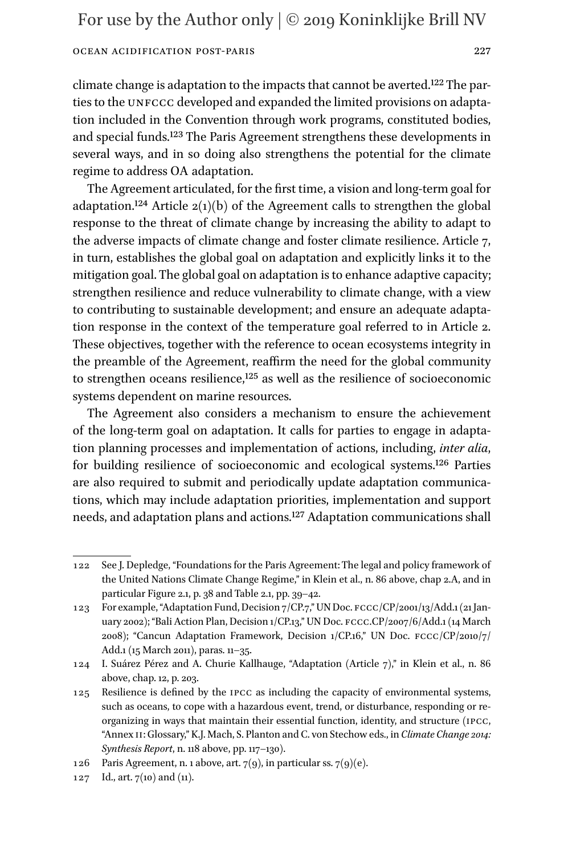climate change is adaptation to the impacts that cannot be averted.[122](#page-26-0) The parties to the UNFCCC developed and expanded the limited provisions on adaptation included in the Convention through work programs, constituted bodies, and special funds[.123](#page-26-1) The Paris Agreement strengthens these developments in several ways, and in so doing also strengthens the potential for the climate regime to address OA adaptation.

The Agreement articulated, for the first time, a vision and long-term goal for adaptation.<sup>[124](#page-26-2)</sup> Article  $2(1)(b)$  of the Agreement calls to strengthen the global response to the threat of climate change by increasing the ability to adapt to the adverse impacts of climate change and foster climate resilience. Article 7, in turn, establishes the global goal on adaptation and explicitly links it to the mitigation goal. The global goal on adaptation is to enhance adaptive capacity; strengthen resilience and reduce vulnerability to climate change, with a view to contributing to sustainable development; and ensure an adequate adaptation response in the context of the temperature goal referred to in Article 2. These objectives, together with the reference to ocean ecosystems integrity in the preamble of the Agreement, reaffirm the need for the global community to strengthen oceans resilience[,125](#page-26-3) as well as the resilience of socioeconomic systems dependent on marine resources.

The Agreement also considers a mechanism to ensure the achievement of the long-term goal on adaptation. It calls for parties to engage in adaptation planning processes and implementation of actions, including, *inter alia*, for building resilience of socioeconomic and ecological systems[.126](#page-26-4) Parties are also required to submit and periodically update adaptation communications, which may include adaptation priorities, implementation and support needs, and adaptation plans and actions[.127](#page-26-5) Adaptation communications shall

<span id="page-26-0"></span><sup>122</sup> See J. Depledge, "Foundations for the Paris Agreement: The legal and policy framework of the United Nations Climate Change Regime," in Klein et al., n. 86 above, chap 2.A, and in particular Figure 2.1, p. 38 and Table 2.1, pp. 39–42.

<span id="page-26-1"></span><sup>123</sup> For example, "Adaptation Fund, Decision 7/CP.7," UN Doc. fccc/CP/2001/13/Add.1 (21 January 2002); "Bali Action Plan, Decision 1/CP.13," UN Doc. FCCC.CP/2007/6/Add.1 (14 March 2008); "Cancun Adaptation Framework, Decision 1/CP.16," UN Doc. fccc/CP/2010/7/ Add.1 (15 March 2011), paras. 11–35.

<span id="page-26-2"></span><sup>124</sup> I. Suárez Pérez and A. Churie Kallhauge, "Adaptation (Article 7)," in Klein et al., n. 86 above, chap. 12, p. 203.

<span id="page-26-3"></span><sup>125</sup> Resilience is defined by the ipcc as including the capacity of environmental systems, such as oceans, to cope with a hazardous event, trend, or disturbance, responding or reorganizing in ways that maintain their essential function, identity, and structure (ipcc, "Annex ii: Glossary," K.J. Mach, S. Planton and C. von Stechow eds., in *Climate Change 2014: Synthesis Report*, n. 118 above, pp. 117–130).

<span id="page-26-4"></span><sup>126</sup> Paris Agreement, n. 1 above, art.  $7(9)$ , in particular ss.  $7(9)(e)$ .

<span id="page-26-5"></span><sup>127</sup> Id., art. 7(10) and (11).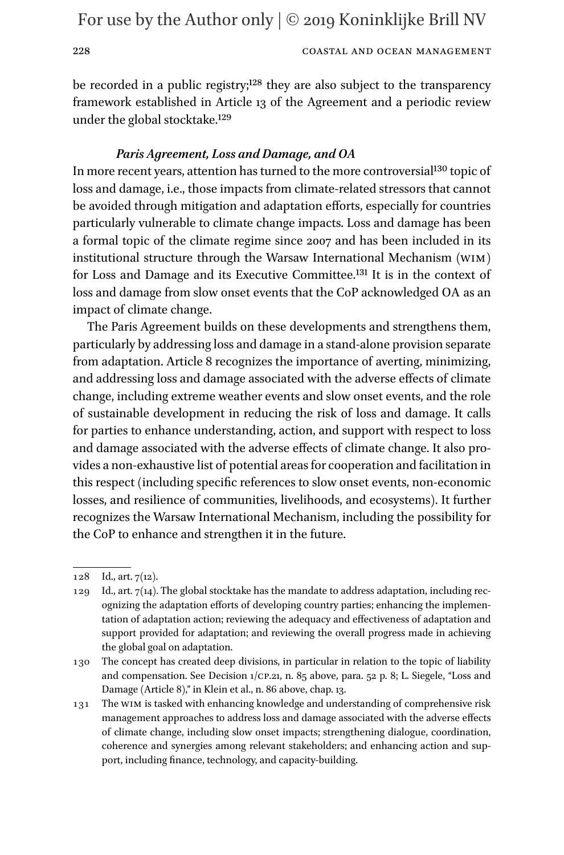228 COASTAL AND OCEAN MANAGEMENT

be recorded in a public registry;<sup>128</sup> they are also subject to the transparency framework established in Article 13 of the Agreement and a periodic review under the global stocktake.[129](#page-27-1)

### *Paris Agreement, Loss and Damage, and OA*

In more recent years, attention has turned to the more controversial<sup>130</sup> topic of loss and damage, i.e., those impacts from climate-related stressors that cannot be avoided through mitigation and adaptation efforts, especially for countries particularly vulnerable to climate change impacts. Loss and damage has been a formal topic of the climate regime since 2007 and has been included in its institutional structure through the Warsaw International Mechanism (wim) for Loss and Damage and its Executive Committee[.131](#page-27-3) It is in the context of loss and damage from slow onset events that the CoP acknowledged OA as an impact of climate change.

The Paris Agreement builds on these developments and strengthens them, particularly by addressing loss and damage in a stand-alone provision separate from adaptation. Article 8 recognizes the importance of averting, minimizing, and addressing loss and damage associated with the adverse effects of climate change, including extreme weather events and slow onset events, and the role of sustainable development in reducing the risk of loss and damage. It calls for parties to enhance understanding, action, and support with respect to loss and damage associated with the adverse effects of climate change. It also provides a non-exhaustive list of potential areas for cooperation and facilitation in this respect (including specific references to slow onset events, non-economic losses, and resilience of communities, livelihoods, and ecosystems). It further recognizes the Warsaw International Mechanism, including the possibility for the CoP to enhance and strengthen it in the future.

<span id="page-27-0"></span><sup>128</sup> Id., art. 7(12).

<span id="page-27-1"></span><sup>129</sup> Id., art. 7(14). The global stocktake has the mandate to address adaptation, including recognizing the adaptation efforts of developing country parties; enhancing the implementation of adaptation action; reviewing the adequacy and effectiveness of adaptation and support provided for adaptation; and reviewing the overall progress made in achieving the global goal on adaptation.

<span id="page-27-2"></span><sup>130</sup> The concept has created deep divisions, in particular in relation to the topic of liability and compensation. See Decision 1/cp.21, n. 85 above, para. 52 p. 8; L. Siegele, "Loss and Damage (Article 8)," in Klein et al., n. 86 above, chap. 13.

<span id="page-27-3"></span><sup>131</sup> The wim is tasked with enhancing knowledge and understanding of comprehensive risk management approaches to address loss and damage associated with the adverse effects of climate change, including slow onset impacts; strengthening dialogue, coordination, coherence and synergies among relevant stakeholders; and enhancing action and support, including finance, technology, and capacity-building.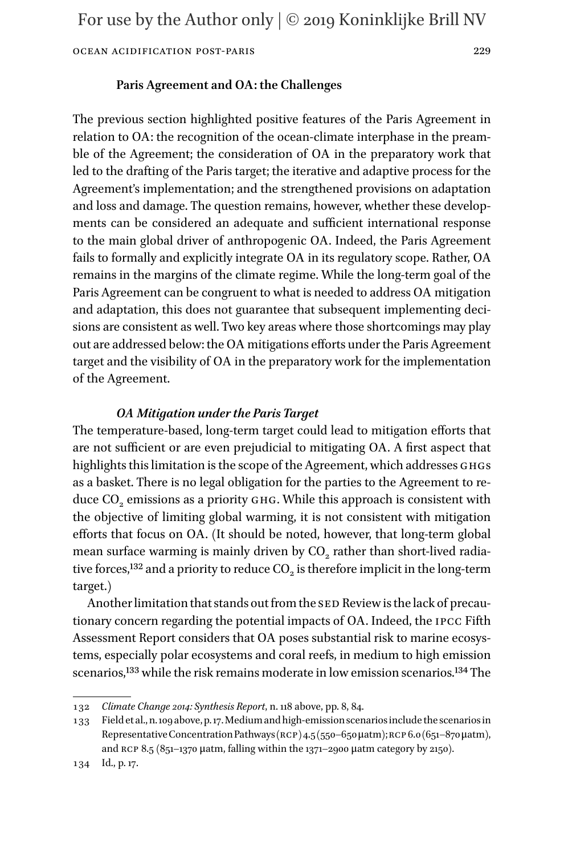### Ocean Acidification Post-Paris 229

### **Paris Agreement and OA: the Challenges**

The previous section highlighted positive features of the Paris Agreement in relation to OA: the recognition of the ocean-climate interphase in the preamble of the Agreement; the consideration of OA in the preparatory work that led to the drafting of the Paris target; the iterative and adaptive process for the Agreement's implementation; and the strengthened provisions on adaptation and loss and damage. The question remains, however, whether these developments can be considered an adequate and sufficient international response to the main global driver of anthropogenic OA. Indeed, the Paris Agreement fails to formally and explicitly integrate OA in its regulatory scope. Rather, OA remains in the margins of the climate regime. While the long-term goal of the Paris Agreement can be congruent to what is needed to address OA mitigation and adaptation, this does not guarantee that subsequent implementing decisions are consistent as well. Two key areas where those shortcomings may play out are addressed below: the OA mitigations efforts under the Paris Agreement target and the visibility of OA in the preparatory work for the implementation of the Agreement.

### *OA Mitigation under the Paris Target*

The temperature-based, long-term target could lead to mitigation efforts that are not sufficient or are even prejudicial to mitigating OA. A first aspect that highlights this limitation is the scope of the Agreement, which addresses GHGs as a basket. There is no legal obligation for the parties to the Agreement to reduce CO<sub>2</sub> emissions as a priority GHG. While this approach is consistent with the objective of limiting global warming, it is not consistent with mitigation efforts that focus on OA. (It should be noted, however, that long-term global mean surface warming is mainly driven by  $CO<sub>2</sub>$  rather than short-lived radiative forces,<sup>132</sup> and a priority to reduce  $\mathrm{CO}_2$  is therefore implicit in the long-term target.)

Another limitation that stands out from the SED Review is the lack of precautionary concern regarding the potential impacts of OA. Indeed, the ipcc Fifth Assessment Report considers that OA poses substantial risk to marine ecosystems, especially polar ecosystems and coral reefs, in medium to high emission scenarios,<sup>133</sup> while the risk remains moderate in low emission scenarios.<sup>134</sup> The

<span id="page-28-0"></span><sup>132</sup> *Climate Change 2014: Synthesis Report*, n. 118 above, pp. 8, 84.

<span id="page-28-1"></span><sup>133</sup> Field et al., n. 109 above, p. 17. Medium and high-emission scenarios include the scenarios in Representative Concentration Pathways ( $RCP$ ) 4.5 (550–650 μatm);  $RCP$  6.0 (651–870 μatm), and RCP 8.5 (851–1370 μatm, falling within the 1371–2900 μatm category by 2150).

<span id="page-28-2"></span><sup>134</sup> Id., p. 17.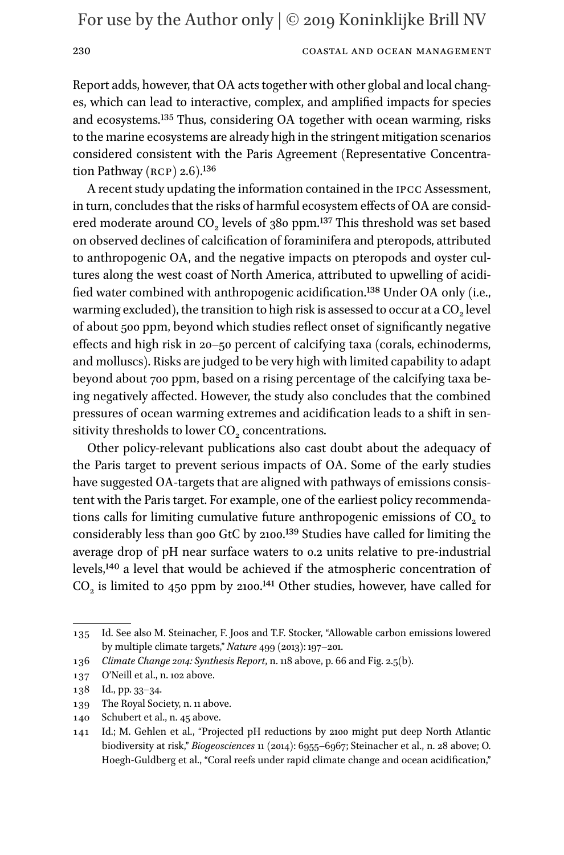### 230 COASTAL AND OCEAN MANAGEMENT

Report adds, however, that OA acts together with other global and local changes, which can lead to interactive, complex, and amplified impacts for species and ecosystems[.135](#page-29-0) Thus, considering OA together with ocean warming, risks to the marine ecosystems are already high in the stringent mitigation scenarios considered consistent with the Paris Agreement (Representative Concentration Pathway (RCP)  $2.6$ ).<sup>136</sup>

A recent study updating the information contained in the Ipcc Assessment, in turn, concludes that the risks of harmful ecosystem effects of OA are considered moderate around CO<sub>2</sub> levels of 380 ppm.<sup>137</sup> This threshold was set based on observed declines of calcification of foraminifera and pteropods, attributed to anthropogenic OA, and the negative impacts on pteropods and oyster cultures along the west coast of North America, attributed to upwelling of acidified water combined with anthropogenic acidification.[138](#page-29-3) Under OA only (i.e., warming excluded), the transition to high risk is assessed to occur at a  $CO<sub>2</sub>$  level of about 500 ppm, beyond which studies reflect onset of significantly negative effects and high risk in 20–50 percent of calcifying taxa (corals, echinoderms, and molluscs). Risks are judged to be very high with limited capability to adapt beyond about 700 ppm, based on a rising percentage of the calcifying taxa being negatively affected. However, the study also concludes that the combined pressures of ocean warming extremes and acidification leads to a shift in sensitivity thresholds to lower CO<sub>2</sub> concentrations.

Other policy-relevant publications also cast doubt about the adequacy of the Paris target to prevent serious impacts of OA. Some of the early studies have suggested OA-targets that are aligned with pathways of emissions consistent with the Paris target. For example, one of the earliest policy recommendations calls for limiting cumulative future anthropogenic emissions of  $CO<sub>2</sub>$  to considerably less than 900 GtC by 2100.[139](#page-29-4) Studies have called for limiting the average drop of pH near surface waters to 0.2 units relative to pre-industrial levels[,140](#page-29-5) a level that would be achieved if the atmospheric concentration of  $CO<sub>2</sub>$  is limited to 450 ppm by 2100.<sup>[141](#page-29-6)</sup> Other studies, however, have called for

<span id="page-29-0"></span><sup>135</sup> Id. See also M. Steinacher, F. Joos and T.F. Stocker, "Allowable carbon emissions lowered by multiple climate targets," *Nature* 499 (2013): 197–201.

<span id="page-29-1"></span><sup>136</sup> *Climate Change 2014: Synthesis Report*, n. 118 above, p. 66 and Fig. 2.5(b).

<span id="page-29-2"></span><sup>137</sup> O'Neill et al., n. 102 above.

<span id="page-29-3"></span><sup>138</sup> Id., pp. 33–34.

<span id="page-29-4"></span><sup>139</sup> The Royal Society, n. 11 above.

<span id="page-29-5"></span><sup>140</sup> Schubert et al., n. 45 above.

<span id="page-29-6"></span><sup>141</sup> Id.; M. Gehlen et al., "Projected pH reductions by 2100 might put deep North Atlantic biodiversity at risk," *Biogeosciences* 11 (2014): 6955–6967; Steinacher et al., n. 28 above; O. Hoegh-Guldberg et al., "Coral reefs under rapid climate change and ocean acidification,"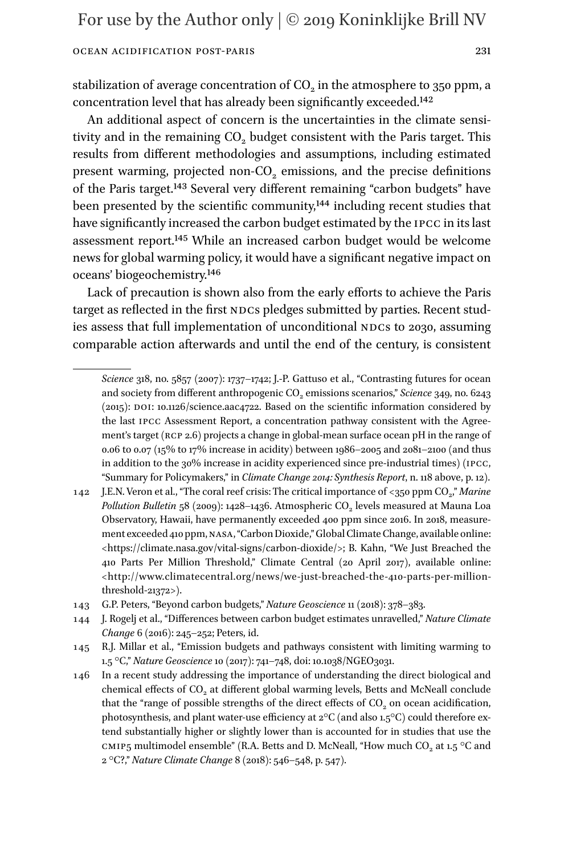stabilization of average concentration of CO<sub>2</sub> in the atmosphere to 350 ppm, a concentration level that has already been significantly exceeded[.142](#page-30-0)

An additional aspect of concern is the uncertainties in the climate sensitivity and in the remaining  $CO<sub>2</sub>$  budget consistent with the Paris target. This results from different methodologies and assumptions, including estimated present warming, projected non- $CO<sub>2</sub>$  emissions, and the precise definitions of the Paris target[.143](#page-30-1) Several very different remaining "carbon budgets" have been presented by the scientific community,<sup>144</sup> including recent studies that have significantly increased the carbon budget estimated by the ipcc in its last assessment report[.145](#page-30-3) While an increased carbon budget would be welcome news for global warming policy, it would have a significant negative impact on oceans' biogeochemistry[.146](#page-30-4)

Lack of precaution is shown also from the early efforts to achieve the Paris target as reflected in the first NDCs pledges submitted by parties. Recent studies assess that full implementation of unconditional NDCs to 2030, assuming comparable action afterwards and until the end of the century, is consistent

*Science* 318, no. 5857 (2007): 1737–1742; J.-P. Gattuso et al., "Contrasting futures for ocean and society from different anthropogenic CO<sub>2</sub> emissions scenarios," *Science* 349, no. 6243  $(2015)$ : DOI: 10.1126/science.aac4722. Based on the scientific information considered by the last ipcc Assessment Report, a concentration pathway consistent with the Agreement's target (RCP 2.6) projects a change in global-mean surface ocean pH in the range of 0.06 to 0.07 (15% to 17% increase in acidity) between 1986–2005 and 2081–2100 (and thus in addition to the 30% increase in acidity experienced since pre-industrial times) (ipcc, "Summary for Policymakers," in *Climate Change 2014: Synthesis Report*, n. 118 above, p. 12).

<span id="page-30-0"></span><sup>142</sup> J.E.N. Veron et al., "The coral reef crisis: The critical importance of <350 ppm CO<sub>2</sub>," *Marine Pollution Bulletin* 58 (2009): 1428-1436. Atmospheric CO<sub>2</sub> levels measured at Mauna Loa Observatory, Hawaii, have permanently exceeded 400 ppm since 2016. In 2018, measurement exceeded 410 ppm, nasa, "Carbon Dioxide," Global Climate Change, available online: <[https://climate.nasa.gov/vital-signs/carbon-dioxide/>](https://climate.nasa.gov/vital-signs/carbon-dioxide/); B. Kahn, "We Just Breached the 410 Parts Per Million Threshold," Climate Central (20 April 2017), available online: <[http://www.climatecentral.org/news/we-just-breached-the-410-parts-per-million](http://www.climatecentral.org/news/we-just-breached-the-410-parts-per-million-threshold-21372)[threshold-21372>](http://www.climatecentral.org/news/we-just-breached-the-410-parts-per-million-threshold-21372)).

<span id="page-30-1"></span><sup>143</sup> G.P. Peters, "Beyond carbon budgets," *Nature Geoscience* 11 (2018): 378–383.

<span id="page-30-2"></span><sup>144</sup> J. Rogelj et al., "Differences between carbon budget estimates unravelled," *Nature Climate Change* 6 (2016): 245–252; Peters, id.

<span id="page-30-3"></span><sup>145</sup> R.J. Millar et al., "Emission budgets and pathways consistent with limiting warming to 1.5 °C," *Nature Geoscience* 10 (2017): 741–748, doi: 10.1038/NGEO3031.

<span id="page-30-4"></span><sup>146</sup> In a recent study addressing the importance of understanding the direct biological and chemical effects of CO<sub>2</sub> at different global warming levels, Betts and McNeall conclude that the "range of possible strengths of the direct effects of  $CO<sub>2</sub>$  on ocean acidification, photosynthesis, and plant water-use efficiency at 2°C (and also 1.5°C) could therefore extend substantially higher or slightly lower than is accounted for in studies that use the CMIP5 multimodel ensemble" (R.A. Betts and D. McNeall, "How much CO<sub>2</sub> at 1.5 °C and 2 °C?," *Nature Climate Change* 8 (2018): 546–548, p. 547).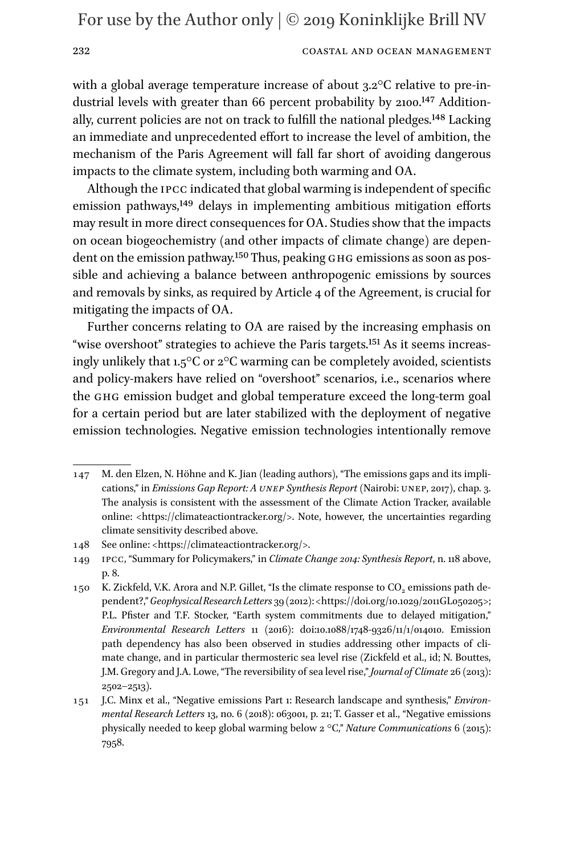### 232 COASTAL AND OCEAN MANAGEMENT

with a global average temperature increase of about 3.2°C relative to pre-industrial levels with greater than 66 percent probability by 2100.<sup>147</sup> Addition-ally, current policies are not on track to fulfill the national pledges.<sup>[148](#page-31-1)</sup> Lacking an immediate and unprecedented effort to increase the level of ambition, the mechanism of the Paris Agreement will fall far short of avoiding dangerous impacts to the climate system, including both warming and OA.

Although the ipcc indicated that global warming is independent of specific emission pathways,<sup>149</sup> delays in implementing ambitious mitigation efforts may result in more direct consequences for OA. Studies show that the impacts on ocean biogeochemistry (and other impacts of climate change) are dependent on the emission pathway.<sup>150</sup> Thus, peaking GHG emissions as soon as possible and achieving a balance between anthropogenic emissions by sources and removals by sinks, as required by Article 4 of the Agreement, is crucial for mitigating the impacts of OA.

Further concerns relating to OA are raised by the increasing emphasis on "wise overshoot" strategies to achieve the Paris targets.<sup>151</sup> As it seems increasingly unlikely that 1.5°C or 2°C warming can be completely avoided, scientists and policy-makers have relied on "overshoot" scenarios, i.e., scenarios where the ghg emission budget and global temperature exceed the long-term goal for a certain period but are later stabilized with the deployment of negative emission technologies. Negative emission technologies intentionally remove

<span id="page-31-0"></span><sup>147</sup> M. den Elzen, N. Höhne and K. Jian (leading authors), "The emissions gaps and its implications," in *Emissions Gap Report: A unep Synthesis Report* (Nairobi: unep, 2017), chap. 3. The analysis is consistent with the assessment of the Climate Action Tracker, available online: <<https://climateactiontracker.org/>>. Note, however, the uncertainties regarding climate sensitivity described above.

<span id="page-31-1"></span><sup>148</sup> See online: [<https://climateactiontracker.org/>](https://climateactiontracker.org/).

<span id="page-31-2"></span><sup>149</sup> ipcc, "Summary for Policymakers," in *Climate Change 2014: Synthesis Report*, n. 118 above, p. 8.

<span id="page-31-3"></span><sup>150</sup> K. Zickfeld, V.K. Arora and N.P. Gillet, "Is the climate response to CO<sub>2</sub> emissions path dependent?," *Geophysical Research Letters* 39 (2012): [<https://doi.org/10.1029/2011GL050205](https://doi.org/10.1029/2011GL050205)>; P.L. Pfister and T.F. Stocker, "Earth system commitments due to delayed mitigation," *Environmental Research Letters* 11 (2016): doi:10.1088/1748-9326/11/1/014010. Emission path dependency has also been observed in studies addressing other impacts of climate change, and in particular thermosteric sea level rise (Zickfeld et al., id; N. Bouttes, J.M. Gregory and J.A. Lowe, "The reversibility of sea level rise," *Journal of Climate* 26 (2013): 2502–2513).

<span id="page-31-4"></span><sup>151</sup> J.C. Minx et al., "Negative emissions Part 1: Research landscape and synthesis," *Environmental Research Letters* 13, no. 6 (2018): 063001, p. 21; T. Gasser et al., "Negative emissions physically needed to keep global warming below 2 °C," *Nature Communications* 6 (2015): 7958.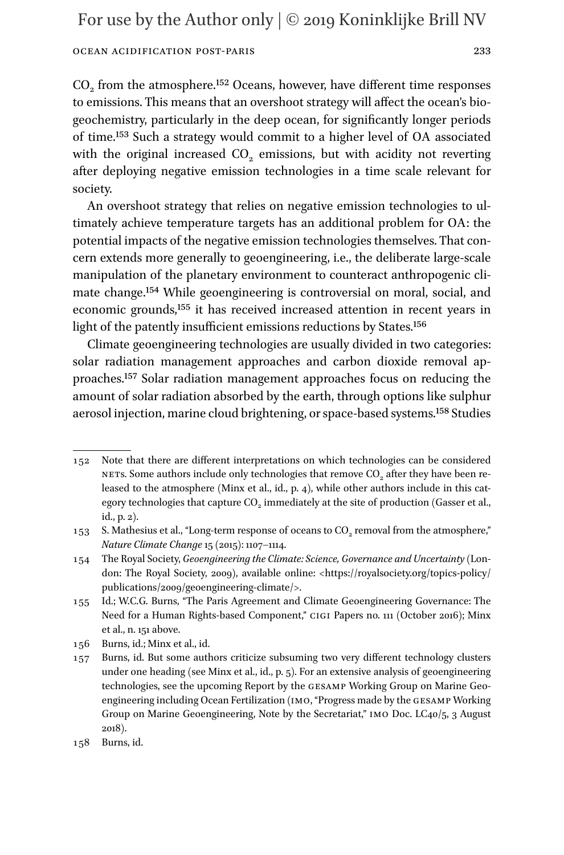### Ocean Acidification Post-Paris 233

CO<sub>2</sub> from the atmosphere.<sup>152</sup> Oceans, however, have different time responses to emissions. This means that an overshoot strategy will affect the ocean's biogeochemistry, particularly in the deep ocean, for significantly longer periods of time[.153](#page-32-1) Such a strategy would commit to a higher level of OA associated with the original increased  $CO<sub>2</sub>$  emissions, but with acidity not reverting after deploying negative emission technologies in a time scale relevant for society.

An overshoot strategy that relies on negative emission technologies to ultimately achieve temperature targets has an additional problem for OA: the potential impacts of the negative emission technologies themselves. That concern extends more generally to geoengineering, i.e., the deliberate large-scale manipulation of the planetary environment to counteract anthropogenic climate change.[154](#page-32-2) While geoengineering is controversial on moral, social, and economic grounds[,155](#page-32-3) it has received increased attention in recent years in light of the patently insufficient emissions reductions by States[.156](#page-32-4)

Climate geoengineering technologies are usually divided in two categories: solar radiation management approaches and carbon dioxide removal approaches.[157](#page-32-5) Solar radiation management approaches focus on reducing the amount of solar radiation absorbed by the earth, through options like sulphur aerosol injection, marine cloud brightening, or space-based systems.[158](#page-32-6) Studies

<span id="page-32-0"></span><sup>152</sup> Note that there are different interpretations on which technologies can be considered NETS. Some authors include only technologies that remove  $CO<sub>2</sub>$  after they have been released to the atmosphere (Minx et al., id., p. 4), while other authors include in this category technologies that capture CO<sub>2</sub> immediately at the site of production (Gasser et al., id., p. 2).

<span id="page-32-1"></span><sup>153</sup> S. Mathesius et al., "Long-term response of oceans to CO<sub>2</sub> removal from the atmosphere," *Nature Climate Change* 15 (2015): 1107–1114.

<span id="page-32-2"></span><sup>154</sup> The Royal Society, *Geoengineering the Climate: Science, Governance and Uncertainty* (London: The Royal Society, 2009), available online: [<https://royalsociety.org/topics-policy/](https://royalsociety.org/topics-policy/publications/2009/geoengineering-climate/) [publications/2009/geoengineering-climate/>](https://royalsociety.org/topics-policy/publications/2009/geoengineering-climate/).

<span id="page-32-3"></span><sup>155</sup> Id.; W.C.G. Burns, "The Paris Agreement and Climate Geoengineering Governance: The Need for a Human Rights-based Component," cigi Papers no. 111 (October 2016); Minx et al., n. 151 above.

<span id="page-32-4"></span><sup>156</sup> Burns, id.; Minx et al., id.

<span id="page-32-5"></span><sup>157</sup> Burns, id. But some authors criticize subsuming two very different technology clusters under one heading (see Minx et al., id., p. 5). For an extensive analysis of geoengineering technologies, see the upcoming Report by the gesamp Working Group on Marine Geoengineering including Ocean Fertilization (imo, "Progress made by the gesamp Working Group on Marine Geoengineering, Note by the Secretariat," IMO Doc. LC40/5, 3 August 2018).

<span id="page-32-6"></span><sup>158</sup> Burns, id.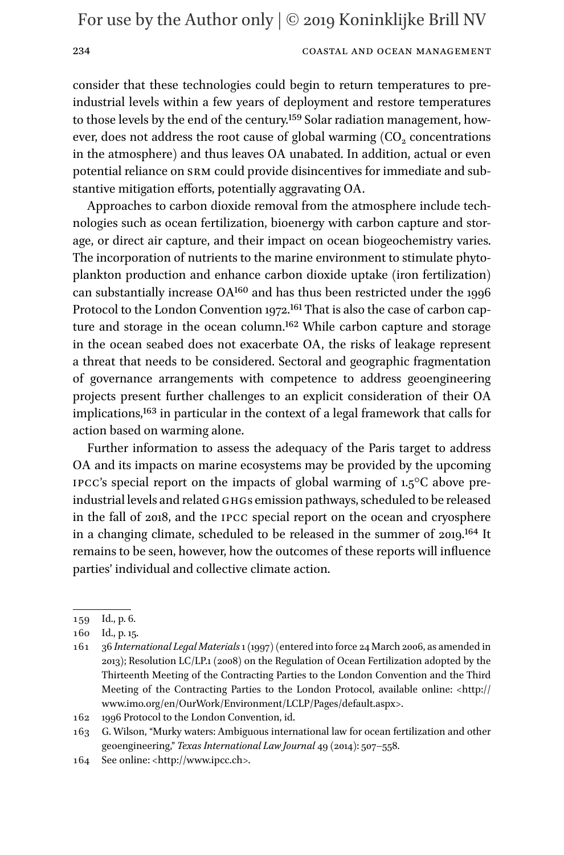#### 234 COASTAL AND OCEAN MANAGEMENT

consider that these technologies could begin to return temperatures to preindustrial levels within a few years of deployment and restore temperatures to those levels by the end of the century.<sup>[159](#page-33-0)</sup> Solar radiation management, however, does not address the root cause of global warming  $(CO<sub>2</sub>$  concentrations in the atmosphere) and thus leaves OA unabated. In addition, actual or even potential reliance on srm could provide disincentives for immediate and substantive mitigation efforts, potentially aggravating OA.

Approaches to carbon dioxide removal from the atmosphere include technologies such as ocean fertilization, bioenergy with carbon capture and storage, or direct air capture, and their impact on ocean biogeochemistry varies. The incorporation of nutrients to the marine environment to stimulate phytoplankton production and enhance carbon dioxide uptake (iron fertilization) can substantially increase OA[160](#page-33-1) and has thus been restricted under the 1996 Protocol to the London Convention 1972.<sup>161</sup> That is also the case of carbon capture and storage in the ocean column[.162](#page-33-3) While carbon capture and storage in the ocean seabed does not exacerbate OA, the risks of leakage represent a threat that needs to be considered. Sectoral and geographic fragmentation of governance arrangements with competence to address geoengineering projects present further challenges to an explicit consideration of their OA implications,[163](#page-33-4) in particular in the context of a legal framework that calls for action based on warming alone.

Further information to assess the adequacy of the Paris target to address OA and its impacts on marine ecosystems may be provided by the upcoming IPCC's special report on the impacts of global warming of  $1.5^{\circ}$ C above preindustrial levels and related GHGs emission pathways, scheduled to be released in the fall of 2018, and the ipcc special report on the ocean and cryosphere in a changing climate, scheduled to be released in the summer of 2019[.164](#page-33-5) It remains to be seen, however, how the outcomes of these reports will influence parties' individual and collective climate action.

<span id="page-33-0"></span><sup>159</sup> Id., p. 6.

<span id="page-33-1"></span><sup>160</sup> Id., p. 15.

<span id="page-33-2"></span><sup>161</sup> 36 *International Legal Materials* 1 (1997) (entered into force 24 March 2006, as amended in 2013); Resolution LC/LP.1 (2008) on the Regulation of Ocean Fertilization adopted by the Thirteenth Meeting of the Contracting Parties to the London Convention and the Third Meeting of the Contracting Parties to the London Protocol, available online: [<http://](http://www.imo.org/en/OurWork/Environment/LCLP/Pages/default.aspx) [www.imo.org/en/OurWork/Environment/LCLP/Pages/default.aspx](http://www.imo.org/en/OurWork/Environment/LCLP/Pages/default.aspx)>.

<span id="page-33-3"></span><sup>162</sup> 1996 Protocol to the London Convention, id.

<span id="page-33-4"></span><sup>163</sup> G. Wilson, "Murky waters: Ambiguous international law for ocean fertilization and other geoengineering," *Texas International Law Journal* 49 (2014): 507–558.

<span id="page-33-5"></span><sup>164</sup> See online: [<http://www.ipcc.ch](http://www.ipcc.ch)>.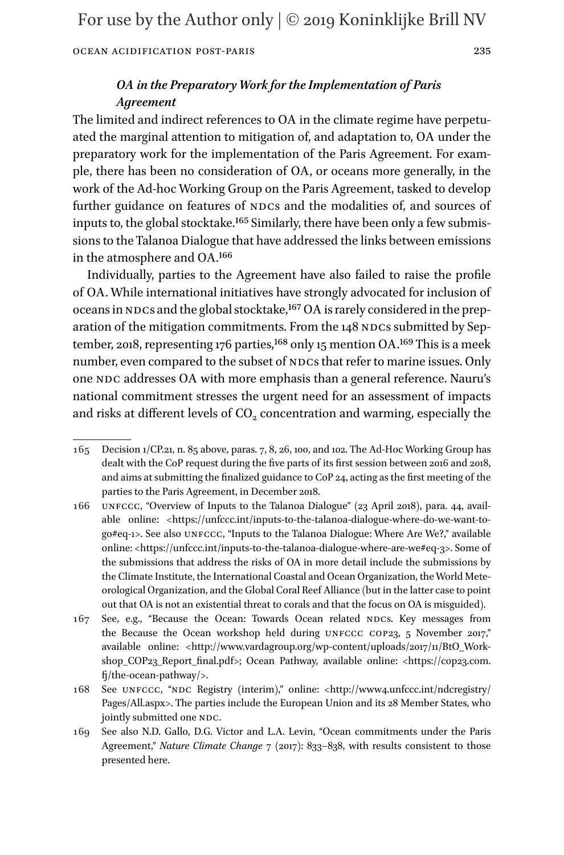# *OA in the Preparatory Work for the Implementation of Paris Agreement*

The limited and indirect references to OA in the climate regime have perpetuated the marginal attention to mitigation of, and adaptation to, OA under the preparatory work for the implementation of the Paris Agreement. For example, there has been no consideration of OA, or oceans more generally, in the work of the Ad-hoc Working Group on the Paris Agreement, tasked to develop further guidance on features of NDCs and the modalities of, and sources of inputs to, the global stocktake[.165](#page-34-0) Similarly, there have been only a few submissions to the Talanoa Dialogue that have addressed the links between emissions in the atmosphere and OA.[166](#page-34-1)

Individually, parties to the Agreement have also failed to raise the profile of OA. While international initiatives have strongly advocated for inclusion of oceans in NDCs and the global stocktake,<sup>[167](#page-34-2)</sup> OA is rarely considered in the preparation of the mitigation commitments. From the 148 NDCs submitted by September, 2018, representing 176 parties,  $168$  only 15 mention OA.<sup>[169](#page-34-4)</sup> This is a meek number, even compared to the subset of NDCs that refer to marine issues. Only one NDC addresses OA with more emphasis than a general reference. Nauru's national commitment stresses the urgent need for an assessment of impacts and risks at different levels of  $CO<sub>2</sub>$  concentration and warming, especially the

<span id="page-34-0"></span><sup>165</sup> Decision 1/CP.21, n. 85 above, paras. 7, 8, 26, 100, and 102. The Ad-Hoc Working Group has dealt with the CoP request during the five parts of its first session between 2016 and 2018, and aims at submitting the finalized guidance to CoP 24, acting as the first meeting of the parties to the Paris Agreement, in December 2018.

<span id="page-34-1"></span><sup>166</sup> unfccc, "Overview of Inputs to the Talanoa Dialogue" (23 April 2018), para. 44, available online: [<https://unfccc.int/inputs-to-the-talanoa-dialogue-where-do-we-want-to](https://unfccc.int/inputs-to-the-talanoa-dialogue-where-do-we-want-to-go%23eq-1)[go#eq-1](https://unfccc.int/inputs-to-the-talanoa-dialogue-where-do-we-want-to-go%23eq-1)>. See also unfccc, "Inputs to the Talanoa Dialogue: Where Are We?," available online: [<https://unfccc.int/inputs-to-the-talanoa-dialogue-where-are-we#eq-3>](https://unfccc.int/inputs-to-the-talanoa-dialogue-where-are-we%23eq-3). Some of the submissions that address the risks of OA in more detail include the submissions by the Climate Institute, the International Coastal and Ocean Organization, the World Meteorological Organization, and the Global Coral Reef Alliance (but in the latter case to point out that OA is not an existential threat to corals and that the focus on OA is misguided).

<span id="page-34-2"></span><sup>167</sup> See, e.g., "Because the Ocean: Towards Ocean related NDCs. Key messages from the Because the Ocean workshop held during UNFCCC COP23, 5 November 2017," available online: [<http://www.vardagroup.org/wp-content/uploads/2017/11/BtO\\_Work-](http://www.vardagroup.org/wp-content/uploads/2017/11/BtO_Workshop_COP23_Report_final.pdf)shop COP23 Report final.pdf>; Ocean Pathway, available online: [<https://cop23.com.](https://cop23.com.fj/the-ocean-pathway/) [fj/the-ocean-pathway/](https://cop23.com.fj/the-ocean-pathway/)>.

<span id="page-34-3"></span><sup>168</sup> See UNFCCC, "NDC Registry (interim)," online: [<http://www4.unfccc.int/ndcregistry/](http://www4.unfccc.int/ndcregistry/Pages/All.aspx) [Pages/All.aspx>](http://www4.unfccc.int/ndcregistry/Pages/All.aspx). The parties include the European Union and its 28 Member States, who jointly submitted one NDC.

<span id="page-34-4"></span><sup>169</sup> See also N.D. Gallo, D.G. Victor and L.A. Levin, "Ocean commitments under the Paris Agreement," *Nature Climate Change* 7 (2017): 833–838, with results consistent to those presented here.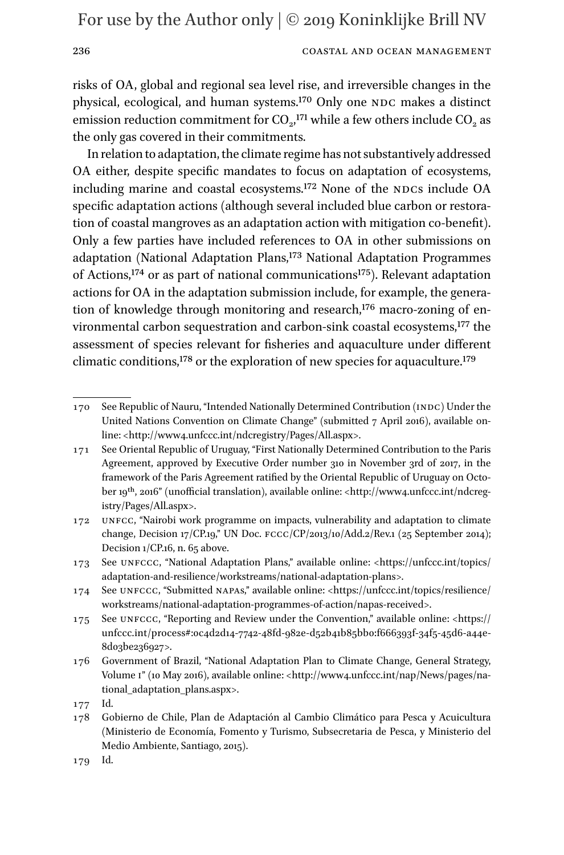### 236 COASTAL AND OCEAN MANAGEMENT

risks of OA, global and regional sea level rise, and irreversible changes in the physical, ecological, and human systems.<sup>[170](#page-35-0)</sup> Only one NDC makes a distinct emission reduction commitment for  $CO<sub>2</sub>$ <sup>171</sup> while a few others include  $CO<sub>2</sub>$  as the only gas covered in their commitments.

In relation to adaptation, the climate regime has not substantively addressed OA either, despite specific mandates to focus on adaptation of ecosystems, including marine and coastal ecosystems.<sup>172</sup> None of the NDCs include OA specific adaptation actions (although several included blue carbon or restoration of coastal mangroves as an adaptation action with mitigation co-benefit). Only a few parties have included references to OA in other submissions on adaptation (National Adaptation Plans,<sup>173</sup> National Adaptation Programmes of Actions,<sup>174</sup> or as part of national communications<sup>175</sup>). Relevant adaptation actions for OA in the adaptation submission include, for example, the generation of knowledge through monitoring and research,<sup>176</sup> macro-zoning of environmental carbon sequestration and carbon-sink coastal ecosystems[,177](#page-35-7) the assessment of species relevant for fisheries and aquaculture under different climatic conditions,<sup>[178](#page-35-8)</sup> or the exploration of new species for aquaculture.<sup>[179](#page-35-9)</sup>

<span id="page-35-0"></span><sup>170</sup> See Republic of Nauru, "Intended Nationally Determined Contribution (indc) Under the United Nations Convention on Climate Change" (submitted 7 April 2016), available online: [<http://www4.unfccc.int/ndcregistry/Pages/All.aspx](http://www4.unfccc.int/ndcregistry/Pages/All.aspx)>.

<span id="page-35-1"></span><sup>171</sup> See Oriental Republic of Uruguay, "First Nationally Determined Contribution to the Paris Agreement, approved by Executive Order number 310 in November 3rd of 2017, in the framework of the Paris Agreement ratified by the Oriental Republic of Uruguay on October 19<sup>th</sup>, 2016" (unofficial translation), available online: <[http://www4.unfccc.int/ndcreg](http://www4.unfccc.int/ndcregistry/Pages/All.aspx)[istry/Pages/All.aspx>](http://www4.unfccc.int/ndcregistry/Pages/All.aspx).

<span id="page-35-2"></span><sup>172</sup> unfcc, "Nairobi work programme on impacts, vulnerability and adaptation to climate change, Decision 17/CP.19," UN Doc. fccc/CP/2013/10/Add.2/Rev.1 (25 September 2014); Decision 1/CP.16, n. 65 above.

<span id="page-35-3"></span><sup>173</sup> See unfccc, "National Adaptation Plans," available online: <[https://unfccc.int/topics/](https://unfccc.int/topics/adaptation-and-resilience/workstreams/national-adaptation-plans) [adaptation-and-resilience/workstreams/national-adaptation-plans>](https://unfccc.int/topics/adaptation-and-resilience/workstreams/national-adaptation-plans).

<span id="page-35-4"></span><sup>174</sup> See unfccc, "Submitted napas," available online: <[https://unfccc.int/topics/resilience/](https://unfccc.int/topics/resilience/workstreams/national-adaptation-programmes-of-action/napas-received) [workstreams/national-adaptation-programmes-of-action/napas-received](https://unfccc.int/topics/resilience/workstreams/national-adaptation-programmes-of-action/napas-received)>.

<span id="page-35-5"></span><sup>175</sup> See unfccc, "Reporting and Review under the Convention," available online: [<https://](https://unfccc.int/process%23:0c4d2d14-7742-48fd-982e-d52b41b85bb0:f666393f-34f5-45d6-a44e-8d03be236927) [unfccc.int/process#:0c4d2d14-7742-48fd-982e-d52b41b85bb0:f666393f-34f5-45d6-a44e-](https://unfccc.int/process%23:0c4d2d14-7742-48fd-982e-d52b41b85bb0:f666393f-34f5-45d6-a44e-8d03be236927)[8d03be236927>](https://unfccc.int/process%23:0c4d2d14-7742-48fd-982e-d52b41b85bb0:f666393f-34f5-45d6-a44e-8d03be236927).

<span id="page-35-6"></span><sup>176</sup> Government of Brazil, "National Adaptation Plan to Climate Change, General Strategy, Volume i" (10 May 2016), available online: [<http://www4.unfccc.int/nap/News/pages/na](http://www4.unfccc.int/nap/News/pages/national_adaptation_plans.aspx)[tional\\_adaptation\\_plans.aspx](http://www4.unfccc.int/nap/News/pages/national_adaptation_plans.aspx)>.

<span id="page-35-7"></span><sup>177</sup> Id.

<span id="page-35-8"></span><sup>178</sup> Gobierno de Chile, Plan de Adaptación al Cambio Climático para Pesca y Acuicultura (Ministerio de Economía, Fomento y Turismo, Subsecretaria de Pesca, y Ministerio del Medio Ambiente, Santiago, 2015).

<span id="page-35-9"></span><sup>179</sup> Id.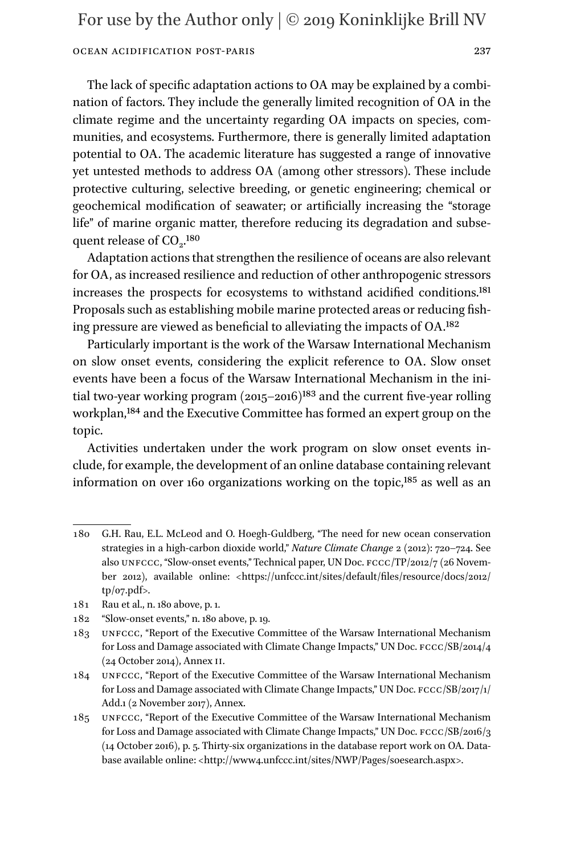### Ocean Acidification Post-Paris 237

The lack of specific adaptation actions to OA may be explained by a combination of factors. They include the generally limited recognition of OA in the climate regime and the uncertainty regarding OA impacts on species, communities, and ecosystems. Furthermore, there is generally limited adaptation potential to OA. The academic literature has suggested a range of innovative yet untested methods to address OA (among other stressors). These include protective culturing, selective breeding, or genetic engineering; chemical or geochemical modification of seawater; or artificially increasing the "storage life" of marine organic matter, therefore reducing its degradation and subsequent release of  $CO<sub>2</sub>$ <sup>180</sup>

Adaptation actions that strengthen the resilience of oceans are also relevant for OA, as increased resilience and reduction of other anthropogenic stressors increases the prospects for ecosystems to withstand acidified conditions[.181](#page-36-1) Proposals such as establishing mobile marine protected areas or reducing fishing pressure are viewed as beneficial to alleviating the impacts of OA.[182](#page-36-2)

Particularly important is the work of the Warsaw International Mechanism on slow onset events, considering the explicit reference to OA. Slow onset events have been a focus of the Warsaw International Mechanism in the initial two-year working program  $(2015-2016)^{183}$  $(2015-2016)^{183}$  $(2015-2016)^{183}$  and the current five-year rolling workplan,[184](#page-36-4) and the Executive Committee has formed an expert group on the topic.

Activities undertaken under the work program on slow onset events include, for example, the development of an online database containing relevant information on over 160 organizations working on the topic,<sup>[185](#page-36-5)</sup> as well as an

- <span id="page-36-0"></span>180 G.H. Rau, E.L. McLeod and O. Hoegh-Guldberg, "The need for new ocean conservation strategies in a high-carbon dioxide world," *Nature Climate Change* 2 (2012): 720–724. See also unfccc, "Slow-onset events," Technical paper, UN Doc. fccc/TP/2012/7 (26 November 2012), available online: [<https://unfccc.int/sites/default/files/resource/docs/2012/](https://unfccc.int/sites/default/files/resource/docs/2012/tp/07.pdf) [tp/07.pdf>](https://unfccc.int/sites/default/files/resource/docs/2012/tp/07.pdf).
- <span id="page-36-1"></span>181 Rau et al., n. 180 above, p. 1.
- <span id="page-36-2"></span>182 "Slow-onset events," n. 180 above, p. 19.
- <span id="page-36-3"></span>183 unfccc, "Report of the Executive Committee of the Warsaw International Mechanism for Loss and Damage associated with Climate Change Impacts," UN Doc.  $\text{Fccc/SB}/\text{2014}/\text{4}$ (24 October 2014), Annex ii.
- <span id="page-36-4"></span>184 unfccc, "Report of the Executive Committee of the Warsaw International Mechanism for Loss and Damage associated with Climate Change Impacts," UN Doc. fccc/SB/2017/1/ Add.1 (2 November 2017), Annex.
- <span id="page-36-5"></span>185 unfccc, "Report of the Executive Committee of the Warsaw International Mechanism for Loss and Damage associated with Climate Change Impacts," UN Doc. fccc/SB/2016/3 (14 October 2016), p. 5. Thirty-six organizations in the database report work on OA. Database available online: <<http://www4.unfccc.int/sites/NWP/Pages/soesearch.aspx>>.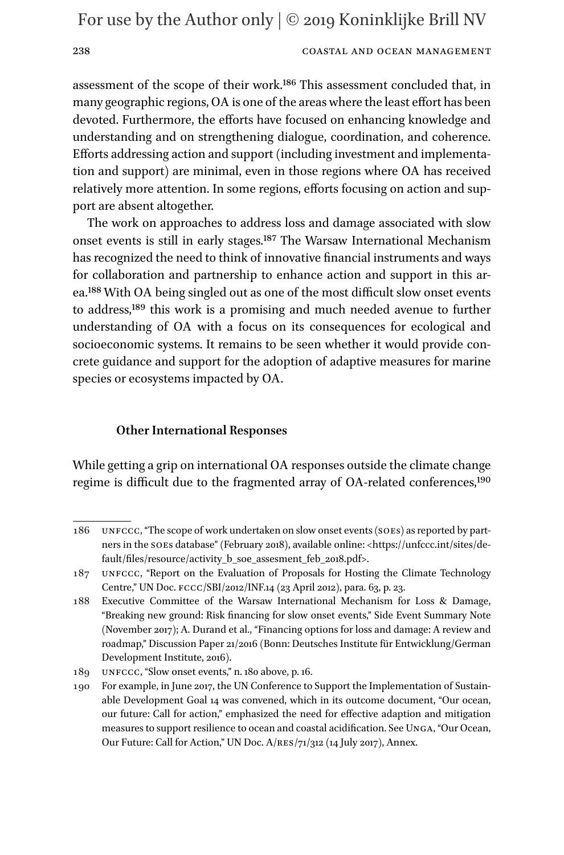### 238 COASTAL AND OCEAN MANAGEMENT

assessment of the scope of their work[.186](#page-37-0) This assessment concluded that, in many geographic regions, OA is one of the areas where the least effort has been devoted. Furthermore, the efforts have focused on enhancing knowledge and understanding and on strengthening dialogue, coordination, and coherence. Efforts addressing action and support (including investment and implementation and support) are minimal, even in those regions where OA has received relatively more attention. In some regions, efforts focusing on action and support are absent altogether.

The work on approaches to address loss and damage associated with slow onset events is still in early stages[.187](#page-37-1) The Warsaw International Mechanism has recognized the need to think of innovative financial instruments and ways for collaboration and partnership to enhance action and support in this area.[188](#page-37-2) With OA being singled out as one of the most difficult slow onset events to address,[189](#page-37-3) this work is a promising and much needed avenue to further understanding of OA with a focus on its consequences for ecological and socioeconomic systems. It remains to be seen whether it would provide concrete guidance and support for the adoption of adaptive measures for marine species or ecosystems impacted by OA.

### **Other International Responses**

While getting a grip on international OA responses outside the climate change regime is difficult due to the fragmented array of OA-related conferences,<sup>[190](#page-37-4)</sup>

<span id="page-37-0"></span><sup>186</sup> unfccc, "The scope of work undertaken on slow onset events (soes) as reported by partners in the soes database" (February 2018), available online: [<https://unfccc.int/sites/de](https://unfccc.int/sites/default/files/resource/activity_b_soe_assesment_feb_2018.pdf)fault/files/resource/activity b\_soe\_assesment\_feb\_2018.pdf>.

<span id="page-37-1"></span><sup>187</sup> unfccc, "Report on the Evaluation of Proposals for Hosting the Climate Technology Centre," UN Doc. fccc/SBI/2012/INF.14 (23 April 2012), para. 63, p. 23.

<span id="page-37-2"></span><sup>188</sup> Executive Committee of the Warsaw International Mechanism for Loss & Damage, "Breaking new ground: Risk financing for slow onset events," Side Event Summary Note (November 2017); A. Durand et al., "Financing options for loss and damage: A review and roadmap," Discussion Paper 21/2016 (Bonn: Deutsches Institute für Entwicklung/German Development Institute, 2016).

<span id="page-37-3"></span><sup>189</sup> unfccc, "Slow onset events," n. 180 above, p. 16.

<span id="page-37-4"></span><sup>190</sup> For example, in June 2017, the UN Conference to Support the Implementation of Sustainable Development Goal 14 was convened, which in its outcome document, "Our ocean, our future: Call for action," emphasized the need for effective adaption and mitigation measures to support resilience to ocean and coastal acidification. See Unga, "Our Ocean, Our Future: Call for Action," UN Doc. A/res/71/312 (14 July 2017), Annex.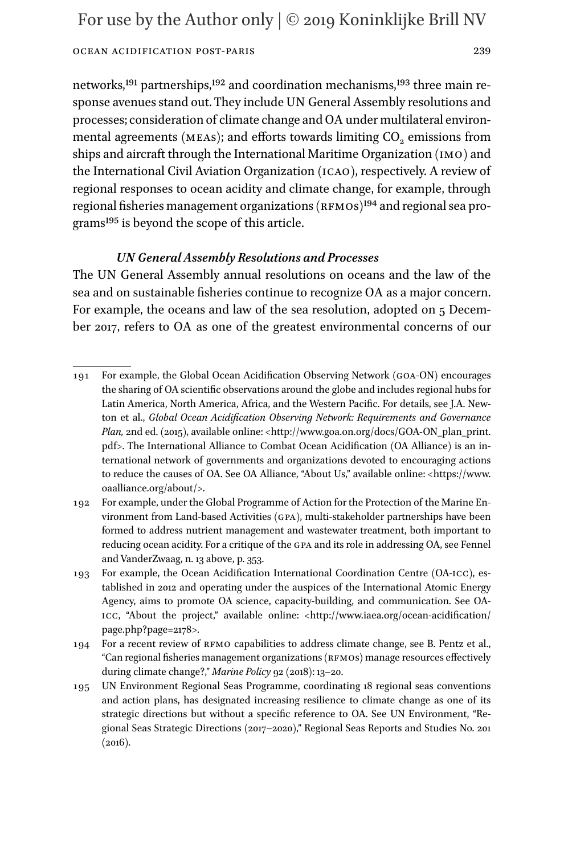networks,[191](#page-38-0) partnerships[,192](#page-38-1) and coordination mechanisms[,193](#page-38-2) three main response avenues stand out. They include UN General Assembly resolutions and processes; consideration of climate change and OA under multilateral environmental agreements (MEAs); and efforts towards limiting  $CO<sub>2</sub>$  emissions from ships and aircraft through the International Maritime Organization (imo) and the International Civil Aviation Organization (icao), respectively. A review of regional responses to ocean acidity and climate change, for example, through regional fisheries management organizations (RFMOs)<sup>194</sup> and regional sea program[s195](#page-38-4) is beyond the scope of this article.

# *UN General Assembly Resolutions and Processes*

The UN General Assembly annual resolutions on oceans and the law of the sea and on sustainable fisheries continue to recognize OA as a major concern. For example, the oceans and law of the sea resolution, adopted on 5 December 2017, refers to OA as one of the greatest environmental concerns of our

<span id="page-38-0"></span><sup>191</sup> For example, the Global Ocean Acidification Observing Network (goa-ON) encourages the sharing of OA scientific observations around the globe and includes regional hubs for Latin America, North America, Africa, and the Western Pacific. For details, see J.A. Newton et al., *Global Ocean Acidification Observing Network: Requirements and Governance Plan,* 2nd ed. (2015), available online: [<http://www.goa.on.org/docs/GOA-ON\\_plan\\_print.](http://www.goa.on.org/docs/GOA-ON_plan_print.pdf) [pdf>](http://www.goa.on.org/docs/GOA-ON_plan_print.pdf). The International Alliance to Combat Ocean Acidification (OA Alliance) is an international network of governments and organizations devoted to encouraging actions to reduce the causes of OA. See OA Alliance, "About Us," available online: <[https://www.](https://www.oaalliance.org/about/) [oaalliance.org/about/>](https://www.oaalliance.org/about/).

<span id="page-38-1"></span><sup>192</sup> For example, under the Global Programme of Action for the Protection of the Marine Environment from Land-based Activities (gpa), multi-stakeholder partnerships have been formed to address nutrient management and wastewater treatment, both important to reducing ocean acidity. For a critique of the gpa and its role in addressing OA, see Fennel and VanderZwaag, n. 13 above, p. 353.

<span id="page-38-2"></span><sup>193</sup> For example, the Ocean Acidification International Coordination Centre (OA-icc), established in 2012 and operating under the auspices of the International Atomic Energy Agency, aims to promote OA science, capacity-building, and communication. See OAicc, "About the project," available online: <[http://www.iaea.org/ocean-acidification/](http://www.iaea.org/ocean-acidification/page.php?page=2178) [page.php?page=2178](http://www.iaea.org/ocean-acidification/page.php?page=2178)>.

<span id="page-38-3"></span><sup>194</sup> For a recent review of rfmo capabilities to address climate change, see B. Pentz et al.,  $Can$  regional fisheries management organizations ( $RFMOS$ ) manage resources effectively during climate change?," *Marine Policy* 92 (2018): 13–20.

<span id="page-38-4"></span><sup>195</sup> UN Environment Regional Seas Programme, coordinating 18 regional seas conventions and action plans, has designated increasing resilience to climate change as one of its strategic directions but without a specific reference to OA. See UN Environment, "Regional Seas Strategic Directions (2017–2020)," Regional Seas Reports and Studies No. 201  $(2016).$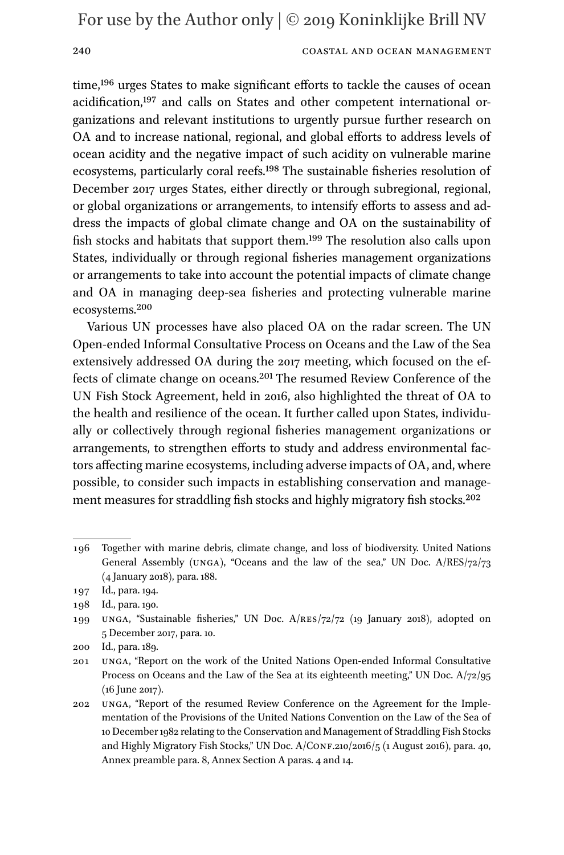### 240 COASTAL AND OCEAN MANAGEMENT

time,<sup>196</sup> urges States to make significant efforts to tackle the causes of ocean acidification,[197](#page-39-1) and calls on States and other competent international organizations and relevant institutions to urgently pursue further research on OA and to increase national, regional, and global efforts to address levels of ocean acidity and the negative impact of such acidity on vulnerable marine ecosystems, particularly coral reefs.<sup>198</sup> The sustainable fisheries resolution of December 2017 urges States, either directly or through subregional, regional, or global organizations or arrangements, to intensify efforts to assess and address the impacts of global climate change and OA on the sustainability of fish stocks and habitats that support them.[199](#page-39-3) The resolution also calls upon States, individually or through regional fisheries management organizations or arrangements to take into account the potential impacts of climate change and OA in managing deep-sea fisheries and protecting vulnerable marine ecosystems[.200](#page-39-4)

Various UN processes have also placed OA on the radar screen. The UN Open-ended Informal Consultative Process on Oceans and the Law of the Sea extensively addressed OA during the 2017 meeting, which focused on the effects of climate change on oceans[.201](#page-39-5) The resumed Review Conference of the UN Fish Stock Agreement, held in 2016, also highlighted the threat of OA to the health and resilience of the ocean. It further called upon States, individually or collectively through regional fisheries management organizations or arrangements, to strengthen efforts to study and address environmental factors affecting marine ecosystems, including adverse impacts of OA, and, where possible, to consider such impacts in establishing conservation and manage-ment measures for straddling fish stocks and highly migratory fish stocks.<sup>[202](#page-39-6)</sup>

<span id="page-39-0"></span><sup>196</sup> Together with marine debris, climate change, and loss of biodiversity. United Nations General Assembly (unga), "Oceans and the law of the sea," UN Doc. A/RES/72/73 (4 January 2018), para. 188.

<span id="page-39-1"></span><sup>197</sup> Id., para. 194.

<span id="page-39-2"></span><sup>198</sup> Id., para. 190.

<span id="page-39-3"></span><sup>199</sup> unga, "Sustainable fisheries," UN Doc. A/res/72/72 (19 January 2018), adopted on 5 December 2017, para. 10.

<span id="page-39-4"></span><sup>200</sup> Id., para. 189.

<span id="page-39-5"></span><sup>201</sup> unga, "Report on the work of the United Nations Open-ended Informal Consultative Process on Oceans and the Law of the Sea at its eighteenth meeting," UN Doc. A/72/95 (16 June 2017).

<span id="page-39-6"></span><sup>202</sup> unga, "Report of the resumed Review Conference on the Agreement for the Implementation of the Provisions of the United Nations Convention on the Law of the Sea of 10 December 1982 relating to the Conservation and Management of Straddling Fish Stocks and Highly Migratory Fish Stocks," UN Doc. A/Conf.210/2016/5 (1 August 2016), para. 40, Annex preamble para. 8, Annex Section A paras. 4 and 14.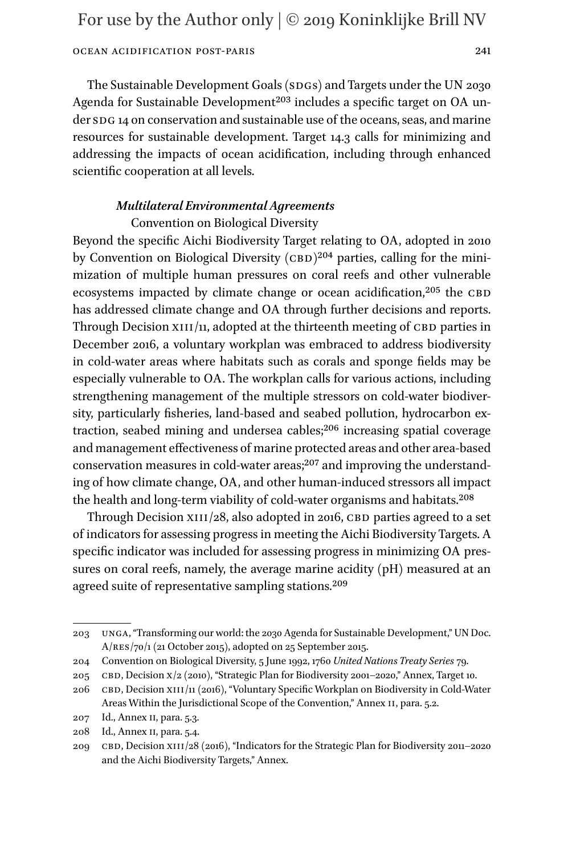The Sustainable Development Goals (SDGs) and Targets under the UN 2030 Agenda for Sustainable Development<sup>203</sup> includes a specific target on OA under sp<sub>G</sub> 14 on conservation and sustainable use of the oceans, seas, and marine resources for sustainable development. Target 14.3 calls for minimizing and addressing the impacts of ocean acidification, including through enhanced scientific cooperation at all levels.

### *Multilateral Environmental Agreements* Convention on Biological Diversity

Beyond the specific Aichi Biodiversity Target relating to OA, adopted in 2010 by Convention on Biological Diversity  $(cBD)^{204}$  parties, calling for the minimization of multiple human pressures on coral reefs and other vulnerable ecosystems impacted by climate change or ocean acidification, $205$  the CBD has addressed climate change and OA through further decisions and reports. Through Decision  $XIII/n$ , adopted at the thirteenth meeting of CBD parties in December 2016, a voluntary workplan was embraced to address biodiversity in cold-water areas where habitats such as corals and sponge fields may be especially vulnerable to OA. The workplan calls for various actions, including strengthening management of the multiple stressors on cold-water biodiversity, particularly fisheries, land-based and seabed pollution, hydrocarbon extraction, seabed mining and undersea cables;<sup>206</sup> increasing spatial coverage and management effectiveness of marine protected areas and other area-based conservation measures in cold-water areas;<sup>207</sup> and improving the understanding of how climate change, OA, and other human-induced stressors all impact the health and long-term viability of cold-water organisms and habitats.<sup>[208](#page-40-5)</sup>

Through Decision  $x111/28$ , also adopted in 2016, CBD parties agreed to a set of indicators for assessing progress in meeting the Aichi Biodiversity Targets. A specific indicator was included for assessing progress in minimizing OA pressures on coral reefs, namely, the average marine acidity (pH) measured at an agreed suite of representative sampling stations.[209](#page-40-6)

<span id="page-40-0"></span><sup>203</sup> unga, "Transforming our world: the 2030 Agenda for Sustainable Development," UN Doc. A/res/70/1 (21 October 2015), adopted on 25 September 2015.

<span id="page-40-1"></span><sup>204</sup> Convention on Biological Diversity, 5 June 1992, 1760 *United Nations Treaty Series* 79.

<span id="page-40-2"></span><sup>205</sup> cbd, Decision x/2 (2010), "Strategic Plan for Biodiversity 2001–2020," Annex, Target 10.

<span id="page-40-3"></span><sup>206</sup> cbd, Decision xiii/11 (2016), "Voluntary Specific Workplan on Biodiversity in Cold-Water Areas Within the Jurisdictional Scope of the Convention," Annex II, para. 5.2.

<span id="page-40-4"></span><sup>207</sup> Id., Annex ii, para. 5.3.

<span id="page-40-5"></span><sup>208</sup> Id., Annex ii, para. 5.4.

<span id="page-40-6"></span><sup>209</sup> CBD, Decision XIII/28 (2016), "Indicators for the Strategic Plan for Biodiversity 2011–2020 and the Aichi Biodiversity Targets," Annex.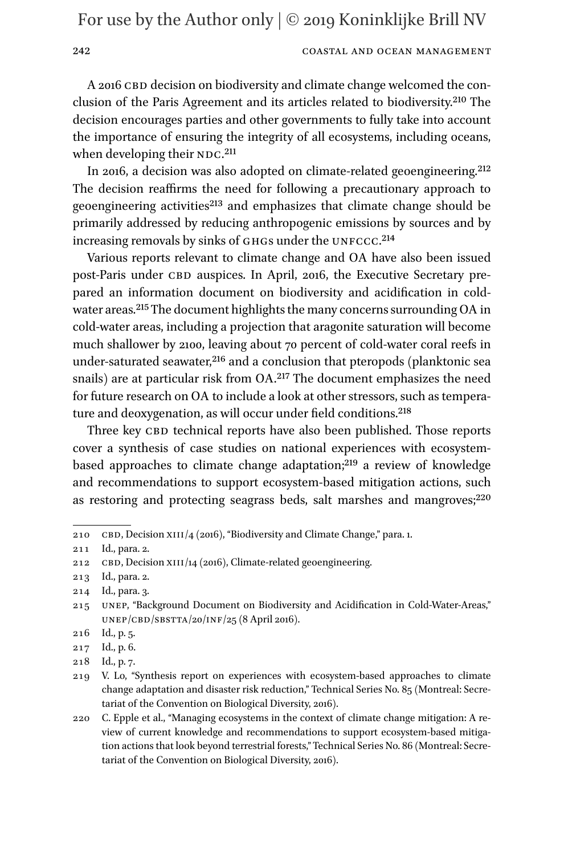### 242 COASTAL AND OCEAN MANAGEMENT

A 2016 CBD decision on biodiversity and climate change welcomed the conclusion of the Paris Agreement and its articles related to biodiversity.[210](#page-41-0) The decision encourages parties and other governments to fully take into account the importance of ensuring the integrity of all ecosystems, including oceans, when developing their NDC.<sup>[211](#page-41-1)</sup>

In 2016, a decision was also adopted on climate-related geoengineering[.212](#page-41-2) The decision reaffirms the need for following a precautionary approach to geoengineering activities<sup>213</sup> and emphasizes that climate change should be primarily addressed by reducing anthropogenic emissions by sources and by increasing removals by sinks of GHGs under the UNFCCC.<sup>[214](#page-41-4)</sup>

Various reports relevant to climate change and OA have also been issued post-Paris under CBD auspices. In April, 2016, the Executive Secretary prepared an information document on biodiversity and acidification in coldwater areas.[215](#page-41-5) The document highlights the many concerns surrounding OA in cold-water areas, including a projection that aragonite saturation will become much shallower by 2100, leaving about 70 percent of cold-water coral reefs in under-saturated seawater,<sup>216</sup> and a conclusion that pteropods (planktonic sea snails) are at particular risk from OA.[217](#page-41-7) The document emphasizes the need for future research on OA to include a look at other stressors, such as temperature and deoxygenation, as will occur under field conditions.<sup>218</sup>

Three key CBD technical reports have also been published. Those reports cover a synthesis of case studies on national experiences with ecosystembased approaches to climate change adaptation;<sup>219</sup> a review of knowledge and recommendations to support ecosystem-based mitigation actions, such as restoring and protecting seagrass beds, salt marshes and mangroves;<sup>[220](#page-41-10)</sup>

<span id="page-41-0"></span><sup>210</sup> CBD, Decision XIII/4 (2016), "Biodiversity and Climate Change," para. 1.

<span id="page-41-1"></span><sup>211</sup> Id., para. 2.

<span id="page-41-2"></span><sup>212</sup> CBD, Decision XIII/14 (2016), Climate-related geoengineering.

<span id="page-41-3"></span><sup>213</sup> Id., para. 2.

<span id="page-41-4"></span><sup>214</sup> Id., para. 3.

<span id="page-41-5"></span><sup>215</sup> unep, "Background Document on Biodiversity and Acidification in Cold-Water-Areas,"  $UNEP/CBD/SBSTTA/20/INF/25$  (8 April 2016).

<span id="page-41-6"></span><sup>216</sup> Id., p. 5.

<span id="page-41-7"></span><sup>217</sup> Id., p. 6.

<span id="page-41-8"></span><sup>218</sup> Id., p. 7.

<span id="page-41-9"></span><sup>219</sup> V. Lo, "Synthesis report on experiences with ecosystem-based approaches to climate change adaptation and disaster risk reduction," Technical Series No. 85 (Montreal: Secretariat of the Convention on Biological Diversity, 2016).

<span id="page-41-10"></span><sup>220</sup> C. Epple et al., "Managing ecosystems in the context of climate change mitigation: A review of current knowledge and recommendations to support ecosystem-based mitigation actions that look beyond terrestrial forests," Technical Series No. 86 (Montreal: Secretariat of the Convention on Biological Diversity, 2016).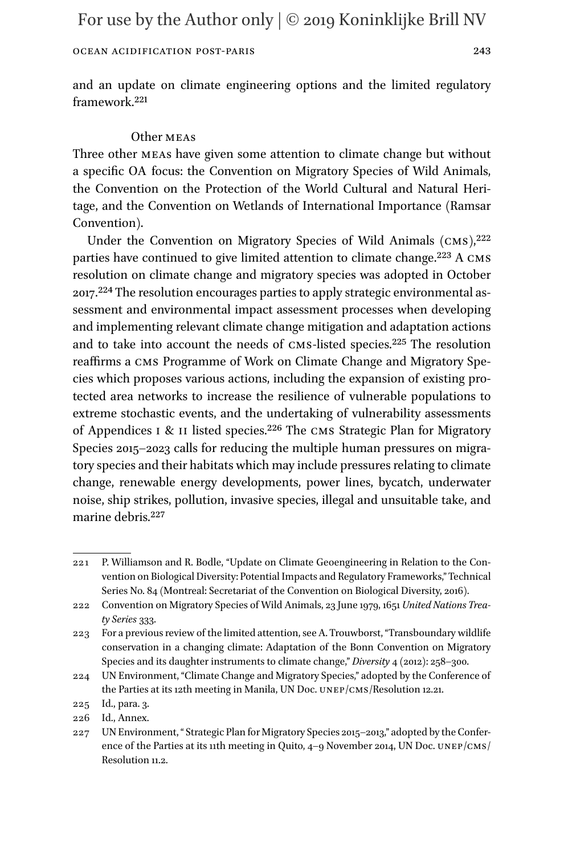and an update on climate engineering options and the limited regulatory framework.[221](#page-42-0)

### Other meas

Three other meas have given some attention to climate change but without a specific OA focus: the Convention on Migratory Species of Wild Animals, the Convention on the Protection of the World Cultural and Natural Heritage, and the Convention on Wetlands of International Importance (Ramsar Convention).

Under the Convention on Migratory Species of Wild Animals  $(CMS)^{222}$ parties have continued to give limited attention to climate change.<sup>223</sup> A CMS resolution on climate change and migratory species was adopted in October 2017[.224](#page-42-3) The resolution encourages parties to apply strategic environmental assessment and environmental impact assessment processes when developing and implementing relevant climate change mitigation and adaptation actions and to take into account the needs of cms-listed species.[225](#page-42-4) The resolution reaffirms a cms Programme of Work on Climate Change and Migratory Species which proposes various actions, including the expansion of existing protected area networks to increase the resilience of vulnerable populations to extreme stochastic events, and the undertaking of vulnerability assessments of Appendices I & II listed species.<sup>226</sup> The CMS Strategic Plan for Migratory Species 2015–2023 calls for reducing the multiple human pressures on migratory species and their habitats which may include pressures relating to climate change, renewable energy developments, power lines, bycatch, underwater noise, ship strikes, pollution, invasive species, illegal and unsuitable take, and marine debris[.227](#page-42-6)

<span id="page-42-0"></span><sup>221</sup> P. Williamson and R. Bodle, "Update on Climate Geoengineering in Relation to the Convention on Biological Diversity: Potential Impacts and Regulatory Frameworks," Technical Series No. 84 (Montreal: Secretariat of the Convention on Biological Diversity, 2016).

<span id="page-42-1"></span><sup>222</sup> Convention on Migratory Species of Wild Animals, 23 June 1979, 1651 *United Nations Treaty Series* 333.

<span id="page-42-2"></span><sup>223</sup> For a previous review of the limited attention, see A. Trouwborst, "Transboundary wildlife conservation in a changing climate: Adaptation of the Bonn Convention on Migratory Species and its daughter instruments to climate change," *Diversity* 4 (2012): 258–300.

<span id="page-42-3"></span><sup>224</sup> UN Environment, "Climate Change and Migratory Species," adopted by the Conference of the Parties at its 12th meeting in Manila, UN Doc. unep/cms/Resolution 12.21.

<span id="page-42-4"></span><sup>225</sup> Id., para. 3.

<span id="page-42-5"></span><sup>226</sup> Id., Annex.

<span id="page-42-6"></span><sup>227</sup> UN Environment, " Strategic Plan for Migratory Species 2015–2013," adopted by the Conference of the Parties at its 11th meeting in Quito,  $4\n-9$  November 2014, UN Doc. UNEP/CMS/ Resolution 11.2.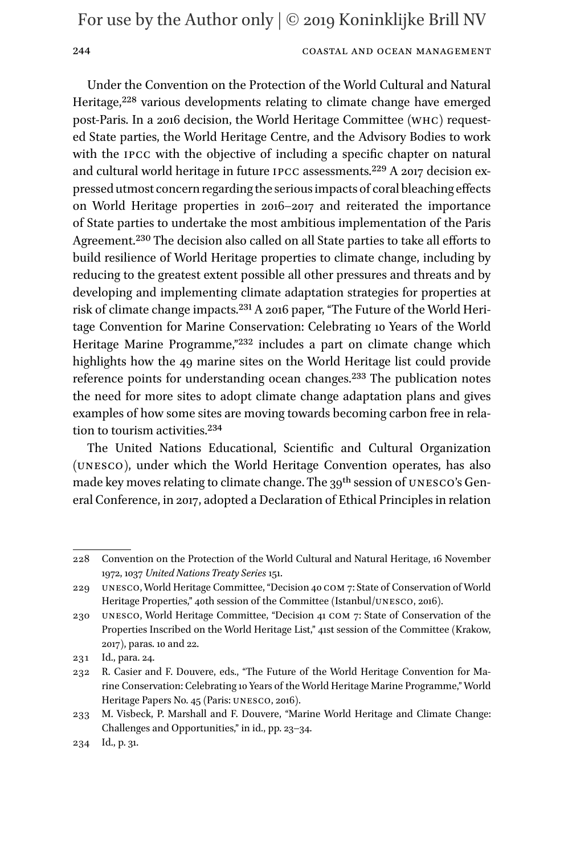### 244 COASTAL AND OCEAN MANAGEMENT

Under the Convention on the Protection of the World Cultural and Natural Heritage,<sup>228</sup> various developments relating to climate change have emerged post-Paris. In a 2016 decision, the World Heritage Committee (whc) requested State parties, the World Heritage Centre, and the Advisory Bodies to work with the ipcc with the objective of including a specific chapter on natural and cultural world heritage in future ipcc assessments.[229](#page-43-1) A 2017 decision expressed utmost concern regarding the serious impacts of coral bleaching effects on World Heritage properties in 2016–2017 and reiterated the importance of State parties to undertake the most ambitious implementation of the Paris Agreement.[230](#page-43-2) The decision also called on all State parties to take all efforts to build resilience of World Heritage properties to climate change, including by reducing to the greatest extent possible all other pressures and threats and by developing and implementing climate adaptation strategies for properties at risk of climate change impacts.[231](#page-43-3) A 2016 paper, "The Future of the World Heritage Convention for Marine Conservation: Celebrating 10 Years of the World Heritage Marine Programme,"[232](#page-43-4) includes a part on climate change which highlights how the 49 marine sites on the World Heritage list could provide reference points for understanding ocean changes.[233](#page-43-5) The publication notes the need for more sites to adopt climate change adaptation plans and gives examples of how some sites are moving towards becoming carbon free in relation to tourism activities.[234](#page-43-6)

The United Nations Educational, Scientific and Cultural Organization (unesco), under which the World Heritage Convention operates, has also made key moves relating to climate change. The 39<sup>th</sup> session of UNESCO's General Conference, in 2017, adopted a Declaration of Ethical Principles in relation

<span id="page-43-0"></span><sup>228</sup> Convention on the Protection of the World Cultural and Natural Heritage, 16 November 1972, 1037 *United Nations Treaty Series* 151.

<span id="page-43-1"></span><sup>229</sup> unesco, World Heritage Committee, "Decision 40 com 7: State of Conservation of World Heritage Properties," 40th session of the Committee (Istanbul/UNESCO, 2016).

<span id="page-43-2"></span><sup>230</sup> unesco, World Heritage Committee, "Decision 41 com 7: State of Conservation of the Properties Inscribed on the World Heritage List," 41st session of the Committee (Krakow, 2017), paras. 10 and 22.

<span id="page-43-3"></span><sup>231</sup> Id., para. 24.

<span id="page-43-4"></span><sup>232</sup> R. Casier and F. Douvere, eds., "The Future of the World Heritage Convention for Marine Conservation: Celebrating 10 Years of the World Heritage Marine Programme," World Heritage Papers No. 45 (Paris: UNESCO, 2016).

<span id="page-43-5"></span><sup>233</sup> M. Visbeck, P. Marshall and F. Douvere, "Marine World Heritage and Climate Change: Challenges and Opportunities," in id., pp. 23–34.

<span id="page-43-6"></span><sup>234</sup> Id., p. 31.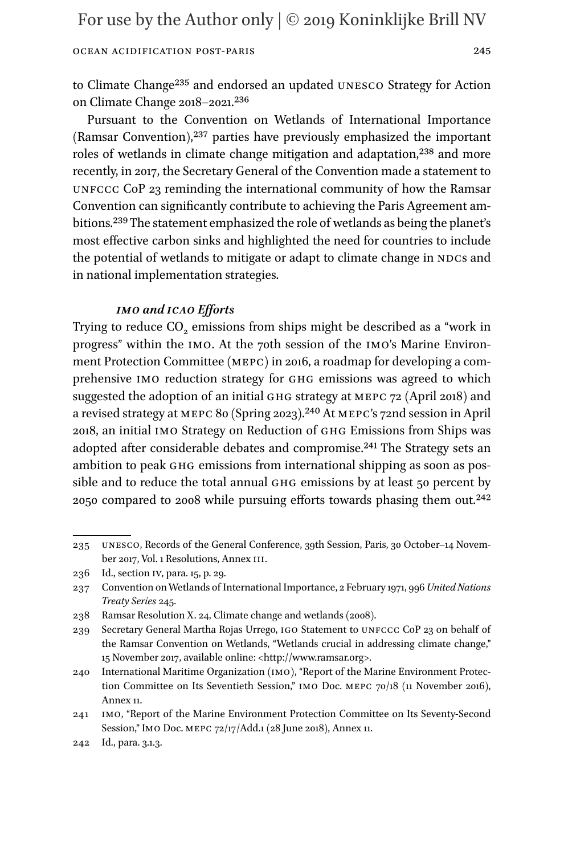to Climate Chang[e235](#page-44-0) and endorsed an updated unesco Strategy for Action on Climate Change 2018–2021.[236](#page-44-1)

Pursuant to the Convention on Wetlands of International Importance (Ramsar Convention),[237](#page-44-2) parties have previously emphasized the important roles of wetlands in climate change mitigation and adaptation,<sup>[238](#page-44-3)</sup> and more recently, in 2017, the Secretary General of the Convention made a statement to unfccc CoP 23 reminding the international community of how the Ramsar Convention can significantly contribute to achieving the Paris Agreement ambitions[.239](#page-44-4) The statement emphasized the role of wetlands as being the planet's most effective carbon sinks and highlighted the need for countries to include the potential of wetlands to mitigate or adapt to climate change in NDCs and in national implementation strategies.

### *imo and icao Efforts*

Trying to reduce CO<sub>2</sub> emissions from ships might be described as a "work in progress" within the imo. At the 70th session of the imo's Marine Environment Protection Committee (mepc) in 2016, a roadmap for developing a comprehensive IMO reduction strategy for GHG emissions was agreed to which suggested the adoption of an initial ghg strategy at mepc 72 (April 2018) and a revised strategy at mepc 80 (Spring 2023).[240](#page-44-5) At mepc's 72nd session in April 2018, an initial imo Strategy on Reduction of ghg Emissions from Ships was adopted after considerable debates and compromise[.241](#page-44-6) The Strategy sets an ambition to peak GHG emissions from international shipping as soon as possible and to reduce the total annual GHG emissions by at least 50 percent by 2050 compared to 2008 while pursuing efforts towards phasing them out[.242](#page-44-7)

<span id="page-44-0"></span><sup>235</sup> UNESCO, Records of the General Conference, 39th Session, Paris, 30 October-14 November 2017, Vol. 1 Resolutions, Annex iii.

<span id="page-44-1"></span><sup>236</sup> Id., section iv, para. 15, p. 29.

<span id="page-44-2"></span><sup>237</sup> Convention on Wetlands of International Importance, 2 February 1971, 996 *United Nations Treaty Series* 245.

<span id="page-44-3"></span><sup>238</sup> Ramsar Resolution X. 24, Climate change and wetlands (2008).

<span id="page-44-4"></span><sup>239</sup> Secretary General Martha Rojas Urrego, igo Statement to unfccc CoP 23 on behalf of the Ramsar Convention on Wetlands, "Wetlands crucial in addressing climate change," 15 November 2017, available online: <<http://www.ramsar.org>>.

<span id="page-44-5"></span><sup>240</sup> International Maritime Organization (imo), "Report of the Marine Environment Protection Committee on Its Seventieth Session," imo Doc. mepc 70/18 (11 November 2016), Annex 11.

<span id="page-44-6"></span><sup>241</sup> imo, "Report of the Marine Environment Protection Committee on Its Seventy-Second Session," Imo Doc. mepc 72/17/Add.1 (28 June 2018), Annex 11.

<span id="page-44-7"></span><sup>242</sup> Id., para. 3.1.3.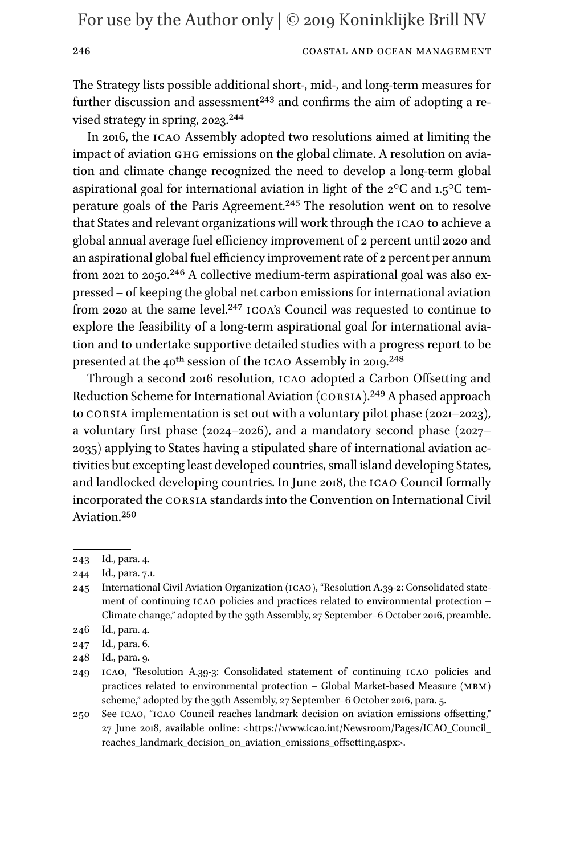### 246 COASTAL AND OCEAN MANAGEMENT

The Strategy lists possible additional short-, mid-, and long-term measures for further discussion and assessment<sup>243</sup> and confirms the aim of adopting a revised strategy in spring, 2023.<sup>244</sup>

In 2016, the icao Assembly adopted two resolutions aimed at limiting the impact of aviation ghg emissions on the global climate. A resolution on aviation and climate change recognized the need to develop a long-term global aspirational goal for international aviation in light of the 2°C and 1.5°C temperature goals of the Paris Agreement[.245](#page-45-2) The resolution went on to resolve that States and relevant organizations will work through the icao to achieve a global annual average fuel efficiency improvement of 2 percent until 2020 and an aspirational global fuel efficiency improvement rate of 2 percent per annum from 2021 to 2050[.246](#page-45-3) A collective medium-term aspirational goal was also expressed – of keeping the global net carbon emissions for international aviation from 2020 at the same level.<sup>[247](#page-45-4)</sup> ICOA's Council was requested to continue to explore the feasibility of a long-term aspirational goal for international aviation and to undertake supportive detailed studies with a progress report to be presented at the 40<sup>th</sup> session of the ICAO Assembly in 2019.<sup>248</sup>

Through a second 2016 resolution, icao adopted a Carbon Offsetting and Reduction Scheme for International Aviation (corsia).[249](#page-45-6) A phased approach to CORSIA implementation is set out with a voluntary pilot phase  $(2021-2023)$ , a voluntary first phase (2024–2026), and a mandatory second phase (2027– 2035) applying to States having a stipulated share of international aviation activities but excepting least developed countries, small island developing States, and landlocked developing countries. In June 2018, the icao Council formally incorporated the corsia standards into the Convention on International Civil Aviation.[250](#page-45-7)

248 Id., para. 9.

<span id="page-45-0"></span><sup>243</sup> Id., para. 4.

<span id="page-45-1"></span><sup>244</sup> Id., para. 7.1.

<span id="page-45-2"></span><sup>245</sup> International Civil Aviation Organization (icao), "Resolution A.39-2: Consolidated statement of continuing icao policies and practices related to environmental protection – Climate change," adopted by the 39th Assembly, 27 September–6 October 2016, preamble.

<span id="page-45-3"></span><sup>246</sup> Id., para. 4.

<span id="page-45-5"></span><span id="page-45-4"></span><sup>247</sup> Id., para. 6.

<span id="page-45-6"></span><sup>249</sup> icao, "Resolution A.39-3: Consolidated statement of continuing icao policies and practices related to environmental protection – Global Market-based Measure (mbm) scheme," adopted by the 39th Assembly, 27 September–6 October 2016, para. 5.

<span id="page-45-7"></span><sup>250</sup> See icao, "icao Council reaches landmark decision on aviation emissions offsetting," 27 June 2018, available online: [<https://www.icao.int/Newsroom/Pages/ICAO\\_Council\\_](https://www.icao.int/Newsroom/Pages/ICAO_Council_reaches_landmark_decision_on_aviation_emissions_offsetting.aspx) [reaches\\_landmark\\_decision\\_on\\_aviation\\_emissions\\_offsetting.aspx>](https://www.icao.int/Newsroom/Pages/ICAO_Council_reaches_landmark_decision_on_aviation_emissions_offsetting.aspx).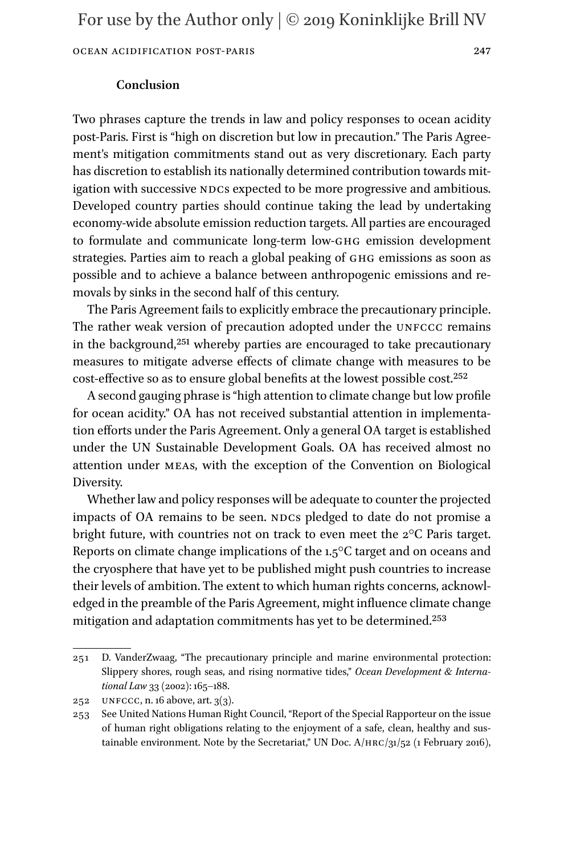### **Conclusion**

Two phrases capture the trends in law and policy responses to ocean acidity post-Paris. First is "high on discretion but low in precaution." The Paris Agreement's mitigation commitments stand out as very discretionary. Each party has discretion to establish its nationally determined contribution towards mitigation with successive NDCs expected to be more progressive and ambitious. Developed country parties should continue taking the lead by undertaking economy-wide absolute emission reduction targets. All parties are encouraged to formulate and communicate long-term low-ghg emission development strategies. Parties aim to reach a global peaking of GHG emissions as soon as possible and to achieve a balance between anthropogenic emissions and removals by sinks in the second half of this century.

The Paris Agreement fails to explicitly embrace the precautionary principle. The rather weak version of precaution adopted under the UNFCCC remains in the background,[251](#page-46-0) whereby parties are encouraged to take precautionary measures to mitigate adverse effects of climate change with measures to be cost-effective so as to ensure global benefits at the lowest possible cost[.252](#page-46-1)

A second gauging phrase is "high attention to climate change but low profile for ocean acidity." OA has not received substantial attention in implementation efforts under the Paris Agreement. Only a general OA target is established under the UN Sustainable Development Goals. OA has received almost no attention under meas, with the exception of the Convention on Biological Diversity.

Whether law and policy responses will be adequate to counter the projected impacts of OA remains to be seen. NDCs pledged to date do not promise a bright future, with countries not on track to even meet the 2°C Paris target. Reports on climate change implications of the 1.5°C target and on oceans and the cryosphere that have yet to be published might push countries to increase their levels of ambition. The extent to which human rights concerns, acknowledged in the preamble of the Paris Agreement, might influence climate change mitigation and adaptation commitments has yet to be determined.[253](#page-46-2)

<span id="page-46-0"></span><sup>251</sup> D. VanderZwaag, "The precautionary principle and marine environmental protection: Slippery shores, rough seas, and rising normative tides," *Ocean Development & International Law* 33 (2002): 165–188.

<span id="page-46-1"></span><sup>252</sup> UNFCCC, n. 16 above, art.  $3(3)$ .

<span id="page-46-2"></span><sup>253</sup> See United Nations Human Right Council, "Report of the Special Rapporteur on the issue of human right obligations relating to the enjoyment of a safe, clean, healthy and sustainable environment. Note by the Secretariat," UN Doc.  $A/HRC/31/52$  (1 February 2016),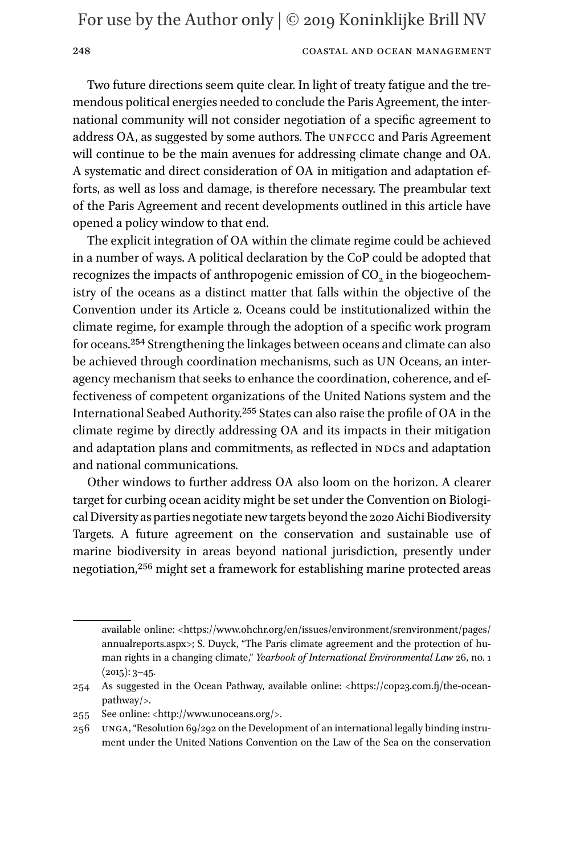### 248 COASTAL AND OCEAN MANAGEMENT

Two future directions seem quite clear. In light of treaty fatigue and the tremendous political energies needed to conclude the Paris Agreement, the international community will not consider negotiation of a specific agreement to address OA, as suggested by some authors. The UNFCCC and Paris Agreement will continue to be the main avenues for addressing climate change and OA. A systematic and direct consideration of OA in mitigation and adaptation efforts, as well as loss and damage, is therefore necessary. The preambular text of the Paris Agreement and recent developments outlined in this article have opened a policy window to that end.

The explicit integration of OA within the climate regime could be achieved in a number of ways. A political declaration by the CoP could be adopted that recognizes the impacts of anthropogenic emission of  $CO<sub>2</sub>$  in the biogeochemistry of the oceans as a distinct matter that falls within the objective of the Convention under its Article 2. Oceans could be institutionalized within the climate regime, for example through the adoption of a specific work program for oceans.[254](#page-47-0) Strengthening the linkages between oceans and climate can also be achieved through coordination mechanisms, such as UN Oceans, an interagency mechanism that seeks to enhance the coordination, coherence, and effectiveness of competent organizations of the United Nations system and the International Seabed Authority.[255](#page-47-1) States can also raise the profile of OA in the climate regime by directly addressing OA and its impacts in their mitigation and adaptation plans and commitments, as reflected in NDCs and adaptation and national communications.

Other windows to further address OA also loom on the horizon. A clearer target for curbing ocean acidity might be set under the Convention on Biological Diversity as parties negotiate new targets beyond the 2020 Aichi Biodiversity Targets. A future agreement on the conservation and sustainable use of marine biodiversity in areas beyond national jurisdiction, presently under negotiation[,256](#page-47-2) might set a framework for establishing marine protected areas

available online: [<https://www.ohchr.org/en/issues/environment/srenvironment/pages/](https://www.ohchr.org/en/issues/environment/srenvironment/pages/annualreports.aspx) [annualreports.aspx](https://www.ohchr.org/en/issues/environment/srenvironment/pages/annualreports.aspx)>; S. Duyck, "The Paris climate agreement and the protection of human rights in a changing climate," *Yearbook of International Environmental Law* 26, no. 1  $(2015): 3-45.$ 

<span id="page-47-0"></span><sup>254</sup> As suggested in the Ocean Pathway, available online: <[https://cop23.com.fj/the-ocean](https://cop23.com.fj/the-ocean-pathway/)[pathway/>](https://cop23.com.fj/the-ocean-pathway/).

<span id="page-47-1"></span><sup>255</sup> See online: [<http://www.unoceans.org/>](http://www.unoceans.org/).

<span id="page-47-2"></span><sup>256</sup> unga, "Resolution 69/292 on the Development of an international legally binding instrument under the United Nations Convention on the Law of the Sea on the conservation